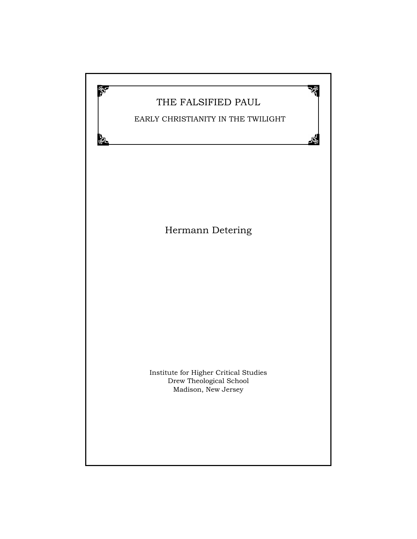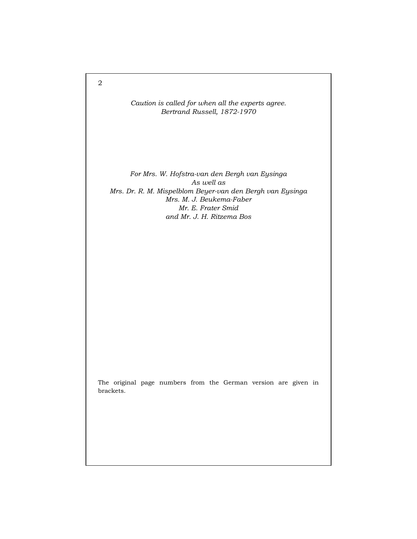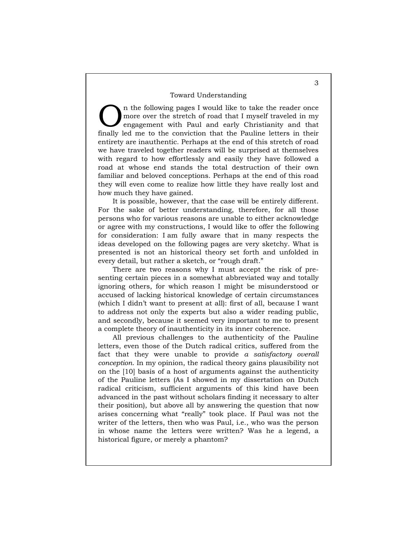#### Toward Understanding

n the following pages I would like to take the reader once more over the stretch of road that I myself traveled in my engagement with Paul and early Christianity and that finally led me to the conviction that the Pauline letters in their entirety are inauthentic. Perhaps at the end of this stretch of road we have traveled together readers will be surprised at themselves with regard to how effortlessly and easily they have followed a road at whose end stands the total destruction of their own familiar and beloved conceptions. Perhaps at the end of this road they will even come to realize how little they have really lost and how much they have gained.

It is possible, however, that the case will be entirely different. For the sake of better understanding, therefore, for all those persons who for various reasons are unable to either acknowledge or agree with my constructions, I would like to offer the following for consideration: I am fully aware that in many respects the ideas developed on the following pages are very sketchy. What is presented is not an historical theory set forth and unfolded in every detail, but rather a sketch, or "rough draft."

There are two reasons why I must accept the risk of presenting certain pieces in a somewhat abbreviated way and totally ignoring others, for which reason I might be misunderstood or accused of lacking historical knowledge of certain circumstances (which I didn't want to present at all): first of all, because I want to address not only the experts but also a wider reading public, and secondly, because it seemed very important to me to present a complete theory of inauthenticity in its inner coherence.

All previous challenges to the authenticity of the Pauline letters, even those of the Dutch radical critics, suffered from the fact that they were unable to provide *a satisfactory overall conception*. In my opinion, the radical theory gains plausibility not on the [10] basis of a host of arguments against the authenticity of the Pauline letters (As I showed in my dissertation on Dutch radical criticism, sufficient arguments of this kind have been advanced in the past without scholars finding it necessary to alter their position), but above all by answering the question that now arises concerning what "really" took place. If Paul was not the writer of the letters, then who was Paul, i.e., who was the person in whose name the letters were written? Was he a legend, a historical figure, or merely a phantom?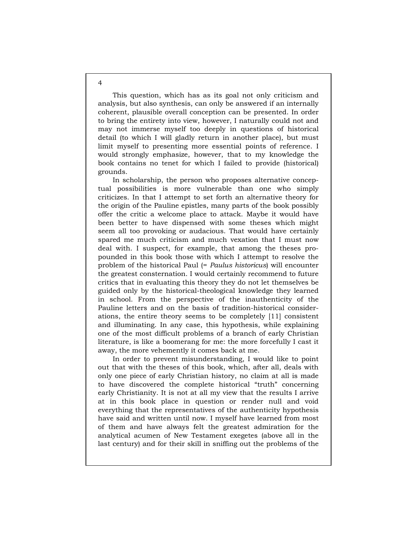This question, which has as its goal not only criticism and analysis, but also synthesis, can only be answered if an internally coherent, plausible overall conception can be presented. In order to bring the entirety into view, however, I naturally could not and may not immerse myself too deeply in questions of historical detail (to which I will gladly return in another place), but must limit myself to presenting more essential points of reference. I would strongly emphasize, however, that to my knowledge the book contains no tenet for which I failed to provide (historical) grounds.

In scholarship, the person who proposes alternative conceptual possibilities is more vulnerable than one who simply criticizes. In that I attempt to set forth an alternative theory for the origin of the Pauline epistles, many parts of the book possibly offer the critic a welcome place to attack. Maybe it would have been better to have dispensed with some theses which might seem all too provoking or audacious. That would have certainly spared me much criticism and much vexation that I must now deal with. I suspect, for example, that among the theses propounded in this book those with which I attempt to resolve the problem of the historical Paul (= *Paulus historicus*) will encounter the greatest consternation. I would certainly recommend to future critics that in evaluating this theory they do not let themselves be guided only by the historical-theological knowledge they learned in school. From the perspective of the inauthenticity of the Pauline letters and on the basis of tradition-historical considerations, the entire theory seems to be completely [11] consistent and illuminating. In any case, this hypothesis, while explaining one of the most difficult problems of a branch of early Christian literature, is like a boomerang for me: the more forcefully I cast it away, the more vehemently it comes back at me.

In order to prevent misunderstanding, I would like to point out that with the theses of this book, which, after all, deals with only one piece of early Christian history, no claim at all is made to have discovered the complete historical "truth" concerning early Christianity. It is not at all my view that the results I arrive at in this book place in question or render null and void everything that the representatives of the authenticity hypothesis have said and written until now. I myself have learned from most of them and have always felt the greatest admiration for the analytical acumen of New Testament exegetes (above all in the last century) and for their skill in sniffing out the problems of the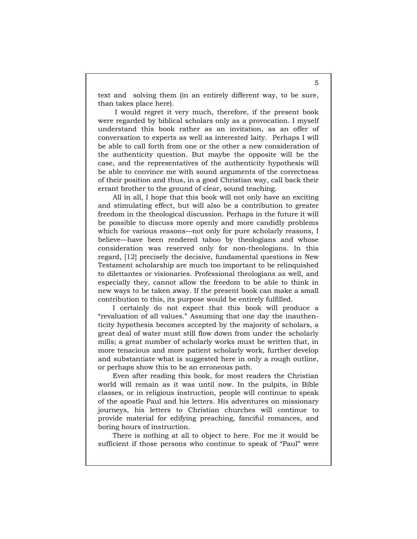text and solving them (in an entirely different way, to be sure, than takes place here).

 I would regret it very much, therefore, if the present book were regarded by biblical scholars only as a provocation. I myself understand this book rather as an invitation, as an offer of conversation to experts as well as interested laity. Perhaps I will be able to call forth from one or the other a new consideration of the authenticity question. But maybe the opposite will be the case, and the representatives of the authenticity hypothesis will be able to convince me with sound arguments of the correctness of their position and thus, in a good Christian way, call back their errant brother to the ground of clear, sound teaching.

All in all, I hope that this book will not only have an exciting and stimulating effect, but will also be a contribution to greater freedom in the theological discussion. Perhaps in the future it will be possible to discuss more openly and more candidly problems which for various reasons—not only for pure scholarly reasons, I believe—have been rendered taboo by theologians and whose consideration was reserved only for non-theologians. In this regard, [12] precisely the decisive, fundamental questions in New Testament scholarship are much too important to be relinquished to dilettantes or visionaries. Professional theologians as well, and especially they, cannot allow the freedom to be able to think in new ways to be taken away. If the present book can make a small contribution to this, its purpose would be entirely fulfilled.

I certainly do not expect that this book will produce a "revaluation of all values." Assuming that one day the inauthenticity hypothesis becomes accepted by the majority of scholars, a great deal of water must still flow down from under the scholarly mills; a great number of scholarly works must be written that, in more tenacious and more patient scholarly work, further develop and substantiate what is suggested here in only a rough outline, or perhaps show this to be an erroneous path.

Even after reading this book, for most readers the Christian world will remain as it was until now. In the pulpits, in Bible classes, or in religious instruction, people will continue to speak of the apostle Paul and his letters. His adventures on missionary journeys, his letters to Christian churches will continue to provide material for edifying preaching, fanciful romances, and boring hours of instruction.

There is nothing at all to object to here. For me it would be sufficient if those persons who continue to speak of "Paul" were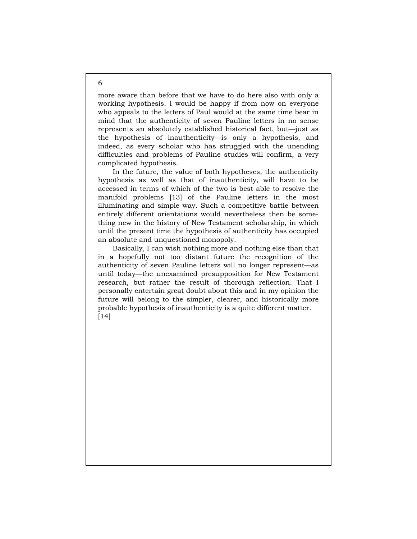more aware than before that we have to do here also with only a working hypothesis. I would be happy if from now on everyone who appeals to the letters of Paul would at the same time bear in mind that the authenticity of seven Pauline letters in no sense represents an absolutely established historical fact, but—just as the hypothesis of inauthenticity—is only a hypothesis, and indeed, as every scholar who has struggled with the unending difficulties and problems of Pauline studies will confirm, a very complicated hypothesis.

In the future, the value of both hypotheses, the authenticity hypothesis as well as that of inauthenticity, will have to be accessed in terms of which of the two is best able to resolve the manifold problems [13] of the Pauline letters in the most illuminating and simple way. Such a competitive battle between entirely different orientations would nevertheless then be something new in the history of New Testament scholarship, in which until the present time the hypothesis of authenticity has occupied an absolute and unquestioned monopoly.

Basically, I can wish nothing more and nothing else than that in a hopefully not too distant future the recognition of the authenticity of seven Pauline letters will no longer represent—as until today—the unexamined presupposition for New Testament research, but rather the result of thorough reflection. That I personally entertain great doubt about this and in my opinion the future will belong to the simpler, clearer, and historically more probable hypothesis of inauthenticity is a quite different matter. [14]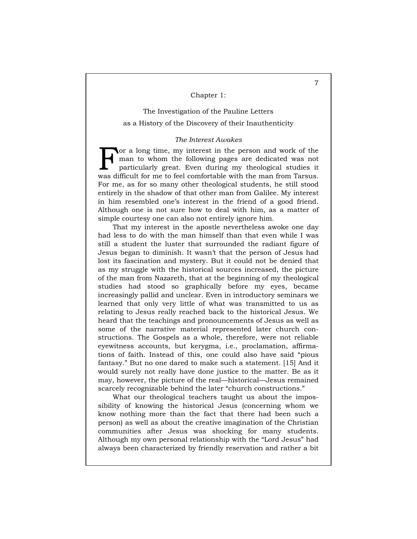# Chapter 1:

## The Investigation of the Pauline Letters

## as a History of the Discovery of their Inauthenticity

## *The Interest Awakes*

For a long time, my interest in the person and work of the<br>man to whom the following pages are dedicated was not<br>particularly great. Even during my theological studies it<br>west difficult for ma to fool comfortable with the man to whom the following pages are dedicated was not particularly great. Even during my theological studies it was difficult for me to feel comfortable with the man from Tarsus. For me, as for so many other theological students, he still stood entirely in the shadow of that other man from Galilee. My interest in him resembled one's interest in the friend of a good friend. Although one is not sure how to deal with him, as a matter of simple courtesy one can also not entirely ignore him.

That my interest in the apostle nevertheless awoke one day had less to do with the man himself than that even while I was still a student the luster that surrounded the radiant figure of Jesus began to diminish. It wasn't that the person of Jesus had lost its fascination and mystery. But it could not be denied that as my struggle with the historical sources increased, the picture of the man from Nazareth, that at the beginning of my theological studies had stood so graphically before my eyes, became increasingly pallid and unclear. Even in introductory seminars we learned that only very little of what was transmitted to us as relating to Jesus really reached back to the historical Jesus. We heard that the teachings and pronouncements of Jesus as well as some of the narrative material represented later church constructions. The Gospels as a whole, therefore, were not reliable eyewitness accounts, but kerygma, i.e., proclamation, affirmations of faith. Instead of this, one could also have said "pious fantasy." But no one dared to make such a statement. [15] And it would surely not really have done justice to the matter. Be as it may, however, the picture of the real—historical—Jesus remained scarcely recognizable behind the later "church constructions."

What our theological teachers taught us about the impossibility of knowing the historical Jesus (concerning whom we know nothing more than the fact that there had been such a person) as well as about the creative imagination of the Christian communities after Jesus was shocking for many students. Although my own personal relationship with the "Lord Jesus" had always been characterized by friendly reservation and rather a bit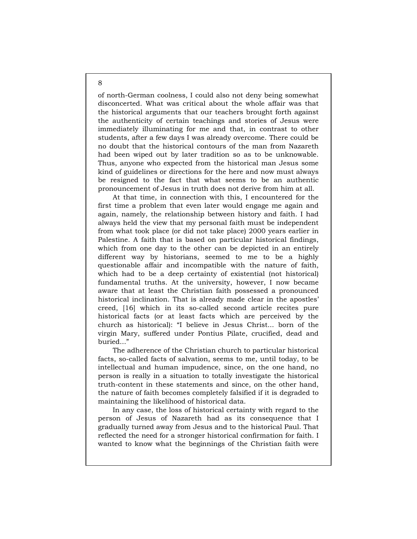of north-German coolness, I could also not deny being somewhat disconcerted. What was critical about the whole affair was that the historical arguments that our teachers brought forth against the authenticity of certain teachings and stories of Jesus were immediately illuminating for me and that, in contrast to other students, after a few days I was already overcome. There could be no doubt that the historical contours of the man from Nazareth had been wiped out by later tradition so as to be unknowable. Thus, anyone who expected from the historical man Jesus some kind of guidelines or directions for the here and now must always be resigned to the fact that what seems to be an authentic pronouncement of Jesus in truth does not derive from him at all.

At that time, in connection with this, I encountered for the first time a problem that even later would engage me again and again, namely, the relationship between history and faith. I had always held the view that my personal faith must be independent from what took place (or did not take place) 2000 years earlier in Palestine. A faith that is based on particular historical findings, which from one day to the other can be depicted in an entirely different way by historians, seemed to me to be a highly questionable affair and incompatible with the nature of faith, which had to be a deep certainty of existential (not historical) fundamental truths. At the university, however, I now became aware that at least the Christian faith possessed a pronounced historical inclination. That is already made clear in the apostles' creed, [16] which in its so-called second article recites pure historical facts (or at least facts which are perceived by the church as historical): "I believe in Jesus Christ... born of the virgin Mary, suffered under Pontius Pilate, crucified, dead and buried..."

The adherence of the Christian church to particular historical facts, so-called facts of salvation, seems to me, until today, to be intellectual and human impudence, since, on the one hand, no person is really in a situation to totally investigate the historical truth-content in these statements and since, on the other hand, the nature of faith becomes completely falsified if it is degraded to maintaining the likelihood of historical data.

In any case, the loss of historical certainty with regard to the person of Jesus of Nazareth had as its consequence that I gradually turned away from Jesus and to the historical Paul. That reflected the need for a stronger historical confirmation for faith. I wanted to know what the beginnings of the Christian faith were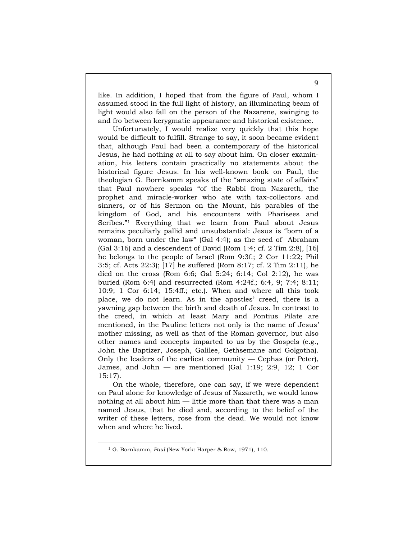like. In addition, I hoped that from the figure of Paul, whom I assumed stood in the full light of history, an illuminating beam of light would also fall on the person of the Nazarene, swinging to and fro between kerygmatic appearance and historical existence.

Unfortunately, I would realize very quickly that this hope would be difficult to fulfill. Strange to say, it soon became evident that, although Paul had been a contemporary of the historical Jesus, he had nothing at all to say about him. On closer examination, his letters contain practically no statements about the historical figure Jesus. In his well-known book on Paul, the theologian G. Bornkamm speaks of the "amazing state of affairs" that Paul nowhere speaks "of the Rabbi from Nazareth, the prophet and miracle-worker who ate with tax-collectors and sinners, or of his Sermon on the Mount, his parables of the kingdom of God, and his encounters with Pharisees and Scribes."<sup>1</sup> Everything that we learn from Paul about Jesus remains peculiarly pallid and unsubstantial: Jesus is "born of a woman, born under the law" (Gal 4:4); as the seed of Abraham (Gal 3:16) and a descendent of David (Rom 1:4; cf. 2 Tim 2:8), [16] he belongs to the people of Israel (Rom 9:3f.; 2 Cor 11:22; Phil 3:5; cf. Acts 22:3); [17] he suffered (Rom 8:17; cf. 2 Tim 2:11), he died on the cross (Rom 6:6; Gal 5:24; 6:14; Col 2:12), he was buried (Rom 6:4) and resurrected (Rom 4:24f.; 6:4, 9; 7:4; 8:11; 10:9; 1 Cor 6:14; 15:4ff.; etc.). When and where all this took place, we do not learn. As in the apostles' creed, there is a yawning gap between the birth and death of Jesus. In contrast to the creed, in which at least Mary and Pontius Pilate are mentioned, in the Pauline letters not only is the name of Jesus' mother missing, as well as that of the Roman governor, but also other names and concepts imparted to us by the Gospels (e.g., John the Baptizer, Joseph, Galilee, Gethsemane and Golgotha). Only the leaders of the earliest community — Cephas (or Peter), James, and John — are mentioned (Gal 1:19; 2:9, 12; 1 Cor 15:17).

On the whole, therefore, one can say, if we were dependent on Paul alone for knowledge of Jesus of Nazareth, we would know nothing at all about him — little more than that there was a man named Jesus, that he died and, according to the belief of the writer of these letters, rose from the dead. We would not know when and where he lived.

<span id="page-8-0"></span> <sup>1</sup> G. Bornkamm, *Paul* (New York: Harper & Row, 1971), 110.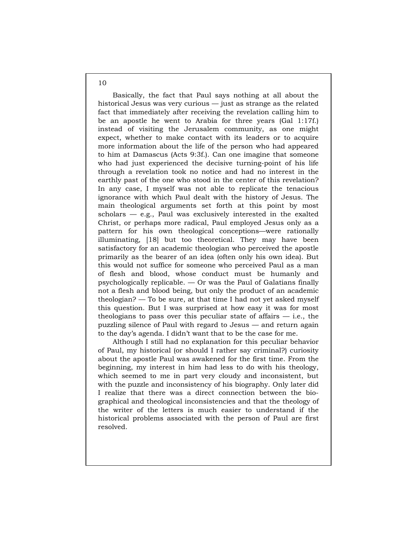Basically, the fact that Paul says nothing at all about the historical Jesus was very curious — just as strange as the related fact that immediately after receiving the revelation calling him to be an apostle he went to Arabia for three years (Gal 1:17f.) instead of visiting the Jerusalem community, as one might expect, whether to make contact with its leaders or to acquire more information about the life of the person who had appeared to him at Damascus (Acts 9:3f.). Can one imagine that someone who had just experienced the decisive turning-point of his life through a revelation took no notice and had no interest in the earthly past of the one who stood in the center of this revelation? In any case, I myself was not able to replicate the tenacious ignorance with which Paul dealt with the history of Jesus. The main theological arguments set forth at this point by most  $s$ cholars  $-$  e.g., Paul was exclusively interested in the exalted Christ, or perhaps more radical, Paul employed Jesus only as a pattern for his own theological conceptions—were rationally illuminating, [18] but too theoretical. They may have been satisfactory for an academic theologian who perceived the apostle primarily as the bearer of an idea (often only his own idea). But this would not suffice for someone who perceived Paul as a man of flesh and blood, whose conduct must be humanly and psychologically replicable. — Or was the Paul of Galatians finally not a flesh and blood being, but only the product of an academic theologian? — To be sure, at that time I had not yet asked myself this question. But I was surprised at how easy it was for most theologians to pass over this peculiar state of affairs  $-$  i.e., the puzzling silence of Paul with regard to Jesus — and return again to the day's agenda. I didn't want that to be the case for me.

Although I still had no explanation for this peculiar behavior of Paul, my historical (or should I rather say criminal?) curiosity about the apostle Paul was awakened for the first time. From the beginning, my interest in him had less to do with his theology, which seemed to me in part very cloudy and inconsistent, but with the puzzle and inconsistency of his biography. Only later did I realize that there was a direct connection between the biographical and theological inconsistencies and that the theology of the writer of the letters is much easier to understand if the historical problems associated with the person of Paul are first resolved.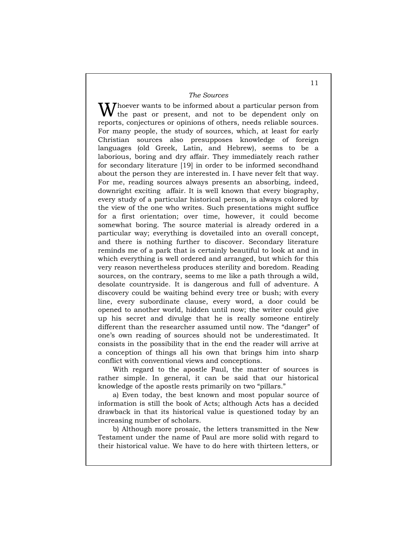*The Sources*

 $\mathbf{W}^\text{hoever}$  wants to be informed about a particular person from the past or present, and not to be dependent only on reports, conjectures or opinions of others, needs reliable sources. For many people, the study of sources, which, at least for early Christian sources also presupposes knowledge of foreign languages (old Greek, Latin, and Hebrew), seems to be a laborious, boring and dry affair. They immediately reach rather for secondary literature [19] in order to be informed secondhand about the person they are interested in. I have never felt that way. For me, reading sources always presents an absorbing, indeed, downright exciting affair. It is well known that every biography, every study of a particular historical person, is always colored by the view of the one who writes. Such presentations might suffice for a first orientation; over time, however, it could become somewhat boring. The source material is already ordered in a particular way; everything is dovetailed into an overall concept, and there is nothing further to discover. Secondary literature reminds me of a park that is certainly beautiful to look at and in which everything is well ordered and arranged, but which for this very reason nevertheless produces sterility and boredom. Reading sources, on the contrary, seems to me like a path through a wild, desolate countryside. It is dangerous and full of adventure. A discovery could be waiting behind every tree or bush; with every line, every subordinate clause, every word, a door could be opened to another world, hidden until now; the writer could give up his secret and divulge that he is really someone entirely different than the researcher assumed until now. The "danger" of one's own reading of sources should not be underestimated. It consists in the possibility that in the end the reader will arrive at a conception of things all his own that brings him into sharp conflict with conventional views and conceptions.

With regard to the apostle Paul, the matter of sources is rather simple. In general, it can be said that our historical knowledge of the apostle rests primarily on two "pillars."

a) Even today, the best known and most popular source of information is still the book of Acts; although Acts has a decided drawback in that its historical value is questioned today by an increasing number of scholars.

b) Although more prosaic, the letters transmitted in the New Testament under the name of Paul are more solid with regard to their historical value. We have to do here with thirteen letters, or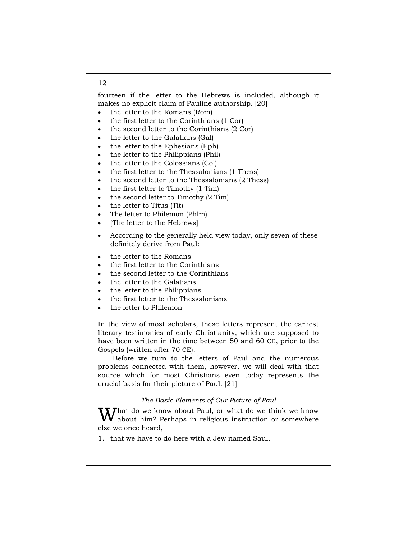fourteen if the letter to the Hebrews is included, although it makes no explicit claim of Pauline authorship. [20]

- the letter to the Romans (Rom)
- the first letter to the Corinthians (1 Cor)
- the second letter to the Corinthians (2 Cor)
- the letter to the Galatians (Gal)
- the letter to the Ephesians (Eph)
- the letter to the Philippians (Phil)
- the letter to the Colossians (Col)
- the first letter to the Thessalonians (1 Thess)
- the second letter to the Thessalonians (2 Thess)
- the first letter to Timothy (1 Tim)
- the second letter to Timothy (2 Tim)
- the letter to Titus (Tit)
- The letter to Philemon (Phlm)
- [The letter to the Hebrews]
- According to the generally held view today, only seven of these definitely derive from Paul:
- the letter to the Romans
- the first letter to the Corinthians
- the second letter to the Corinthians
- the letter to the Galatians
- the letter to the Philippians
- the first letter to the Thessalonians
- the letter to Philemon

In the view of most scholars, these letters represent the earliest literary testimonies of early Christianity, which are supposed to have been written in the time between 50 and 60 CE, prior to the Gospels (written after 70 CE).

Before we turn to the letters of Paul and the numerous problems connected with them, however, we will deal with that source which for most Christians even today represents the crucial basis for their picture of Paul. [21]

# *The Basic Elements of Our Picture of Paul*

 $\mathbf{W}$  hat do we know about Paul, or what do we think we know about him? Perhaps in religious instruction or somewhere else we once heard,

1. that we have to do here with a Jew named Saul,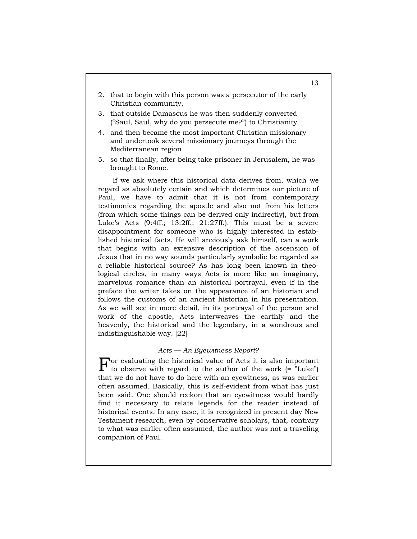- 2. that to begin with this person was a persecutor of the early Christian community,
- 3. that outside Damascus he was then suddenly converted ("Saul, Saul, why do you persecute me?") to Christianity
- 4. and then became the most important Christian missionary and undertook several missionary journeys through the Mediterranean region
- 5. so that finally, after being take prisoner in Jerusalem, he was brought to Rome.

If we ask where this historical data derives from, which we regard as absolutely certain and which determines our picture of Paul, we have to admit that it is not from contemporary testimonies regarding the apostle and also not from his letters (from which some things can be derived only indirectly), but from Luke's Acts (9:4ff.; 13:2ff.; 21:27ff.). This must be a severe disappointment for someone who is highly interested in established historical facts. He will anxiously ask himself, can a work that begins with an extensive description of the ascension of Jesus that in no way sounds particularly symbolic be regarded as a reliable historical source? As has long been known in theological circles, in many ways Acts is more like an imaginary, marvelous romance than an historical portrayal, even if in the preface the writer takes on the appearance of an historian and follows the customs of an ancient historian in his presentation. As we will see in more detail, in its portrayal of the person and work of the apostle, Acts interweaves the earthly and the heavenly, the historical and the legendary, in a wondrous and indistinguishable way. [22]

## *Acts — An Eyewitness Report?*

For evaluating the historical value of Acts it is also important to observe with regard to the author of the work (= "Luke") that we do not have to do here with an eyewitness, as was earlier often assumed. Basically, this is self-evident from what has just been said. One should reckon that an eyewitness would hardly find it necessary to relate legends for the reader instead of historical events. In any case, it is recognized in present day New Testament research, even by conservative scholars, that, contrary to what was earlier often assumed, the author was not a traveling companion of Paul.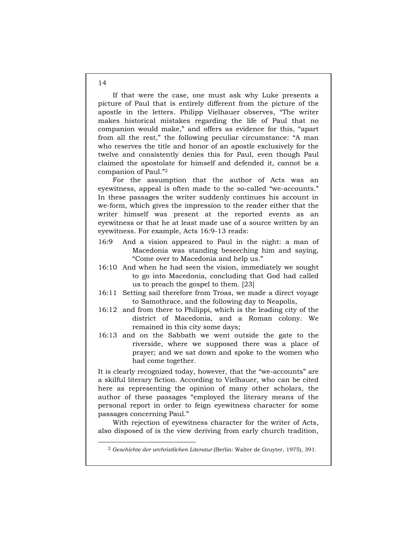If that were the case, one must ask why Luke presents a picture of Paul that is entirely different from the picture of the apostle in the letters. Philipp Vielhauer observes, "The writer makes historical mistakes regarding the life of Paul that no companion would make," and offers as evidence for this, "apart from all the rest," the following peculiar circumstance: "A man who reserves the title and honor of an apostle exclusively for the twelve and consistently denies this for Paul, even though Paul claimed the apostolate for himself and defended it, cannot be a companion of Paul."[2](#page-13-0)

For the assumption that the author of Acts was an eyewitness, appeal is often made to the so-called "we-accounts." In these passages the writer suddenly continues his account in we-form, which gives the impression to the reader either that the writer himself was present at the reported events as an eyewitness or that he at least made use of a source written by an eyewitness. For example, Acts 16:9-13 reads:

- 16:9 And a vision appeared to Paul in the night: a man of Macedonia was standing beseeching him and saying, "Come over to Macedonia and help us."
- 16:10 And when he had seen the vision, immediately we sought to go into Macedonia, concluding that God had called us to preach the gospel to them. [23]
- 16:11 Setting sail therefore from Troas, we made a direct voyage to Samothrace, and the following day to Neapolis,
- 16:12 and from there to Philippi, which is the leading city of the district of Macedonia, and a Roman colony. We remained in this city some days;
- 16:13 and on the Sabbath we went outside the gate to the riverside, where we supposed there was a place of prayer; and we sat down and spoke to the women who had come together.

It is clearly recognized today, however, that the "we-accounts" are a skilful literary fiction. According to Vielhauer, who can be cited here as representing the opinion of many other scholars, the author of these passages "employed the literary means of the personal report in order to feign eyewitness character for some passages concerning Paul."

With rejection of eyewitness character for the writer of Acts, also disposed of is the view deriving from early church tradition,

<span id="page-13-0"></span> <sup>2</sup> *Geschichte der urchristlichen Literatur* (Berlin: Walter de Gruyter, 1975), 391.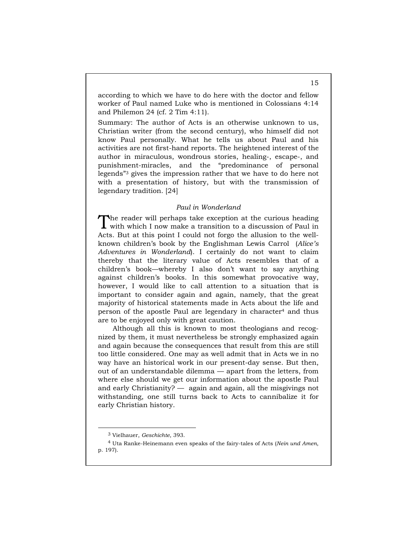according to which we have to do here with the doctor and fellow worker of Paul named Luke who is mentioned in Colossians 4:14 and Philemon 24 (cf. 2 Tim 4:11).

Summary: The author of Acts is an otherwise unknown to us, Christian writer (from the second century), who himself did not know Paul personally. What he tells us about Paul and his activities are not first-hand reports. The heightened interest of the author in miraculous, wondrous stories, healing-, escape-, and punishment-miracles, and the "predominance of personal legends"[3](#page-14-0) gives the impression rather that we have to do here not with a presentation of history, but with the transmission of legendary tradition. [24]

# *Paul in Wonderland*

The reader will perhaps take exception at the curious heading<br>with which I now make a transition to a discussion of Paul in Acts. But at this point I could not forgo the allusion to the wellknown children's book by the Englishman Lewis Carrol (*Alice's Adventures in Wonderland*). I certainly do not want to claim thereby that the literary value of Acts resembles that of a children's book—whereby I also don't want to say anything against children's books. In this somewhat provocative way, however, I would like to call attention to a situation that is important to consider again and again, namely, that the great majority of historical statements made in Acts about the life and person of the apostle Paul are legendary in character[4](#page-14-1) and thus are to be enjoyed only with great caution.

Although all this is known to most theologians and recognized by them, it must nevertheless be strongly emphasized again and again because the consequences that result from this are still too little considered. One may as well admit that in Acts we in no way have an historical work in our present-day sense. But then, out of an understandable dilemma — apart from the letters, from where else should we get our information about the apostle Paul and early Christianity? — again and again, all the misgivings not withstanding, one still turns back to Acts to cannibalize it for early Christian history.

<span id="page-14-1"></span><span id="page-14-0"></span> <sup>3</sup> Vielhauer, *Geschichte*, 393.

<sup>4</sup> Uta Ranke-Heinemann even speaks of the fairy-tales of Acts (*Nein und Amen*, p. 197).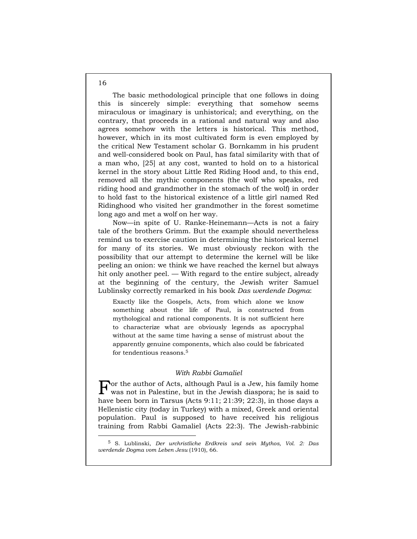The basic methodological principle that one follows in doing this is sincerely simple: everything that somehow seems miraculous or imaginary is unhistorical; and everything, on the contrary, that proceeds in a rational and natural way and also agrees somehow with the letters is historical. This method, however, which in its most cultivated form is even employed by the critical New Testament scholar G. Bornkamm in his prudent and well-considered book on Paul, has fatal similarity with that of a man who, [25] at any cost, wanted to hold on to a historical kernel in the story about Little Red Riding Hood and, to this end, removed all the mythic components (the wolf who speaks, red riding hood and grandmother in the stomach of the wolf) in order to hold fast to the historical existence of a little girl named Red Ridinghood who visited her grandmother in the forest sometime long ago and met a wolf on her way.

Now—in spite of U. Ranke-Heinemann—Acts is not a fairy tale of the brothers Grimm. But the example should nevertheless remind us to exercise caution in determining the historical kernel for many of its stories. We must obviously reckon with the possibility that our attempt to determine the kernel will be like peeling an onion: we think we have reached the kernel but always hit only another peel. — With regard to the entire subject, already at the beginning of the century, the Jewish writer Samuel Lublinsky correctly remarked in his book *Das werdende Dogma*:

Exactly like the Gospels, Acts, from which alone we know something about the life of Paul, is constructed from mythological and rational components. It is not sufficient here to characterize what are obviously legends as apocryphal without at the same time having a sense of mistrust about the apparently genuine components, which also could be fabricated for tendentious reasons[.5](#page-15-0) 

## *With Rabbi Gamaliel*

 $\Gamma_{\text{was not in Polarical}}$  For the author of Acts, although Paul is a Jew, his family home was not in Palestine, but in the Jewish diaspora; he is said to have been born in Tarsus (Acts 9:11; 21:39; 22:3), in those days a Hellenistic city (today in Turkey) with a mixed, Greek and oriental population. Paul is supposed to have received his religious training from Rabbi Gamaliel (Acts 22:3). The Jewish-rabbinic

<span id="page-15-0"></span> <sup>5</sup> S. Lublinski, *Der urchristliche Erdkreis und sein Mythos, Vol. 2: Das werdende Dogma vom Leben Jesu* (1910), 66.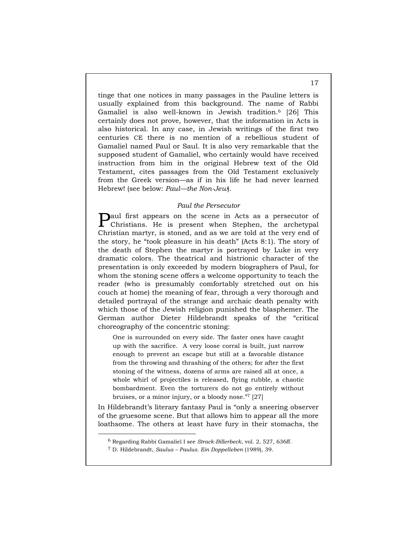tinge that one notices in many passages in the Pauline letters is usually explained from this background. The name of Rabbi Gamaliel is also well-known in Jewish tradition[.6](#page-16-0) [26] This certainly does not prove, however, that the information in Acts is also historical. In any case, in Jewish writings of the first two centuries CE there is no mention of a rebellious student of Gamaliel named Paul or Saul. It is also very remarkable that the supposed student of Gamaliel, who certainly would have received instruction from him in the original Hebrew text of the Old Testament, cites passages from the Old Testament exclusively from the Greek version—as if in his life he had never learned Hebrew! (see below: *Paul—the Non-Jew*).

## *Paul the Persecutor*

Paul first appears on the scene in Acts as a persecutor of Christians. He is present when Stephen, the archetypal Christian martyr, is stoned, and as we are told at the very end of the story, he "took pleasure in his death" (Acts 8:1). The story of the death of Stephen the martyr is portrayed by Luke in very dramatic colors. The theatrical and histrionic character of the presentation is only exceeded by modern biographers of Paul, for whom the stoning scene offers a welcome opportunity to teach the reader (who is presumably comfortably stretched out on his couch at home) the meaning of fear, through a very thorough and detailed portrayal of the strange and archaic death penalty with which those of the Jewish religion punished the blasphemer. The German author Dieter Hildebrandt speaks of the "critical choreography of the concentric stoning:

One is surrounded on every side. The faster ones have caught up with the sacrifice. A very loose corral is built, just narrow enough to prevent an escape but still at a favorable distance from the throwing and thrashing of the others; for after the first stoning of the witness, dozens of arms are raised all at once, a whole whirl of projectiles is released, flying rubble, a chaotic bombardment. Even the torturers do not go entirely without bruises, or a minor injury, or a bloody nose.["7](#page-16-1) [27]

In Hildebrandt's literary fantasy Paul is "only a sneering observer of the gruesome scene. But that allows him to appear all the more loathsome. The others at least have fury in their stomachs, the

<span id="page-16-1"></span>7 D. Hildebrandt, *Saulus – Paulus. Ein Doppelleben* (1989), 39.

<span id="page-16-0"></span> <sup>6</sup> Regarding Rabbi Gamaliel I see *Strack-Billerbeck*, vol. 2, 527, 636ff.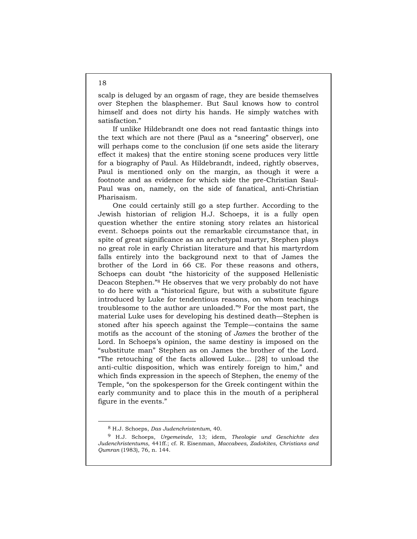scalp is deluged by an orgasm of rage, they are beside themselves over Stephen the blasphemer. But Saul knows how to control himself and does not dirty his hands. He simply watches with satisfaction."

If unlike Hildebrandt one does not read fantastic things into the text which are not there (Paul as a "sneering" observer), one will perhaps come to the conclusion (if one sets aside the literary effect it makes) that the entire stoning scene produces very little for a biography of Paul. As Hildebrandt, indeed, rightly observes, Paul is mentioned only on the margin, as though it were a footnote and as evidence for which side the pre-Christian Saul-Paul was on, namely, on the side of fanatical, anti-Christian Pharisaism.

One could certainly still go a step further. According to the Jewish historian of religion H.J. Schoeps, it is a fully open question whether the entire stoning story relates an historical event. Schoeps points out the remarkable circumstance that, in spite of great significance as an archetypal martyr, Stephen plays no great role in early Christian literature and that his martyrdom falls entirely into the background next to that of James the brother of the Lord in 66 CE. For these reasons and others, Schoeps can doubt "the historicity of the supposed Hellenistic Deacon Stephen.["8](#page-17-0) He observes that we very probably do not have to do here with a "historical figure, but with a substitute figure introduced by Luke for tendentious reasons, on whom teachings troublesome to the author are unloaded."[9](#page-17-1) For the most part, the material Luke uses for developing his destined death—Stephen is stoned after his speech against the Temple—contains the same motifs as the account of the stoning of *James* the brother of the Lord. In Schoeps's opinion, the same destiny is imposed on the "substitute man" Stephen as on James the brother of the Lord. "The retouching of the facts allowed Luke... [28] to unload the anti-cultic disposition, which was entirely foreign to him," and which finds expression in the speech of Stephen, the enemy of the Temple, "on the spokesperson for the Greek contingent within the early community and to place this in the mouth of a peripheral figure in the events."

<span id="page-17-1"></span><span id="page-17-0"></span> <sup>8</sup> H.J. Schoeps, *Das Judenchristentum*, 40.

<sup>9</sup> H.J. Schoeps, *Urgemeinde*, 13; idem, *Theologie und Geschichte des Judenchristentums*, 441ff.; cf. R. Eisenman, *Maccabees, Zadokites, Christians and Qumran* (1983), 76, n. 144.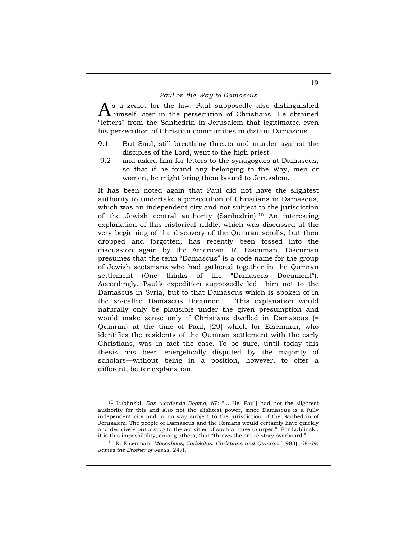#### *Paul on the Way to Damascus*

 $A$ s a zealot for the law, Paul supposedly also distinguished himself later in the persecution of Christians. He obtained "letters" from the Sanhedrin in Jerusalem that legitimated even his persecution of Christian communities in distant Damascus.

- 9:1 But Saul, still breathing threats and murder against the disciples of the Lord, went to the high priest
- 9:2 and asked him for letters to the synagogues at Damascus, so that if he found any belonging to the Way, men or women, he might bring them bound to Jerusalem.

It has been noted again that Paul did not have the slightest authority to undertake a persecution of Christians in Damascus, which was an independent city and not subject to the jurisdiction of the Jewish central authority (Sanhedrin)[.10](#page-18-0) An interesting explanation of this historical riddle, which was discussed at the very beginning of the discovery of the Qumran scrolls, but then dropped and forgotten, has recently been tossed into the discussion again by the American, R. Eisenman. Eisenman presumes that the term "Damascus" is a code name for the group of Jewish sectarians who had gathered together in the Qumran settlement (One thinks of the "Damascus Document"). Accordingly, Paul's expedition supposedly led him not to the Damascus in Syria, but to that Damascus which is spoken of in the so-called Damascus Document.<sup>11</sup> This explanation would naturally only be plausible under the given presumption and would make sense only if Christians dwelled in Damascus (= Qumran) at the time of Paul, [29] which for Eisenman, who identifies the residents of the Qumran settlement with the early Christians, was in fact the case. To be sure, until today this thesis has been energetically disputed by the majority of scholars—without being in a position, however, to offer a different, better explanation.

<span id="page-18-0"></span> <sup>10</sup> Lublinski, *Das werdende Dogma*, 67: "... He [Paul] had not the slightest authority for this and also not the slightest power, since Damascus is a fully independent city and in no way subject to the jurisdiction of the Sanhedrin of Jerusalem. The people of Damascus and the Romans would certainly have quickly and decisively put a stop to the activities of such a naïve usurper." For Lublinski, it is this impossibility, among others, that "throws the entire story overboard."

<span id="page-18-1"></span><sup>11</sup> R. Eisenman, *Maccabees, Zadokites, Christians and Qumran* (1983), 68-69; *James the Brother of Jesus*, 247f.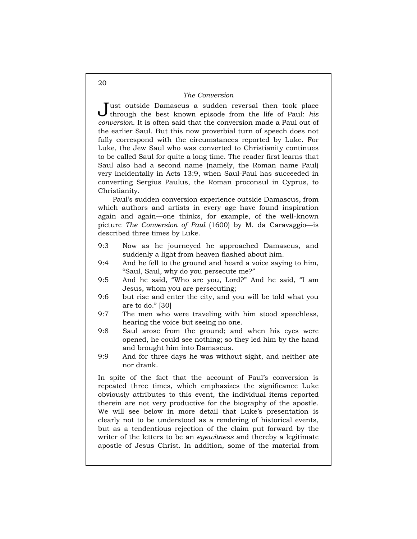# *The Conversion*

Just outside Damascus a sudden reversal then took place through the best known episode from the life of Paul: *his conversion*. It is often said that the conversion made a Paul out of the earlier Saul. But this now proverbial turn of speech does not fully correspond with the circumstances reported by Luke. For Luke, the Jew Saul who was converted to Christianity continues to be called Saul for quite a long time. The reader first learns that Saul also had a second name (namely, the Roman name Paul) very incidentally in Acts 13:9, when Saul-Paul has succeeded in converting Sergius Paulus, the Roman proconsul in Cyprus, to Christianity.

Paul's sudden conversion experience outside Damascus, from which authors and artists in every age have found inspiration again and again—one thinks, for example, of the well-known picture *The Conversion of Paul* (1600) by M. da Caravaggio—is described three times by Luke.

- 9:3 Now as he journeyed he approached Damascus, and suddenly a light from heaven flashed about him.
- 9:4 And he fell to the ground and heard a voice saying to him, "Saul, Saul, why do you persecute me?"
- 9:5 And he said, "Who are you, Lord?" And he said, "I am Jesus, whom you are persecuting;
- 9:6 but rise and enter the city, and you will be told what you are to do." [30]
- 9:7 The men who were traveling with him stood speechless, hearing the voice but seeing no one.
- 9:8 Saul arose from the ground; and when his eyes were opened, he could see nothing; so they led him by the hand and brought him into Damascus.
- 9:9 And for three days he was without sight, and neither ate nor drank.

In spite of the fact that the account of Paul's conversion is repeated three times, which emphasizes the significance Luke obviously attributes to this event, the individual items reported therein are not very productive for the biography of the apostle. We will see below in more detail that Luke's presentation is clearly not to be understood as a rendering of historical events, but as a tendentious rejection of the claim put forward by the writer of the letters to be an *eyewitness* and thereby a legitimate apostle of Jesus Christ. In addition, some of the material from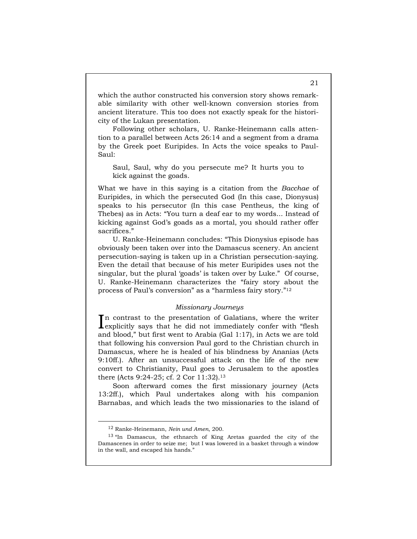which the author constructed his conversion story shows remarkable similarity with other well-known conversion stories from ancient literature. This too does not exactly speak for the historicity of the Lukan presentation.

Following other scholars, U. Ranke-Heinemann calls attention to a parallel between Acts 26:14 and a segment from a drama by the Greek poet Euripides. In Acts the voice speaks to Paul-Saul:

Saul, Saul, why do you persecute me? It hurts you to kick against the goads.

What we have in this saying is a citation from the *Bacchae* of Euripides, in which the persecuted God (In this case, Dionysus) speaks to his persecutor (In this case Pentheus, the king of Thebes) as in Acts: "You turn a deaf ear to my words... Instead of kicking against God's goads as a mortal, you should rather offer sacrifices."

U. Ranke-Heinemann concludes: "This Dionysius episode has obviously been taken over into the Damascus scenery. An ancient persecution-saying is taken up in a Christian persecution-saying. Even the detail that because of his meter Euripides uses not the singular, but the plural 'goads' is taken over by Luke." Of course, U. Ranke-Heinemann characterizes the "fairy story about the process of Paul's conversion" as a "harmless fairy story.["12](#page-20-0)

#### *Missionary Journeys*

In contrast to the presentation of Galatians, where the writer explicitly says that he did not immediately confer with "flesh n contrast to the presentation of Galatians, where the writer and blood," but first went to Arabia (Gal 1:17), in Acts we are told that following his conversion Paul gord to the Christian church in Damascus, where he is healed of his blindness by Ananias (Acts 9:10ff.). After an unsuccessful attack on the life of the new convert to Christianity, Paul goes to Jerusalem to the apostles there (Acts 9:24-25; cf. 2 Cor 11:32)[.13](#page-20-1)

Soon afterward comes the first missionary journey (Acts 13:2ff.), which Paul undertakes along with his companion Barnabas, and which leads the two missionaries to the island of

<span id="page-20-1"></span><span id="page-20-0"></span> <sup>12</sup> Ranke-Heinemann, *Nein und Amen*, 200.

<sup>13 &</sup>quot;In Damascus, the ethnarch of King Aretas guarded the city of the Damascenes in order to seize me; but I was lowered in a basket through a window in the wall, and escaped his hands."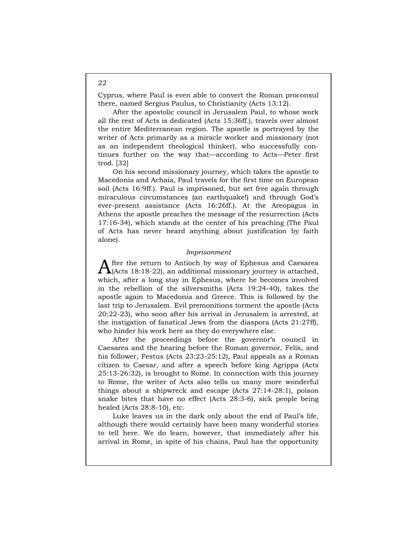Cyprus, where Paul is even able to convert the Roman proconsul there, named Sergius Paulus, to Christianity (Acts 13:12).

After the apostolic council in Jerusalem Paul, to whose work all the rest of Acts is dedicated (Acts 15:36ff.), travels over almost the entire Mediterranean region. The apostle is portrayed by the writer of Acts primarily as a miracle worker and missionary (not as an independent theological thinker), who successfully continues further on the way that—according to Acts—Peter first trod. [32]

On his second missionary journey, which takes the apostle to Macedonia and Achaia, Paul travels for the first time on European soil (Acts 16:9ff.). Paul is imprisoned, but set free again through miraculous circumstances (an earthquake!) and through God's ever-present assistance (Acts 16:26ff.). At the Areopagus in Athens the apostle preaches the message of the resurrection (Acts 17:16-34), which stands at the center of his preaching (The Paul of Acts has never heard anything about justification by faith alone).

#### *Imprisonment*

 $A$ fter the return to Antioch by way of Ephesus and Caesarea (Acts 18:18-22), an additional missionary journey is attached, which, after a long stay in Ephesus, where he becomes involved in the rebellion of the silversmiths (Acts 19:24-40), takes the apostle again to Macedonia and Greece. This is followed by the last trip to Jerusalem. Evil premonitions torment the apostle (Acts 20:22-23), who soon after his arrival in Jerusalem is arrested, at the instigation of fanatical Jews from the diaspora (Acts 21:27ff), who hinder his work here as they do everywhere else.

After the proceedings before the governor's council in Caesarea and the hearing before the Roman governor, Felix, and his follower, Festus (Acts 23:23-25:12), Paul appeals as a Roman citizen to Caesar, and after a speech before king Agrippa (Acts 25:13-26:32), is brought to Rome. In connection with this journey to Rome, the writer of Acts also tells us many more wonderful things about a shipwreck and escape (Acts 27:14-28:1), poison snake bites that have no effect (Acts 28:3-6), sick people being healed (Acts 28:8-10), etc.

Luke leaves us in the dark only about the end of Paul's life, although there would certainly have been many wonderful stories to tell here. We do learn, however, that immediately after his arrival in Rome, in spite of his chains, Paul has the opportunity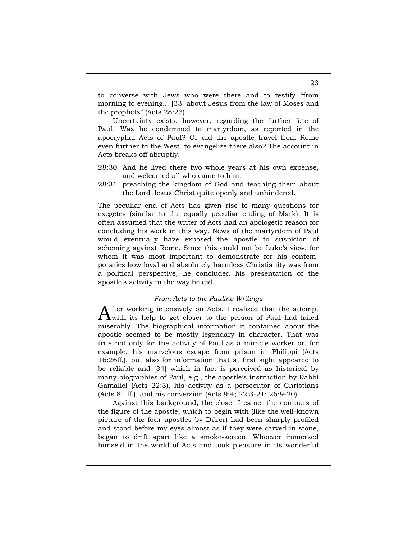to converse with Jews who were there and to testify "from morning to evening... [33] about Jesus from the law of Moses and the prophets" (Acts 28:23).

Uncertainty exists, however, regarding the further fate of Paul. Was he condemned to martyrdom, as reported in the apocryphal Acts of Paul? Or did the apostle travel from Rome even further to the West, to evangelize there also? The account in Acts breaks off abruptly.

- 28:30 And he lived there two whole years at his own expense, and welcomed all who came to him.
- 28:31 preaching the kingdom of God and teaching them about the Lord Jesus Christ quite openly and unhindered.

The peculiar end of Acts has given rise to many questions for exegetes (similar to the equally peculiar ending of Mark). It is often assumed that the writer of Acts had an apologetic reason for concluding his work in this way. News of the martyrdom of Paul would eventually have exposed the apostle to suspicion of scheming against Rome. Since this could not be Luke's view, for whom it was most important to demonstrate for his contemporaries how loyal and absolutely harmless Christianity was from a political perspective, he concluded his presentation of the apostle's activity in the way he did.

# *From Acts to the Pauline Writings*

After working intensively on Acts, I realized that the attempt with its help to get closer to the person of Paul had failed miserably. The biographical information it contained about the apostle seemed to be mostly legendary in character. That was true not only for the activity of Paul as a miracle worker or, for example, his marvelous escape from prison in Philippi (Acts 16:26ff.), but also for information that at first sight appeared to be reliable and [34] which in fact is perceived as historical by many biographies of Paul, e.g., the apostle's instruction by Rabbi Gamaliel (Acts 22:3), his activity as a persecutor of Christians (Acts 8:1ff.), and his conversion (Acts 9:4; 22:3-21; 26:9-20).

Against this background, the closer I came, the contours of the figure of the apostle, which to begin with (like the well-known picture of the four apostles by Dürer) had been sharply profiled and stood before my eyes almost as if they were carved in stone, began to drift apart like a smoke-screen. Whoever immersed himseld in the world of Acts and took pleasure in its wonderful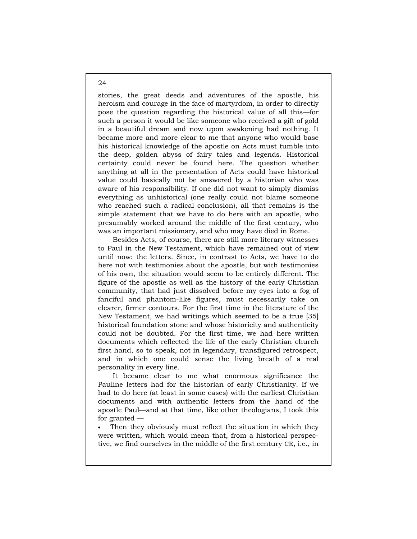stories, the great deeds and adventures of the apostle, his heroism and courage in the face of martyrdom, in order to directly pose the question regarding the historical value of all this—for such a person it would be like someone who received a gift of gold in a beautiful dream and now upon awakening had nothing. It became more and more clear to me that anyone who would base his historical knowledge of the apostle on Acts must tumble into the deep, golden abyss of fairy tales and legends. Historical certainty could never be found here. The question whether anything at all in the presentation of Acts could have historical value could basically not be answered by a historian who was aware of his responsibility. If one did not want to simply dismiss everything as unhistorical (one really could not blame someone who reached such a radical conclusion), all that remains is the simple statement that we have to do here with an apostle, who presumably worked around the middle of the first century, who was an important missionary, and who may have died in Rome.

Besides Acts, of course, there are still more literary witnesses to Paul in the New Testament, which have remained out of view until now: the letters. Since, in contrast to Acts, we have to do here not with testimonies about the apostle, but with testimonies of his own, the situation would seem to be entirely different. The figure of the apostle as well as the history of the early Christian community, that had just dissolved before my eyes into a fog of fanciful and phantom-like figures, must necessarily take on clearer, firmer contours. For the first time in the literature of the New Testament, we had writings which seemed to be a true [35] historical foundation stone and whose historicity and authenticity could not be doubted. For the first time, we had here written documents which reflected the life of the early Christian church first hand, so to speak, not in legendary, transfigured retrospect, and in which one could sense the living breath of a real personality in every line.

It became clear to me what enormous significance the Pauline letters had for the historian of early Christianity. If we had to do here (at least in some cases) with the earliest Christian documents and with authentic letters from the hand of the apostle Paul—and at that time, like other theologians, I took this for granted —

Then they obviously must reflect the situation in which they were written, which would mean that, from a historical perspective, we find ourselves in the middle of the first century CE, i.e., in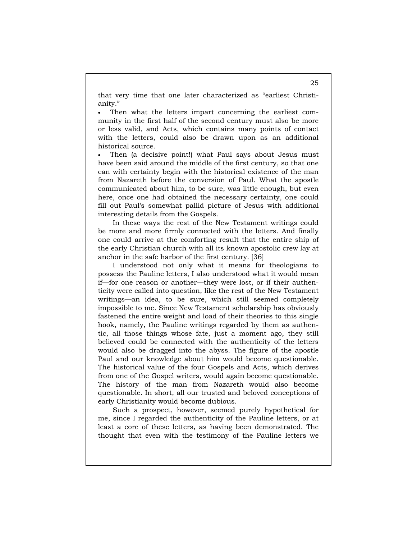that very time that one later characterized as "earliest Christianity."

• Then what the letters impart concerning the earliest community in the first half of the second century must also be more or less valid, and Acts, which contains many points of contact with the letters, could also be drawn upon as an additional historical source.

Then (a decisive point!) what Paul says about Jesus must have been said around the middle of the first century, so that one can with certainty begin with the historical existence of the man from Nazareth before the conversion of Paul. What the apostle communicated about him, to be sure, was little enough, but even here, once one had obtained the necessary certainty, one could fill out Paul's somewhat pallid picture of Jesus with additional interesting details from the Gospels.

In these ways the rest of the New Testament writings could be more and more firmly connected with the letters. And finally one could arrive at the comforting result that the entire ship of the early Christian church with all its known apostolic crew lay at anchor in the safe harbor of the first century. [36]

I understood not only what it means for theologians to possess the Pauline letters, I also understood what it would mean if—for one reason or another—they were lost, or if their authenticity were called into question, like the rest of the New Testament writings—an idea, to be sure, which still seemed completely impossible to me. Since New Testament scholarship has obviously fastened the entire weight and load of their theories to this single hook, namely, the Pauline writings regarded by them as authentic, all those things whose fate, just a moment ago, they still believed could be connected with the authenticity of the letters would also be dragged into the abyss. The figure of the apostle Paul and our knowledge about him would become questionable. The historical value of the four Gospels and Acts, which derives from one of the Gospel writers, would again become questionable. The history of the man from Nazareth would also become questionable. In short, all our trusted and beloved conceptions of early Christianity would become dubious.

Such a prospect, however, seemed purely hypothetical for me, since I regarded the authenticity of the Pauline letters, or at least a core of these letters, as having been demonstrated. The thought that even with the testimony of the Pauline letters we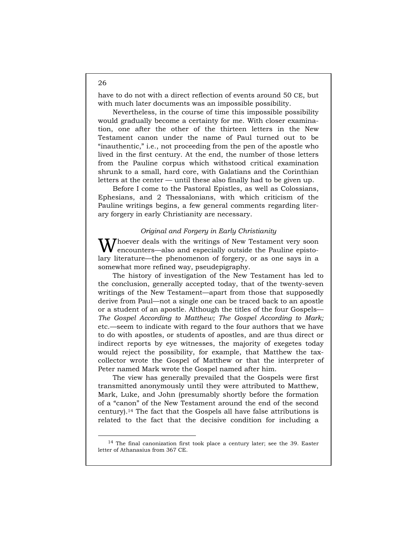have to do not with a direct reflection of events around 50 CE, but with much later documents was an impossible possibility.

Nevertheless, in the course of time this impossible possibility would gradually become a certainty for me. With closer examination, one after the other of the thirteen letters in the New Testament canon under the name of Paul turned out to be "inauthentic," i.e., not proceeding from the pen of the apostle who lived in the first century. At the end, the number of those letters from the Pauline corpus which withstood critical examination shrunk to a small, hard core, with Galatians and the Corinthian letters at the center — until these also finally had to be given up.

Before I come to the Pastoral Epistles, as well as Colossians, Ephesians, and 2 Thessalonians, with which criticism of the Pauline writings begins, a few general comments regarding literary forgery in early Christianity are necessary.

## *Original and Forgery in Early Christianity*

 $\bf \Omega \bf \Sigma$  hoever deals with the writings of New Testament very soon encounters—also and especially outside the Pauline epistolary literature—the phenomenon of forgery, or as one says in a somewhat more refined way, pseudepigraphy.

The history of investigation of the New Testament has led to the conclusion, generally accepted today, that of the twenty-seven writings of the New Testament—apart from those that supposedly derive from Paul—not a single one can be traced back to an apostle or a student of an apostle. Although the titles of the four Gospels— *The Gospel According to Matthew; The Gospel According to Mark;*  etc.—seem to indicate with regard to the four authors that we have to do with apostles, or students of apostles, and are thus direct or indirect reports by eye witnesses, the majority of exegetes today would reject the possibility, for example, that Matthew the taxcollector wrote the Gospel of Matthew or that the interpreter of Peter named Mark wrote the Gospel named after him.

The view has generally prevailed that the Gospels were first transmitted anonymously until they were attributed to Matthew, Mark, Luke, and John (presumably shortly before the formation of a "canon" of the New Testament around the end of the second century)[.14](#page-25-0) The fact that the Gospels all have false attributions is related to the fact that the decisive condition for including a

<span id="page-25-0"></span> $14$  The final canonization first took place a century later; see the 39. Easter letter of Athanasius from 367 CE.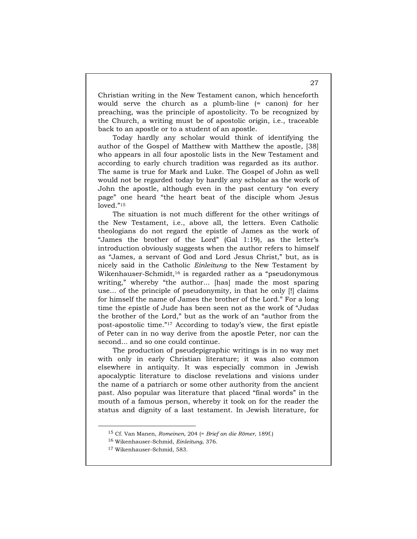Christian writing in the New Testament canon, which henceforth would serve the church as a plumb-line (= canon) for her preaching, was the principle of apostolicity. To be recognized by the Church, a writing must be of apostolic origin, i.e., traceable back to an apostle or to a student of an apostle.

Today hardly any scholar would think of identifying the author of the Gospel of Matthew with Matthew the apostle, [38] who appears in all four apostolic lists in the New Testament and according to early church tradition was regarded as its author. The same is true for Mark and Luke. The Gospel of John as well would not be regarded today by hardly any scholar as the work of John the apostle, although even in the past century "on every page" one heard "the heart beat of the disciple whom Jesus loved."[15](#page-26-0) 

The situation is not much different for the other writings of the New Testament, i.e., above all, the letters. Even Catholic theologians do not regard the epistle of James as the work of "James the brother of the Lord" (Gal 1:19), as the letter's introduction obviously suggests when the author refers to himself as "James, a servant of God and Lord Jesus Christ," but, as is nicely said in the Catholic *Einleitung* to the New Testament by Wikenhauser-Schmidt,<sup>16</sup> is regarded rather as a "pseudonymous writing," whereby "the author... [has] made the most sparing use... of the principle of pseudonymity, in that he only [!] claims for himself the name of James the brother of the Lord." For a long time the epistle of Jude has been seen not as the work of "Judas the brother of the Lord," but as the work of an "author from the post-apostolic time.["17](#page-26-2) According to today's view, the first epistle of Peter can in no way derive from the apostle Peter, nor can the second... and so one could continue.

The production of pseudepigraphic writings is in no way met with only in early Christian literature; it was also common elsewhere in antiquity. It was especially common in Jewish apocalyptic literature to disclose revelations and visions under the name of a patriarch or some other authority from the ancient past. Also popular was literature that placed "final words" in the mouth of a famous person, whereby it took on for the reader the status and dignity of a last testament. In Jewish literature, for

<span id="page-26-0"></span> <sup>15</sup> Cf. Van Manen, *Romeinen*, 204 (= *Brief an die Römer*, 189f.)

<span id="page-26-1"></span><sup>16</sup> Wikenhauser-Schmid, *Einleitung*, 376.

<span id="page-26-2"></span><sup>17</sup> Wikenhauser-Schmid, 583.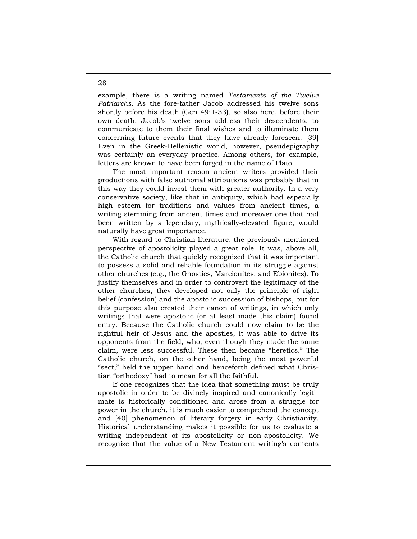example, there is a writing named *Testaments of the Twelve Patriarchs*. As the fore-father Jacob addressed his twelve sons shortly before his death (Gen 49:1-33), so also here, before their own death, Jacob's twelve sons address their descendents, to communicate to them their final wishes and to illuminate them concerning future events that they have already foreseen. [39] Even in the Greek-Hellenistic world, however, pseudepigraphy was certainly an everyday practice. Among others, for example, letters are known to have been forged in the name of Plato.

The most important reason ancient writers provided their productions with false authorial attributions was probably that in this way they could invest them with greater authority. In a very conservative society, like that in antiquity, which had especially high esteem for traditions and values from ancient times, a writing stemming from ancient times and moreover one that had been written by a legendary, mythically-elevated figure, would naturally have great importance.

With regard to Christian literature, the previously mentioned perspective of apostolicity played a great role. It was, above all, the Catholic church that quickly recognized that it was important to possess a solid and reliable foundation in its struggle against other churches (e.g., the Gnostics, Marcionites, and Ebionites). To justify themselves and in order to controvert the legitimacy of the other churches, they developed not only the principle of right belief (confession) and the apostolic succession of bishops, but for this purpose also created their canon of writings, in which only writings that were apostolic (or at least made this claim) found entry. Because the Catholic church could now claim to be the rightful heir of Jesus and the apostles, it was able to drive its opponents from the field, who, even though they made the same claim, were less successful. These then became "heretics." The Catholic church, on the other hand, being the most powerful "sect," held the upper hand and henceforth defined what Christian "orthodoxy" had to mean for all the faithful.

If one recognizes that the idea that something must be truly apostolic in order to be divinely inspired and canonically legitimate is historically conditioned and arose from a struggle for power in the church, it is much easier to comprehend the concept and [40] phenomenon of literary forgery in early Christianity. Historical understanding makes it possible for us to evaluate a writing independent of its apostolicity or non-apostolicity. We recognize that the value of a New Testament writing's contents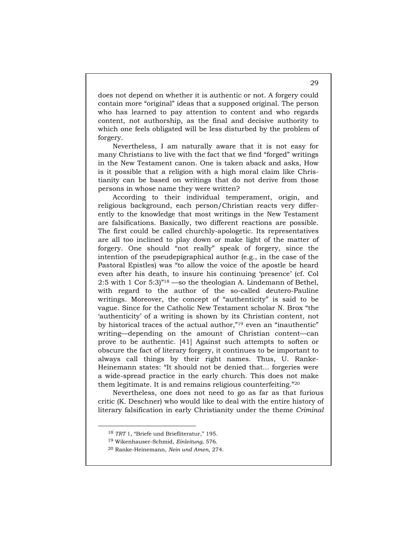does not depend on whether it is authentic or not. A forgery could contain more "original" ideas that a supposed original. The person who has learned to pay attention to content and who regards content, not authorship, as the final and decisive authority to which one feels obligated will be less disturbed by the problem of forgery.

Nevertheless, I am naturally aware that it is not easy for many Christians to live with the fact that we find "forged" writings in the New Testament canon. One is taken aback and asks, How is it possible that a religion with a high moral claim like Christianity can be based on writings that do not derive from those persons in whose name they were written?

According to their individual temperament, origin, and religious background, each person/Christian reacts very differently to the knowledge that most writings in the New Testament are falsifications. Basically, two different reactions are possible. The first could be called churchly-apologetic. Its representatives are all too inclined to play down or make light of the matter of forgery. One should "not really" speak of forgery, since the intention of the pseudepigraphical author (e.g., in the case of the Pastoral Epistles) was "to allow the voice of the apostle be heard even after his death, to insure his continuing 'presence' (cf. Col 2:5 with 1 Cor 5:3)["18](#page-28-0) —so the theologian A. Lindemann of Bethel, with regard to the author of the so-called deutero-Pauline writings. Moreover, the concept of "authenticity" is said to be vague. Since for the Catholic New Testament scholar N. Brox "the 'authenticity' of a writing is shown by its Christian content, not by historical traces of the actual author,"<sup>19</sup> even an "inauthentic" writing—depending on the amount of Christian content—can prove to be authentic. [41] Against such attempts to soften or obscure the fact of literary forgery, it continues to be important to always call things by their right names. Thus, U. Ranke-Heinemann states: "It should not be denied that... forgeries were a wide-spread practice in the early church. This does not make them legitimate. It is and remains religious counterfeiting."[20](#page-28-2)

Nevertheless, one does not need to go as far as that furious critic (K. Deschner) who would like to deal with the entire history of literary falsification in early Christianity under the theme *Criminal* 

<span id="page-28-0"></span><sup>&</sup>lt;sup>18</sup> *TRT* 1, "Briefe und Briefliteratur," 195.

<span id="page-28-1"></span><sup>19</sup> Wikenhauser-Schmid, *Einleitung*, 576.

<span id="page-28-2"></span><sup>20</sup> Ranke-Heinemann, *Nein und Amen*, 274.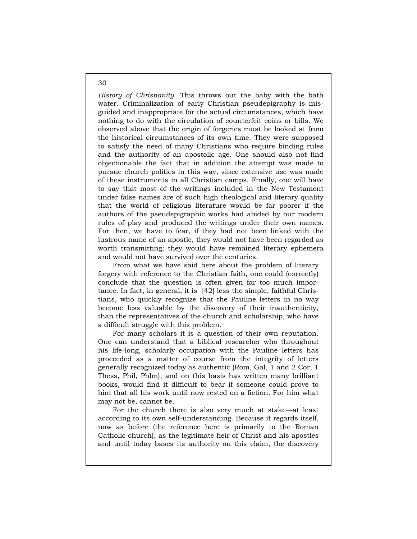*History of Christianity*. This throws out the baby with the bath water. Criminalization of early Christian pseudepigraphy is misguided and inappropriate for the actual circumstances, which have nothing to do with the circulation of counterfeit coins or bills. We observed above that the origin of forgeries must be looked at from the historical circumstances of its own time. They were supposed to satisfy the need of many Christians who require binding rules and the authority of an apostolic age. One should also not find objectionable the fact that in addition the attempt was made to pursue church politics in this way, since extensive use was made of these instruments in all Christian camps. Finally, one will have to say that most of the writings included in the New Testament under false names are of such high theological and literary quality that the world of religious literature would be far poorer if the authors of the pseudepigraphic works had abided by our modern rules of play and produced the writings under their own names. For then, we have to fear, if they had not been linked with the lustrous name of an apostle, they would not have been regarded as worth transmitting; they would have remained literary ephemera and would not have survived over the centuries.

From what we have said here about the problem of literary forgery with reference to the Christian faith, one could (correctly) conclude that the question is often given far too much importance. In fact, in general, it is [42] less the simple, faithful Christians, who quickly recognize that the Pauline letters in no way become less valuable by the discovery of their inauthenticity, than the representatives of the church and scholarship, who have a difficult struggle with this problem.

For many scholars it is a question of their own reputation. One can understand that a biblical researcher who throughout his life-long, scholarly occupation with the Pauline letters has proceeded as a matter of course from the integrity of letters generally recognized today as authentic (Rom, Gal, 1 and 2 Cor, 1 Thess, Phil, Phlm), and on this basis has written many brilliant books, would find it difficult to bear if someone could prove to him that all his work until now rested on a fiction. For him what may not be, cannot be.

For the church there is also very much at stake—at least according to its own self-understanding. Because it regards itself, now as before (the reference here is primarily to the Roman Catholic church), as the legitimate heir of Christ and his apostles and until today bases its authority on this claim, the discovery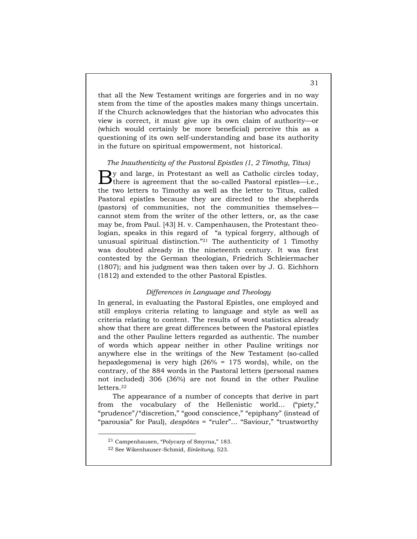that all the New Testament writings are forgeries and in no way stem from the time of the apostles makes many things uncertain. If the Church acknowledges that the historian who advocates this view is correct, it must give up its own claim of authority—or (which would certainly be more beneficial) perceive this as a questioning of its own self-understanding and base its authority in the future on spiritual empowerment, not historical.

# *The Inauthenticity of the Pastoral Epistles (1, 2 Timothy, Titus)*

By and large, in Protestant as well as Catholic circles today, there is agreement that the so-called Pastoral epistles—i.e., the two letters to Timothy as well as the letter to Titus, called Pastoral epistles because they are directed to the shepherds (pastors) of communities, not the communities themselves cannot stem from the writer of the other letters, or, as the case may be, from Paul. [43] H. v. Campenhausen, the Protestant theologian, speaks in this regard of "a typical forgery, although of unusual spiritual distinction."[21](#page-30-0) The authenticity of 1 Timothy was doubted already in the nineteenth century. It was first contested by the German theologian, Friedrich Schleiermacher (1807); and his judgment was then taken over by J. G. Eichhorn (1812) and extended to the other Pastoral Epistles.

# *Differences in Language and Theology*

In general, in evaluating the Pastoral Epistles, one employed and still employs criteria relating to language and style as well as criteria relating to content. The results of word statistics already show that there are great differences between the Pastoral epistles and the other Pauline letters regarded as authentic. The number of words which appear neither in other Pauline writings nor anywhere else in the writings of the New Testament (so-called hepaxlegomena) is very high (26% = 175 words), while, on the contrary, of the 884 words in the Pastoral letters (personal names not included) 306 (36%) are not found in the other Pauline letters.[22](#page-30-1)

The appearance of a number of concepts that derive in part from the vocabulary of the Hellenistic world... ("piety," "prudence"/"discretion," "good conscience," "epiphany" (instead of "parousia" for Paul), *despótes* = "ruler"... "Saviour," "trustworthy

<span id="page-30-0"></span> <sup>21</sup> Campenhausen, "Polycarp of Smyrna," 183.

<span id="page-30-1"></span><sup>22</sup> See Wikenhauser-Schmid, *Einleitung*, 523.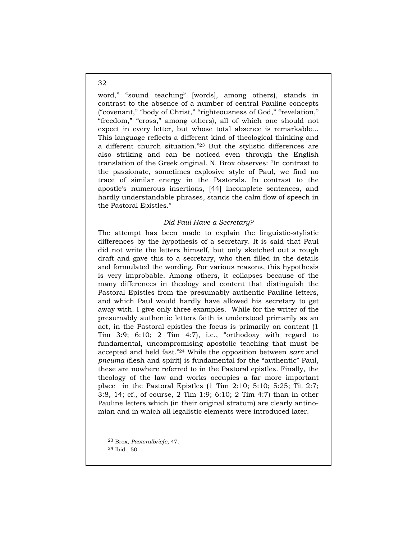word," "sound teaching" [words], among others), stands in contrast to the absence of a number of central Pauline concepts ("covenant," "body of Christ," "righteousness of God," "revelation," "freedom," "cross," among others), all of which one should not expect in every letter, but whose total absence is remarkable... This language reflects a different kind of theological thinking and a different church situation."[23](#page-31-0) But the stylistic differences are also striking and can be noticed even through the English translation of the Greek original. N. Brox observes: "In contrast to the passionate, sometimes explosive style of Paul, we find no trace of similar energy in the Pastorals. In contrast to the apostle's numerous insertions, [44] incomplete sentences, and hardly understandable phrases, stands the calm flow of speech in the Pastoral Epistles."

# *Did Paul Have a Secretary?*

The attempt has been made to explain the linguistic-stylistic differences by the hypothesis of a secretary. It is said that Paul did not write the letters himself, but only sketched out a rough draft and gave this to a secretary, who then filled in the details and formulated the wording. For various reasons, this hypothesis is very improbable. Among others, it collapses because of the many differences in theology and content that distinguish the Pastoral Epistles from the presumably authentic Pauline letters, and which Paul would hardly have allowed his secretary to get away with. I give only three examples. While for the writer of the presumably authentic letters faith is understood primarily as an act, in the Pastoral epistles the focus is primarily on content (1 Tim 3:9; 6:10; 2 Tim 4:7), i.e., "orthodoxy with regard to fundamental, uncompromising apostolic teaching that must be accepted and held fast."[24](#page-31-1) While the opposition between *sarx* and *pneuma* (flesh and spirit) is fundamental for the "authentic" Paul, these are nowhere referred to in the Pastoral epistles. Finally, the theology of the law and works occupies a far more important place in the Pastoral Epistles  $(1 \text{ Tim } 2:10; 5:10; 5:25; \text{Tit } 2:7;$ 3:8, 14; cf., of course, 2 Tim 1:9; 6:10; 2 Tim 4:7) than in other Pauline letters which (in their original stratum) are clearly antinomian and in which all legalistic elements were introduced later.

<span id="page-31-0"></span> <sup>23</sup> Brox, *Pastoralbriefe*, 47.

<span id="page-31-1"></span><sup>24</sup> Ibid., 50.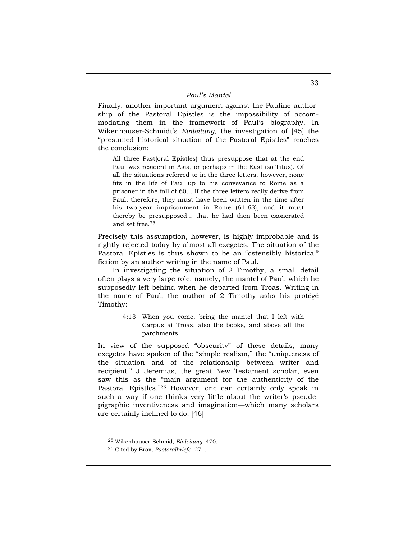### *Paul's Mantel*

Finally, another important argument against the Pauline authorship of the Pastoral Epistles is the impossibility of accommodating them in the framework of Paul's biography. In Wikenhauser-Schmidt's *Einleitung*, the investigation of [45] the "presumed historical situation of the Pastoral Epistles" reaches the conclusion:

All three Past(oral Epistles) thus presuppose that at the end Paul was resident in Asia, or perhaps in the East (so Titus). Of all the situations referred to in the three letters. however, none fits in the life of Paul up to his conveyance to Rome as a prisoner in the fall of 60... If the three letters really derive from Paul, therefore, they must have been written in the time after his two-year imprisonment in Rome (61-63), and it must thereby be presupposed... that he had then been exonerated and set free[.25](#page-32-0)

Precisely this assumption, however, is highly improbable and is rightly rejected today by almost all exegetes. The situation of the Pastoral Epistles is thus shown to be an "ostensibly historical" fiction by an author writing in the name of Paul.

In investigating the situation of 2 Timothy, a small detail often plays a very large role, namely, the mantel of Paul, which he supposedly left behind when he departed from Troas. Writing in the name of Paul, the author of 2 Timothy asks his protégé Timothy:

> 4:13 When you come, bring the mantel that I left with Carpus at Troas, also the books, and above all the parchments.

In view of the supposed "obscurity" of these details, many exegetes have spoken of the "simple realism," the "uniqueness of the situation and of the relationship between writer and recipient." J. Jeremias, the great New Testament scholar, even saw this as the "main argument for the authenticity of the Pastoral Epistles."[26](#page-32-1) However, one can certainly only speak in such a way if one thinks very little about the writer's pseudepigraphic inventiveness and imagination—which many scholars are certainly inclined to do. [46]

<span id="page-32-0"></span> <sup>25</sup> Wikenhauser-Schmid, *Einleitung*, 470.

<span id="page-32-1"></span><sup>26</sup> Cited by Brox, *Pastoralbriefe*, 271.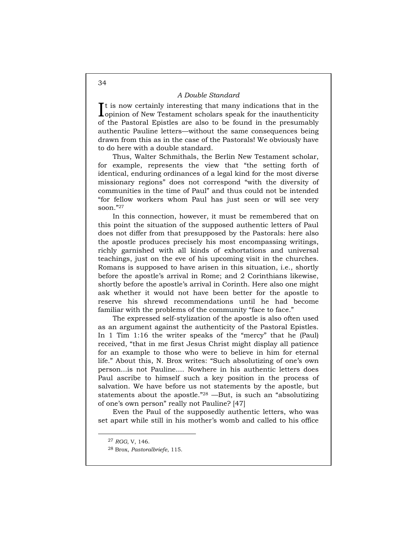# *A Double Standard*

 $\prod$ t is now certainly interesting that many indications that in the opinion of New Testament scholars speak for the inauthenticity opinion of New Testament scholars speak for the inauthenticity of the Pastoral Epistles are also to be found in the presumably authentic Pauline letters—without the same consequences being drawn from this as in the case of the Pastorals! We obviously have to do here with a double standard.

Thus, Walter Schmithals, the Berlin New Testament scholar, for example, represents the view that "the setting forth of identical, enduring ordinances of a legal kind for the most diverse missionary regions" does not correspond "with the diversity of communities in the time of Paul" and thus could not be intended "for fellow workers whom Paul has just seen or will see very soon.["27](#page-33-0)

In this connection, however, it must be remembered that on this point the situation of the supposed authentic letters of Paul does not differ from that presupposed by the Pastorals: here also the apostle produces precisely his most encompassing writings, richly garnished with all kinds of exhortations and universal teachings, just on the eve of his upcoming visit in the churches. Romans is supposed to have arisen in this situation, i.e., shortly before the apostle's arrival in Rome; and 2 Corinthians likewise, shortly before the apostle's arrival in Corinth. Here also one might ask whether it would not have been better for the apostle to reserve his shrewd recommendations until he had become familiar with the problems of the community "face to face."

The expressed self-stylization of the apostle is also often used as an argument against the authenticity of the Pastoral Epistles. In 1 Tim 1:16 the writer speaks of the "mercy" that he (Paul) received, "that in me first Jesus Christ might display all patience for an example to those who were to believe in him for eternal life." About this, N. Brox writes: "Such absolutizing of one's own person...is not Pauline.... Nowhere in his authentic letters does Paul ascribe to himself such a key position in the process of salvation. We have before us not statements by the apostle, but statements about the apostle."[28](#page-33-1) —But, is such an "absolutizing of one's own person" really not Pauline? [47]

Even the Paul of the supposedly authentic letters, who was set apart while still in his mother's womb and called to his office

<span id="page-33-0"></span> <sup>27</sup> *RGG*, V, 146.

<span id="page-33-1"></span><sup>28</sup> Brox, *Pastoralbriefe*, 115.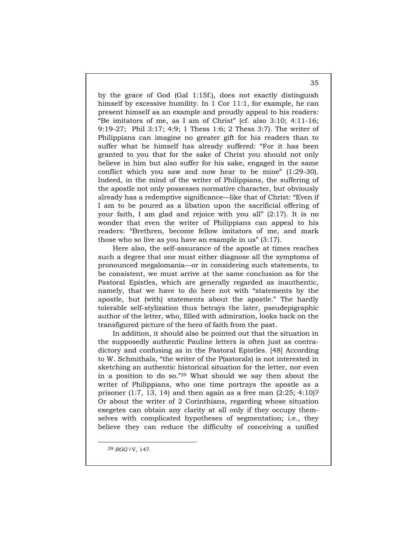by the grace of God (Gal 1:15f.), does not exactly distinguish himself by excessive humility. In 1 Cor 11:1, for example, he can present himself as an example and proudly appeal to his readers: "Be imitators of me, as I am of Christ" (cf. also 3:10; 4:11-16; 9:19-27; Phil 3:17; 4:9; 1 Thess 1:6; 2 Thess 3:7). The writer of Philippians can imagine no greater gift for his readers than to suffer what he himself has already suffered: "For it has been granted to you that for the sake of Christ you should not only believe in him but also suffer for his sake, engaged in the same conflict which you saw and now hear to be mine" (1:29-30). Indeed, in the mind of the writer of Philippians, the suffering of the apostle not only possesses normative character, but obviously already has a redemptive significance—like that of Christ: "Even if I am to be poured as a libation upon the sacrificial offering of your faith, I am glad and rejoice with you all" (2:17). It is no wonder that even the writer of Philippians can appeal to his readers: "Brethren, become fellow imitators of me, and mark those who so live as you have an example in us"  $(3:17)$ .

Here also, the self-assurance of the apostle at times reaches such a degree that one must either diagnose all the symptoms of pronounced megalomania—or in considering such statements, to be consistent, we must arrive at the same conclusion as for the Pastoral Epistles, which are generally regarded as inauthentic, namely, that we have to do here not with "statements by the apostle, but (with) statements about the apostle." The hardly tolerable self-stylization thus betrays the later, pseudepigraphic author of the letter, who, filled with admiration, looks back on the transfigured picture of the hero of faith from the past.

In addition, it should also be pointed out that the situation in the supposedly authentic Pauline letters is often just as contradictory and confusing as in the Pastoral Epistles. [48] According to W. Schmithals, "the writer of the P(astorals) is not interested in sketching an authentic historical situation for the letter, nor even in a position to do so."[29](#page-34-0) What should we say then about the writer of Philippians, who one time portrays the apostle as a prisoner (1:7, 13, 14) and then again as a free man (2:25; 4:10)? Or about the writer of 2 Corinthians, regarding whose situation exegetes can obtain any clarity at all only if they occupy themselves with complicated hypotheses of segmentation; i.e., they believe they can reduce the difficulty of conceiving a unified

<span id="page-34-0"></span>29 *RGG* 3 V, 147.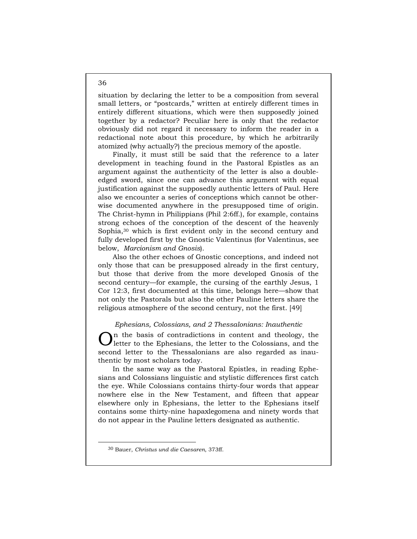situation by declaring the letter to be a composition from several small letters, or "postcards," written at entirely different times in entirely different situations, which were then supposedly joined together by a redactor? Peculiar here is only that the redactor obviously did not regard it necessary to inform the reader in a redactional note about this procedure, by which he arbitrarily atomized (why actually?) the precious memory of the apostle.

Finally, it must still be said that the reference to a later development in teaching found in the Pastoral Epistles as an argument against the authenticity of the letter is also a doubleedged sword, since one can advance this argument with equal justification against the supposedly authentic letters of Paul. Here also we encounter a series of conceptions which cannot be otherwise documented anywhere in the presupposed time of origin. The Christ-hymn in Philippians (Phil 2:6ff.), for example, contains strong echoes of the conception of the descent of the heavenly Sophia,<sup>30</sup> which is first evident only in the second century and fully developed first by the Gnostic Valentinus (for Valentinus, see below, *Marcionism and Gnosis*).

Also the other echoes of Gnostic conceptions, and indeed not only those that can be presupposed already in the first century, but those that derive from the more developed Gnosis of the second century—for example, the cursing of the earthly Jesus, 1 Cor 12:3, first documented at this time, belongs here—show that not only the Pastorals but also the other Pauline letters share the religious atmosphere of the second century, not the first. [49]

# *Ephesians, Colossians, and 2 Thessalonians: Inauthentic*

In the basis of contradictions in content and theology, the letter to the Ephesians, the letter to the Colossians, and the second letter to the Thessalonians are also regarded as inauthentic by most scholars today.

In the same way as the Pastoral Epistles, in reading Ephesians and Colossians linguistic and stylistic differences first catch the eye. While Colossians contains thirty-four words that appear nowhere else in the New Testament, and fifteen that appear elsewhere only in Ephesians, the letter to the Ephesians itself contains some thirty-nine hapaxlegomena and ninety words that do not appear in the Pauline letters designated as authentic.

<span id="page-35-0"></span> <sup>30</sup> Bauer, *Christus und die Caesaren*, 373ff.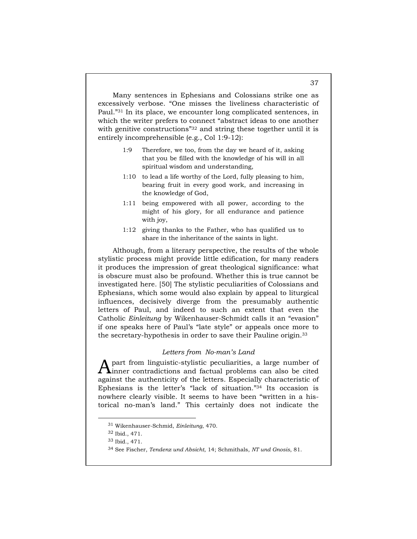Many sentences in Ephesians and Colossians strike one as excessively verbose. "One misses the liveliness characteristic of Paul.["31](#page-36-0) In its place, we encounter long complicated sentences, in which the writer prefers to connect "abstract ideas to one another with genitive constructions["32](#page-36-1) and string these together until it is entirely incomprehensible (e.g., Col 1:9-12):

- 1:9 Therefore, we too, from the day we heard of it, asking that you be filled with the knowledge of his will in all spiritual wisdom and understanding,
- 1:10 to lead a life worthy of the Lord, fully pleasing to him, bearing fruit in every good work, and increasing in the knowledge of God,
- 1:11 being empowered with all power, according to the might of his glory, for all endurance and patience with joy,
- 1:12 giving thanks to the Father, who has qualified us to share in the inheritance of the saints in light.

Although, from a literary perspective, the results of the whole stylistic process might provide little edification, for many readers it produces the impression of great theological significance: what is obscure must also be profound. Whether this is true cannot be investigated here. [50] The stylistic peculiarities of Colossians and Ephesians, which some would also explain by appeal to liturgical influences, decisively diverge from the presumably authentic letters of Paul, and indeed to such an extent that even the Catholic *Einleitung* by Wikenhauser-Schmidt calls it an "evasion" if one speaks here of Paul's "late style" or appeals once more to the secretary-hypothesis in order to save their Pauline origin.[33](#page-36-2)

# *Letters from No-man's Land*

Apart from linguistic-stylistic peculiarities, a large number of inner contradictions and factual problems can also be cited against the authenticity of the letters. Especially characteristic of Ephesians is the letter's "lack of situation.["34](#page-36-3) Its occasion is nowhere clearly visible. It seems to have been "written in a historical no-man's land." This certainly does not indicate the

<span id="page-36-0"></span> <sup>31</sup> Wikenhauser-Schmid, *Einleitung*, 470.

<span id="page-36-1"></span><sup>32</sup> Ibid., 471.

<span id="page-36-2"></span><sup>33</sup> Ibid., 471.

<span id="page-36-3"></span><sup>34</sup> See Fischer, *Tendenz und Absicht*, 14; Schmithals, *NT und Gnosis*, 81.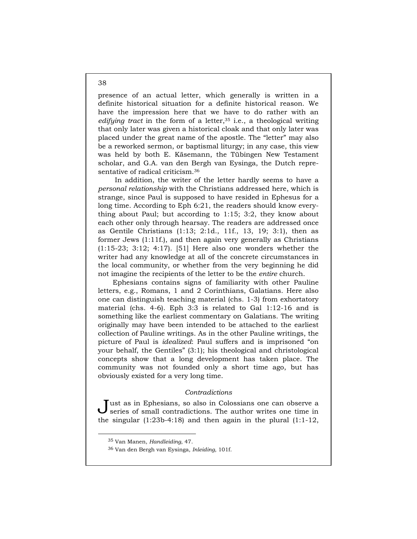presence of an actual letter, which generally is written in a definite historical situation for a definite historical reason. We have the impression here that we have to do rather with an *edifying tract* in the form of a letter,<sup>35</sup> i.e., a theological writing that only later was given a historical cloak and that only later was placed under the great name of the apostle. The "letter" may also be a reworked sermon, or baptismal liturgy; in any case, this view was held by both E. Käsemann, the Tübingen New Testament scholar, and G.A. van den Bergh van Eysinga, the Dutch representative of radical criticism[.36](#page-37-1)

In addition, the writer of the letter hardly seems to have a *personal relationship* with the Christians addressed here, which is strange, since Paul is supposed to have resided in Ephesus for a long time. According to Eph 6:21, the readers should know everything about Paul; but according to 1:15; 3:2, they know about each other only through hearsay. The readers are addressed once as Gentile Christians (1:13; 2:1d., 11f., 13, 19; 3:1), then as former Jews (1:11f.), and then again very generally as Christians (1:15-23; 3:12; 4:17). [51] Here also one wonders whether the writer had any knowledge at all of the concrete circumstances in the local community, or whether from the very beginning he did not imagine the recipients of the letter to be the *entire* church.

Ephesians contains signs of familiarity with other Pauline letters, e.g., Romans, 1 and 2 Corinthians, Galatians. Here also one can distinguish teaching material (chs. 1-3) from exhortatory material (chs. 4-6). Eph 3:3 is related to Gal 1:12-16 and is something like the earliest commentary on Galatians. The writing originally may have been intended to be attached to the earliest collection of Pauline writings. As in the other Pauline writings, the picture of Paul is *idealized*: Paul suffers and is imprisoned "on your behalf, the Gentiles" (3:1); his theological and christological concepts show that a long development has taken place. The community was not founded only a short time ago, but has obviously existed for a very long time.

# *Contradictions*

Just as in Ephesians, so also in Colossians one can observe <sup>a</sup> series of small contradictions. The author writes one time in the singular  $(1:23b-4:18)$  and then again in the plural  $(1:1-12)$ ,

<span id="page-37-0"></span> <sup>35</sup> Van Manen, *Handleiding*, 47.

<span id="page-37-1"></span><sup>36</sup> Van den Bergh van Eysinga, *Inleiding*, 101f.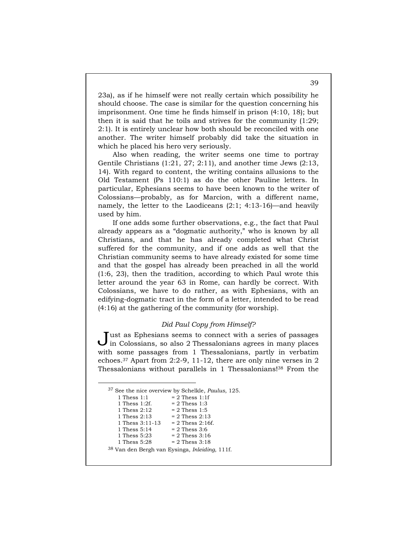23a), as if he himself were not really certain which possibility he should choose. The case is similar for the question concerning his imprisonment. One time he finds himself in prison (4:10, 18); but then it is said that he toils and strives for the community (1:29; 2:1). It is entirely unclear how both should be reconciled with one another. The writer himself probably did take the situation in which he placed his hero very seriously.

Also when reading, the writer seems one time to portray Gentile Christians  $(1:21, 27; 2:11)$ , and another time Jews  $(2:13, 2:11)$ 14). With regard to content, the writing contains allusions to the Old Testament (Ps 110:1) as do the other Pauline letters. In particular, Ephesians seems to have been known to the writer of Colossians—probably, as for Marcion, with a different name, namely, the letter to the Laodiceans (2:1; 4:13-16)—and heavily used by him.

If one adds some further observations, e.g., the fact that Paul already appears as a "dogmatic authority," who is known by all Christians, and that he has already completed what Christ suffered for the community, and if one adds as well that the Christian community seems to have already existed for some time and that the gospel has already been preached in all the world (1:6, 23), then the tradition, according to which Paul wrote this letter around the year 63 in Rome, can hardly be correct. With Colossians, we have to do rather, as with Ephesians, with an edifying-dogmatic tract in the form of a letter, intended to be read (4:16) at the gathering of the community (for worship).

#### *Did Paul Copy from Himself?*

 $J$ ust as Ephesians seems to connect with a series of passages in Colossians, so also 2 Thessalonians agrees in many places with some passages from 1 Thessalonians, partly in verbatim echoes[.37](#page-38-0) Apart from 2:2-9, 11-12, there are only nine verses in 2 Thessalonians without parallels in 1 Thessalonians[!38](#page-38-1) From the

| <sup>37</sup> See the nice overview by Schelkle, Paulus, 125. |  |  |
|---------------------------------------------------------------|--|--|

<span id="page-38-0"></span>

| $1$ Thess $1:1$  | $= 2$ Thess 1:1f |  |
|------------------|------------------|--|
| 1 Thess $1:2f$ . | $= 2$ Thess 1:3  |  |

|                  |  | - - - - - - - -       |  |
|------------------|--|-----------------------|--|
| 1 Thess $1:2f$ . |  | $= 2$ Thess 1         |  |
| 1.701 0.10       |  | $\cap$ $\mathsf{m}$ 1 |  |

| 1 Thess 2:12 |  | $= 2$ Thess 1:5 |  |
|--------------|--|-----------------|--|
|              |  |                 |  |

- 1 Thess 2:13 = 2 Thess 2:13<br>1 Thess 3:11-13 = 2 Thess 2:16f. 1 Thess 3:11-13
- 1 Thess  $5:14$  = 2 Thess  $3:6$
- 1 Thess  $5:23 = 2$  Thess  $3:16$
- <span id="page-38-1"></span>1 Thess  $5:28 = 2$  Thess  $3:18$
- 38 Van den Bergh van Eysinga, *Inleiding*, 111f.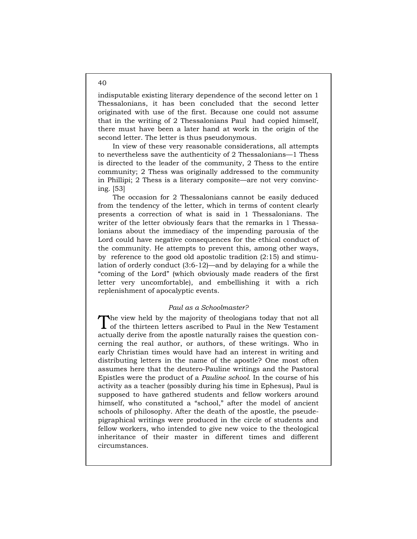indisputable existing literary dependence of the second letter on 1 Thessalonians, it has been concluded that the second letter originated with use of the first. Because one could not assume that in the writing of 2 Thessalonians Paul had copied himself, there must have been a later hand at work in the origin of the second letter. The letter is thus pseudonymous.

In view of these very reasonable considerations, all attempts to nevertheless save the authenticity of 2 Thessalonians—1 Thess is directed to the leader of the community, 2 Thess to the entire community; 2 Thess was originally addressed to the community in Phillipi; 2 Thess is a literary composite—are not very convincing. [53]

The occasion for 2 Thessalonians cannot be easily deduced from the tendency of the letter, which in terms of content clearly presents a correction of what is said in 1 Thessalonians. The writer of the letter obviously fears that the remarks in 1 Thessalonians about the immediacy of the impending parousia of the Lord could have negative consequences for the ethical conduct of the community. He attempts to prevent this, among other ways, by reference to the good old apostolic tradition (2:15) and stimulation of orderly conduct (3:6-12)—and by delaying for a while the "coming of the Lord" (which obviously made readers of the first letter very uncomfortable), and embellishing it with a rich replenishment of apocalyptic events.

# *Paul as a Schoolmaster?*

The view held by the majority of theologians today that not all of the thirteen letters ascribed to Paul in the New Testament actually derive from the apostle naturally raises the question concerning the real author, or authors, of these writings. Who in early Christian times would have had an interest in writing and distributing letters in the name of the apostle? One most often assumes here that the deutero-Pauline writings and the Pastoral Epistles were the product of a *Pauline school*. In the course of his activity as a teacher (possibly during his time in Ephesus), Paul is supposed to have gathered students and fellow workers around himself, who constituted a "school," after the model of ancient schools of philosophy. After the death of the apostle, the pseudepigraphical writings were produced in the circle of students and fellow workers, who intended to give new voice to the theological inheritance of their master in different times and different circumstances.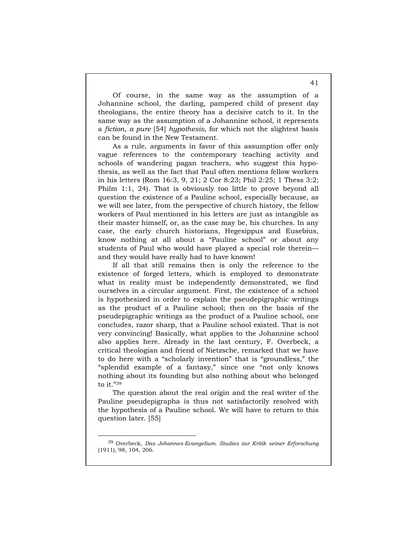Of course, in the same way as the assumption of a Johannine school, the darling, pampered child of present day theologians, the entire theory has a decisive catch to it. In the same way as the assumption of a Johannine school, it represents a *fiction*, *a pure* [54] *hypothesis*, for which not the slightest basis can be found in the New Testament.

As a rule, arguments in favor of this assumption offer only vague references to the contemporary teaching activity and schools of wandering pagan teachers, who suggest this hypothesis, as well as the fact that Paul often mentions fellow workers in his letters (Rom 16:3, 9, 21; 2 Cor 8:23; Phil 2:25; 1 Thess 3:2; Philm 1:1, 24). That is obviously too little to prove beyond all question the existence of a Pauline school, especially because, as we will see later, from the perspective of church history, the fellow workers of Paul mentioned in his letters are just as intangible as their master himself, or, as the case may be, his churches. In any case, the early church historians, Hegesippus and Eusebius, know nothing at all about a "Pauline school" or about any students of Paul who would have played a special role therein and they would have really had to have known!

If all that still remains then is only the reference to the existence of forged letters, which is employed to demonstrate what in reality must be independently demonstrated, we find ourselves in a circular argument. First, the existence of a school is hypothesized in order to explain the pseudepigraphic writings as the product of a Pauline school; then on the basis of the pseudepigraphic writings as the product of a Pauline school, one concludes, razor sharp, that a Pauline school existed. That is not very convincing! Basically, what applies to the Johannine school also applies here. Already in the last century, F. Overbeck, a critical theologian and friend of Nietzsche, remarked that we have to do here with a "scholarly invention" that is "groundless," the "splendid example of a fantasy," since one "not only knows nothing about its founding but also nothing about who belonged to it."[39](#page-40-0) 

The question about the real origin and the real writer of the Pauline pseudepigrapha is thus not satisfactorily resolved with the hypothesis of a Pauline school. We will have to return to this question later. [55]

<span id="page-40-0"></span> <sup>39</sup> Overbeck, *Das Johannes-Evangelium. Studies zur Kritik seiner Erforschung* (1911), 98, 104, 206.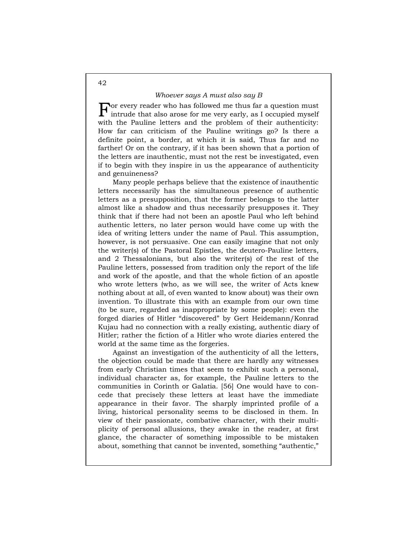#### *Whoever says A must also say B*

For every reader who has followed me thus far a question must intrude that also arose for me very early, as I occupied myself with the Pauline letters and the problem of their authenticity: How far can criticism of the Pauline writings go? Is there a definite point, a border, at which it is said, Thus far and no farther! Or on the contrary, if it has been shown that a portion of the letters are inauthentic, must not the rest be investigated, even if to begin with they inspire in us the appearance of authenticity and genuineness?

Many people perhaps believe that the existence of inauthentic letters necessarily has the simultaneous presence of authentic letters as a presupposition, that the former belongs to the latter almost like a shadow and thus necessarily presupposes it. They think that if there had not been an apostle Paul who left behind authentic letters, no later person would have come up with the idea of writing letters under the name of Paul. This assumption, however, is not persuasive. One can easily imagine that not only the writer(s) of the Pastoral Epistles, the deutero-Pauline letters, and 2 Thessalonians, but also the writer(s) of the rest of the Pauline letters, possessed from tradition only the report of the life and work of the apostle, and that the whole fiction of an apostle who wrote letters (who, as we will see, the writer of Acts knew nothing about at all, of even wanted to know about) was their own invention. To illustrate this with an example from our own time (to be sure, regarded as inappropriate by some people): even the forged diaries of Hitler "discovered" by Gert Heidemann/Konrad Kujau had no connection with a really existing, authentic diary of Hitler; rather the fiction of a Hitler who wrote diaries entered the world at the same time as the forgeries.

Against an investigation of the authenticity of all the letters, the objection could be made that there are hardly any witnesses from early Christian times that seem to exhibit such a personal, individual character as, for example, the Pauline letters to the communities in Corinth or Galatia. [56] One would have to concede that precisely these letters at least have the immediate appearance in their favor. The sharply imprinted profile of a living, historical personality seems to be disclosed in them. In view of their passionate, combative character, with their multiplicity of personal allusions, they awake in the reader, at first glance, the character of something impossible to be mistaken about, something that cannot be invented, something "authentic,"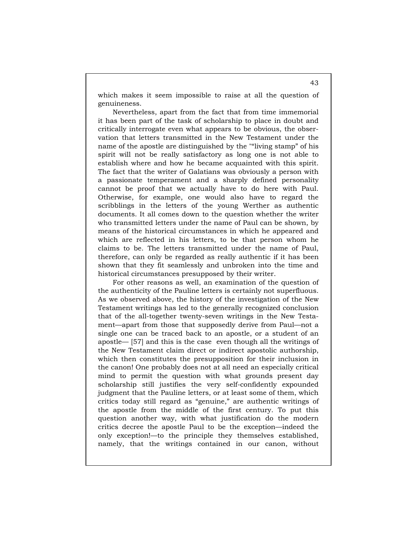which makes it seem impossible to raise at all the question of genuineness.

Nevertheless, apart from the fact that from time immemorial it has been part of the task of scholarship to place in doubt and critically interrogate even what appears to be obvious, the observation that letters transmitted in the New Testament under the name of the apostle are distinguished by the ""living stamp" of his spirit will not be really satisfactory as long one is not able to establish where and how he became acquainted with this spirit. The fact that the writer of Galatians was obviously a person with a passionate temperament and a sharply defined personality cannot be proof that we actually have to do here with Paul. Otherwise, for example, one would also have to regard the scribblings in the letters of the young Werther as authentic documents. It all comes down to the question whether the writer who transmitted letters under the name of Paul can be shown, by means of the historical circumstances in which he appeared and which are reflected in his letters, to be that person whom he claims to be. The letters transmitted under the name of Paul, therefore, can only be regarded as really authentic if it has been shown that they fit seamlessly and unbroken into the time and historical circumstances presupposed by their writer.

For other reasons as well, an examination of the question of the authenticity of the Pauline letters is certainly not superfluous. As we observed above, the history of the investigation of the New Testament writings has led to the generally recognized conclusion that of the all-together twenty-seven writings in the New Testament—apart from those that supposedly derive from Paul—not a single one can be traced back to an apostle, or a student of an apostle— [57] and this is the case even though all the writings of the New Testament claim direct or indirect apostolic authorship, which then constitutes the presupposition for their inclusion in the canon! One probably does not at all need an especially critical mind to permit the question with what grounds present day scholarship still justifies the very self-confidently expounded judgment that the Pauline letters, or at least some of them, which critics today still regard as "genuine," are authentic writings of the apostle from the middle of the first century. To put this question another way, with what justification do the modern critics decree the apostle Paul to be the exception—indeed the only exception!—to the principle they themselves established, namely, that the writings contained in our canon, without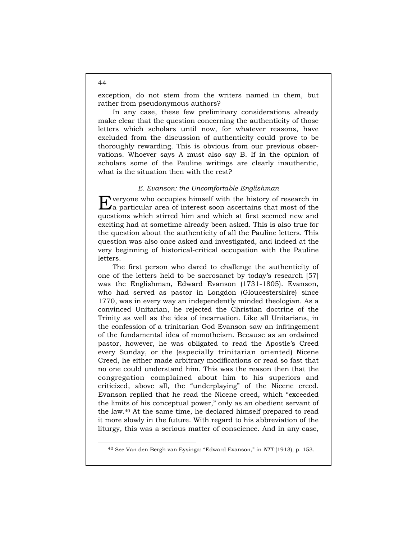exception, do not stem from the writers named in them, but rather from pseudonymous authors?

In any case, these few preliminary considerations already make clear that the question concerning the authenticity of those letters which scholars until now, for whatever reasons, have excluded from the discussion of authenticity could prove to be thoroughly rewarding. This is obvious from our previous observations. Whoever says A must also say B. If in the opinion of scholars some of the Pauline writings are clearly inauthentic, what is the situation then with the rest?

# *E. Evanson: the Uncomfortable Englishman*

**Extends who occupies himself with the history of research in**  $\mathbf{\Sigma}$ a particular area of interest soon ascertains that most of the questions which stirred him and which at first seemed new and exciting had at sometime already been asked. This is also true for the question about the authenticity of all the Pauline letters. This question was also once asked and investigated, and indeed at the very beginning of historical-critical occupation with the Pauline letters.

The first person who dared to challenge the authenticity of one of the letters held to be sacrosanct by today's research [57] was the Englishman, Edward Evanson (1731-1805). Evanson, who had served as pastor in Longdon (Gloucestershire) since 1770, was in every way an independently minded theologian. As a convinced Unitarian, he rejected the Christian doctrine of the Trinity as well as the idea of incarnation. Like all Unitarians, in the confession of a trinitarian God Evanson saw an infringement of the fundamental idea of monotheism. Because as an ordained pastor, however, he was obligated to read the Apostle's Creed every Sunday, or the (especially trinitarian oriented) Nicene Creed, he either made arbitrary modifications or read so fast that no one could understand him. This was the reason then that the congregation complained about him to his superiors and criticized, above all, the "underplaying" of the Nicene creed. Evanson replied that he read the Nicene creed, which "exceeded the limits of his conceptual power," only as an obedient servant of the law[.40](#page-43-0) At the same time, he declared himself prepared to read it more slowly in the future. With regard to his abbreviation of the liturgy, this was a serious matter of conscience. And in any case,

<span id="page-43-0"></span> <sup>40</sup> See Van den Bergh van Eysinga: "Edward Evanson," in *NTT* (1913), p. 153.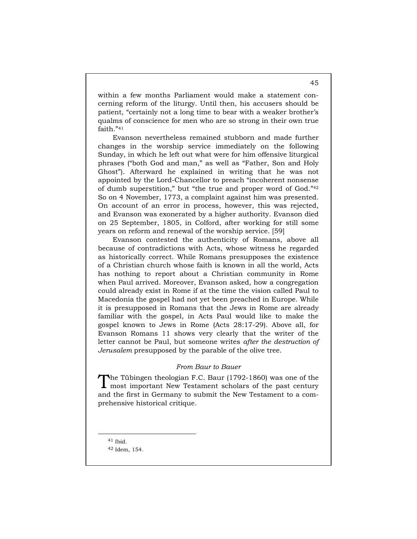within a few months Parliament would make a statement concerning reform of the liturgy. Until then, his accusers should be patient, "certainly not a long time to bear with a weaker brother's qualms of conscience for men who are so strong in their own true faith."[41](#page-44-0)

Evanson nevertheless remained stubborn and made further changes in the worship service immediately on the following Sunday, in which he left out what were for him offensive liturgical phrases ("both God and man," as well as "Father, Son and Holy Ghost"). Afterward he explained in writing that he was not appointed by the Lord-Chancellor to preach "incoherent nonsense of dumb superstition," but "the true and proper word of God."[42](#page-44-1) So on 4 November, 1773, a complaint against him was presented. On account of an error in process, however, this was rejected, and Evanson was exonerated by a higher authority. Evanson died on 25 September, 1805, in Colford, after working for still some years on reform and renewal of the worship service. [59]

Evanson contested the authenticity of Romans, above all because of contradictions with Acts, whose witness he regarded as historically correct. While Romans presupposes the existence of a Christian church whose faith is known in all the world, Acts has nothing to report about a Christian community in Rome when Paul arrived. Moreover, Evanson asked, how a congregation could already exist in Rome if at the time the vision called Paul to Macedonia the gospel had not yet been preached in Europe. While it is presupposed in Romans that the Jews in Rome are already familiar with the gospel, in Acts Paul would like to make the gospel known to Jews in Rome (Acts 28:17-29). Above all, for Evanson Romans 11 shows very clearly that the writer of the letter cannot be Paul, but someone writes *after the destruction of Jerusalem* presupposed by the parable of the olive tree.

# *From Baur to Bauer*

The Tübingen theologian F.C. Baur (1792-1860) was one of the  $\perp$  most important New Testament scholars of the past century and the first in Germany to submit the New Testament to a comprehensive historical critique.

<span id="page-44-0"></span>41 Ibid.

<span id="page-44-1"></span>42 Idem, 154.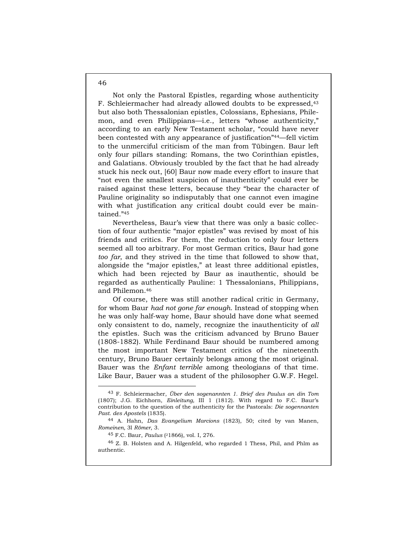Not only the Pastoral Epistles, regarding whose authenticity F. Schleiermacher had already allowed doubts to be expressed,[43](#page-45-0) but also both Thessalonian epistles, Colossians, Ephesians, Philemon, and even Philippians—i.e., letters "whose authenticity," according to an early New Testament scholar, "could have never been contested with any appearance of justification["44—](#page-45-1)fell victim to the unmerciful criticism of the man from Tübingen. Baur left only four pillars standing: Romans, the two Corinthian epistles, and Galatians. Obviously troubled by the fact that he had already stuck his neck out, [60] Baur now made every effort to insure that "not even the smallest suspicion of inauthenticity" could ever be raised against these letters, because they "bear the character of Pauline originality so indisputably that one cannot even imagine with what justification any critical doubt could ever be maintained."[45](#page-45-2)

Nevertheless, Baur's view that there was only a basic collection of four authentic "major epistles" was revised by most of his friends and critics. For them, the reduction to only four letters seemed all too arbitrary. For most German critics, Baur had gone *too far*, and they strived in the time that followed to show that, alongside the "major epistles," at least three additional epistles, which had been rejected by Baur as inauthentic, should be regarded as authentically Pauline: 1 Thessalonians, Philippians, and Philemon.[46](#page-45-3)

Of course, there was still another radical critic in Germany, for whom Baur *had not gone far enough*. Instead of stopping when he was only half-way home, Baur should have done what seemed only consistent to do, namely, recognize the inauthenticity of *all* the epistles. Such was the criticism advanced by Bruno Bauer (1808-1882). While Ferdinand Baur should be numbered among the most important New Testament critics of the nineteenth century, Bruno Bauer certainly belongs among the most original. Bauer was the *Enfant terrible* among theologians of that time. Like Baur, Bauer was a student of the philosopher G.W.F. Hegel.

<span id="page-45-0"></span> <sup>43</sup> F. Schleiermacher, *Über den sogenannten 1. Brief des Paulus an din Tom*  (1807); J.G. Eichhorn, *Einleitung,* III 1 (1812). With regard to F.C. Baur's contribution to the question of the authenticity for the Pastorals: *Die sogennanten Past. des Apostels* (1835).

<sup>44</sup> A. Hahn, *Das Evangelium Marcions* (1823), 50; cited by van Manen, *Romeinen*, 3l *Römer*, 3.

<span id="page-45-3"></span><span id="page-45-2"></span><span id="page-45-1"></span><sup>45</sup> F.C. Baur, *Paulus* (21866), vol. I, 276.

<sup>46</sup> Z. B. Holsten and A. Hilgenfeld, who regarded 1 Thess, Phil, and Phlm as authentic.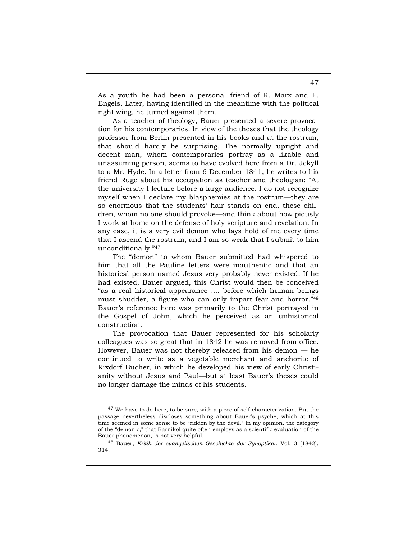As a youth he had been a personal friend of K. Marx and F. Engels. Later, having identified in the meantime with the political right wing, he turned against them.

As a teacher of theology, Bauer presented a severe provocation for his contemporaries. In view of the theses that the theology professor from Berlin presented in his books and at the rostrum, that should hardly be surprising. The normally upright and decent man, whom contemporaries portray as a likable and unassuming person, seems to have evolved here from a Dr. Jekyll to a Mr. Hyde. In a letter from 6 December 1841, he writes to his friend Ruge about his occupation as teacher and theologian: "At the university I lecture before a large audience. I do not recognize myself when I declare my blasphemies at the rostrum—they are so enormous that the students' hair stands on end, these children, whom no one should provoke—and think about how piously I work at home on the defense of holy scripture and revelation. In any case, it is a very evil demon who lays hold of me every time that I ascend the rostrum, and I am so weak that I submit to him unconditionally."[47](#page-46-0)

The "demon" to whom Bauer submitted had whispered to him that all the Pauline letters were inauthentic and that an historical person named Jesus very probably never existed. If he had existed, Bauer argued, this Christ would then be conceived "as a real historical appearance .... before which human beings must shudder, a figure who can only impart fear and horror."[48](#page-46-1) Bauer's reference here was primarily to the Christ portrayed in the Gospel of John, which he perceived as an unhistorical construction.

The provocation that Bauer represented for his scholarly colleagues was so great that in 1842 he was removed from office. However, Bauer was not thereby released from his demon — he continued to write as a vegetable merchant and anchorite of Rixdorf Bücher, in which he developed his view of early Christianity without Jesus and Paul—but at least Bauer's theses could no longer damage the minds of his students.

<span id="page-46-0"></span><sup>&</sup>lt;sup>47</sup> We have to do here, to be sure, with a piece of self-characterization. But the passage nevertheless discloses something about Bauer's psyche, which at this time seemed in some sense to be "ridden by the devil." In my opinion, the category of the "demonic," that Barnikol quite often employs as a scientific evaluation of the Bauer phenomenon, is not very helpful.

<span id="page-46-1"></span><sup>48</sup> Bauer, *Kritik der evangelischen Geschichte der Synoptiker*, Vol. 3 (1842), 314.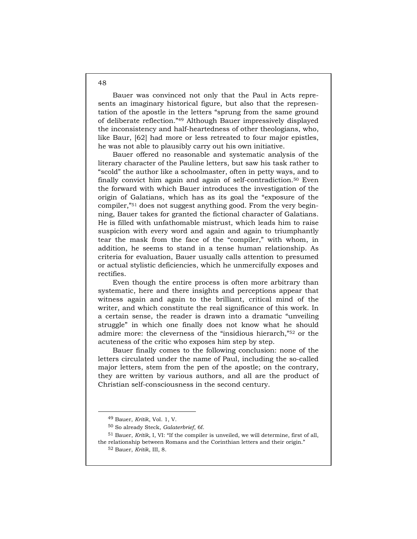Bauer was convinced not only that the Paul in Acts represents an imaginary historical figure, but also that the representation of the apostle in the letters "sprung from the same ground of deliberate reflection."[49](#page-47-0) Although Bauer impressively displayed the inconsistency and half-heartedness of other theologians, who, like Baur, [62] had more or less retreated to four major epistles, he was not able to plausibly carry out his own initiative.

Bauer offered no reasonable and systematic analysis of the literary character of the Pauline letters, but saw his task rather to "scold" the author like a schoolmaster, often in petty ways, and to finally convict him again and again of self-contradiction.[50](#page-47-1) Even the forward with which Bauer introduces the investigation of the origin of Galatians, which has as its goal the "exposure of the compiler,["51](#page-47-2) does not suggest anything good. From the very beginning, Bauer takes for granted the fictional character of Galatians. He is filled with unfathomable mistrust, which leads him to raise suspicion with every word and again and again to triumphantly tear the mask from the face of the "compiler," with whom, in addition, he seems to stand in a tense human relationship. As criteria for evaluation, Bauer usually calls attention to presumed or actual stylistic deficiencies, which he unmercifully exposes and rectifies.

Even though the entire process is often more arbitrary than systematic, here and there insights and perceptions appear that witness again and again to the brilliant, critical mind of the writer, and which constitute the real significance of this work. In a certain sense, the reader is drawn into a dramatic "unveiling struggle" in which one finally does not know what he should admire more: the cleverness of the "insidious hierarch,["52](#page-47-3) or the acuteness of the critic who exposes him step by step.

Bauer finally comes to the following conclusion: none of the letters circulated under the name of Paul, including the so-called major letters, stem from the pen of the apostle; on the contrary, they are written by various authors, and all are the product of Christian self-consciousness in the second century.

<span id="page-47-0"></span> <sup>49</sup> Bauer, *Kritik*, Vol. 1, V.

<span id="page-47-2"></span><span id="page-47-1"></span><sup>50</sup> So already Steck, *Galaterbrief*, 6f.

<sup>51</sup> Bauer, *Kritik*, I, VI: "If the compiler is unveiled, we will determine, first of all, the relationship between Romans and the Corinthian letters and their origin."

<span id="page-47-3"></span><sup>52</sup> Bauer, *Kritik*, III, 8.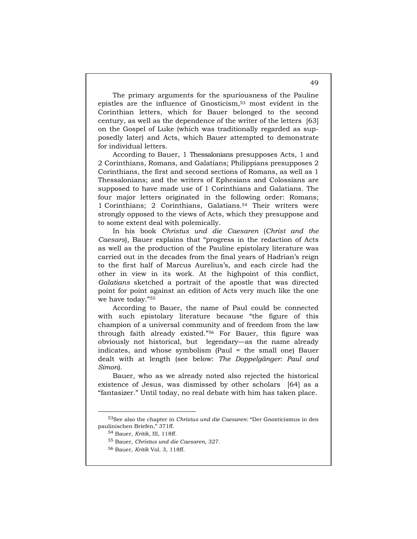The primary arguments for the spuriousness of the Pauline epistles are the influence of Gnosticism,[53](#page-48-0) most evident in the Corinthian letters, which for Bauer belonged to the second century, as well as the dependence of the writer of the letters [63] on the Gospel of Luke (which was traditionally regarded as supposedly later) and Acts, which Bauer attempted to demonstrate for individual letters.

According to Bauer, 1 Thessalonians presupposes Acts, 1 and 2 Corinthians, Romans, and Galatians; Philippians presupposes 2 Corinthians, the first and second sections of Romans, as well as 1 Thessalonians; and the writers of Ephesians and Colossians are supposed to have made use of 1 Corinthians and Galatians. The four major letters originated in the following order: Romans; 1 Corinthians; 2 Corinthians, Galatians[.54](#page-48-1) Their writers were strongly opposed to the views of Acts, which they presuppose and to some extent deal with polemically.

In his book *Christus und die Caesaren* (*Christ and the Caesars*), Bauer explains that "progress in the redaction of Acts as well as the production of the Pauline epistolary literature was carried out in the decades from the final years of Hadrian's reign to the first half of Marcus Aurelius's, and each circle had the other in view in its work. At the highpoint of this conflict, *Galatians* sketched a portrait of the apostle that was directed point for point against an edition of Acts very much like the one we have today.["55](#page-48-2) 

According to Bauer, the name of Paul could be connected with such epistolary literature because "the figure of this champion of a universal community and of freedom from the law through faith already existed.["56](#page-48-3) For Bauer, this figure was obviously not historical, but legendary—as the name already indicates, and whose symbolism (Paul = the small one) Bauer dealt with at length (see below: *The Doppelgänger: Paul and Simon*).

Bauer, who as we already noted also rejected the historical existence of Jesus, was dismissed by other scholars [64] as a "fantasizer." Until today, no real debate with him has taken place.

<span id="page-48-0"></span> <sup>53</sup>See also the chapter in *Christus und die Caesaren*: "Der Gnosticismus in den paulinischen Briefen," 371ff.

<span id="page-48-1"></span><sup>54</sup> Bauer, *Kritik*, III, 118ff.

<span id="page-48-2"></span><sup>55</sup> Bauer, *Christus und die Caesaren*, 327.

<span id="page-48-3"></span><sup>56</sup> Bauer, *Kritik* Vol. 3, 118ff.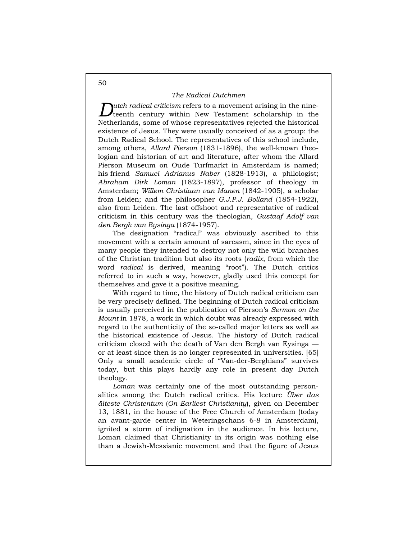## *The Radical Dutchmen*

Dutch radical criticism refers to a movement arising in the nine-<br>teenth century within New Testament scholarship in the Netherlands, some of whose representatives rejected the historical existence of Jesus. They were usually conceived of as a group: the Dutch Radical School. The representatives of this school include, among others, *Allard Pierson* (1831-1896), the well-known theologian and historian of art and literature, after whom the Allard Pierson Museum on Oude Turfmarkt in Amsterdam is named; his friend *Samuel Adrianus Naber* (1828-1913), a philologist; *Abraham Dirk Loman* (1823-1897), professor of theology in Amsterdam; *Willem Christiaan van Manen* (1842-1905), a scholar from Leiden; and the philosopher *G.J.P.J. Bolland* (1854-1922), also from Leiden. The last offshoot and representative of radical criticism in this century was the theologian, *Gustaaf Adolf van den Bergh van Eysinga* (1874-1957).

The designation "radical" was obviously ascribed to this movement with a certain amount of sarcasm, since in the eyes of many people they intended to destroy not only the wild branches of the Christian tradition but also its roots (*radix*, from which the word *radical* is derived, meaning "root"). The Dutch critics referred to in such a way, however, gladly used this concept for themselves and gave it a positive meaning.

With regard to time, the history of Dutch radical criticism can be very precisely defined. The beginning of Dutch radical criticism is usually perceived in the publication of Pierson's *Sermon on the Mount* in 1878, a work in which doubt was already expressed with regard to the authenticity of the so-called major letters as well as the historical existence of Jesus. The history of Dutch radical criticism closed with the death of Van den Bergh van Eysinga or at least since then is no longer represented in universities. [65] Only a small academic circle of "Van-der-Berghians" survives today, but this plays hardly any role in present day Dutch theology.

*Loman* was certainly one of the most outstanding personalities among the Dutch radical critics. His lecture *Über das älteste Christentum* (*On Earliest Christianity*), given on December 13, 1881, in the house of the Free Church of Amsterdam (today an avant-garde center in Weteringschans 6-8 in Amsterdam), ignited a storm of indignation in the audience. In his lecture, Loman claimed that Christianity in its origin was nothing else than a Jewish-Messianic movement and that the figure of Jesus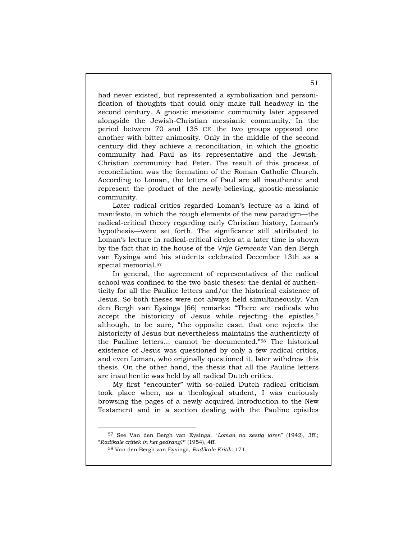had never existed, but represented a symbolization and personification of thoughts that could only make full headway in the second century. A gnostic messianic community later appeared alongside the Jewish-Christian messianic community. In the period between 70 and 135 CE the two groups opposed one another with bitter animosity. Only in the middle of the second century did they achieve a reconciliation, in which the gnostic community had Paul as its representative and the Jewish-Christian community had Peter. The result of this process of reconciliation was the formation of the Roman Catholic Church. According to Loman, the letters of Paul are all inauthentic and represent the product of the newly-believing, gnostic-messianic community.

Later radical critics regarded Loman's lecture as a kind of manifesto, in which the rough elements of the new paradigm—the radical-critical theory regarding early Christian history, Loman's hypothesis—were set forth. The significance still attributed to Loman's lecture in radical-critical circles at a later time is shown by the fact that in the house of the *Vrije Gemeente* Van den Bergh van Eysinga and his students celebrated December 13th as a special memorial.<sup>[57](#page-50-0)</sup>

In general, the agreement of representatives of the radical school was confined to the two basic theses: the denial of authenticity for all the Pauline letters and/or the historical existence of Jesus. So both theses were not always held simultaneously. Van den Bergh van Eysinga [66] remarks: "There are radicals who accept the historicity of Jesus while rejecting the epistles," although, to be sure, "the opposite case, that one rejects the historicity of Jesus but nevertheless maintains the authenticity of the Pauline letters... cannot be documented."[58](#page-50-1) The historical existence of Jesus was questioned by only a few radical critics, and even Loman, who originally questioned it, later withdrew this thesis. On the other hand, the thesis that all the Pauline letters are inauthentic was held by all radical Dutch critics.

My first "encounter" with so-called Dutch radical criticism took place when, as a theological student, I was curiously browsing the pages of a newly acquired Introduction to the New Testament and in a section dealing with the Pauline epistles

 <sup>57</sup> See Van den Bergh van Eysinga, "*Loman na zestig jaren*" (1942), 3ff.; "*Radikale critiek in het gedrang?*" (1954), 4ff.

<span id="page-50-1"></span><span id="page-50-0"></span><sup>58</sup> Van den Bergh van Eysinga, *Radikale Kritik*. 171.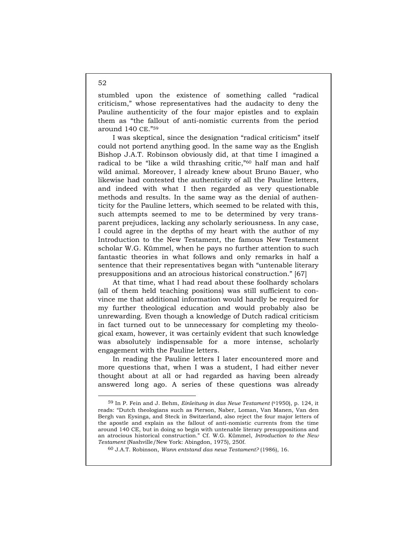stumbled upon the existence of something called "radical criticism," whose representatives had the audacity to deny the Pauline authenticity of the four major epistles and to explain them as "the fallout of anti-nomistic currents from the period around 140 CE."[59](#page-51-0)

I was skeptical, since the designation "radical criticism" itself could not portend anything good. In the same way as the English Bishop J.A.T. Robinson obviously did, at that time I imagined a radical to be "like a wild thrashing critic,["60](#page-51-1) half man and half wild animal. Moreover, I already knew about Bruno Bauer, who likewise had contested the authenticity of all the Pauline letters, and indeed with what I then regarded as very questionable methods and results. In the same way as the denial of authenticity for the Pauline letters, which seemed to be related with this, such attempts seemed to me to be determined by very transparent prejudices, lacking any scholarly seriousness. In any case, I could agree in the depths of my heart with the author of my Introduction to the New Testament, the famous New Testament scholar W.G. Kümmel, when he pays no further attention to such fantastic theories in what follows and only remarks in half a sentence that their representatives began with "untenable literary presuppositions and an atrocious historical construction." [67]

At that time, what I had read about these foolhardy scholars (all of them held teaching positions) was still sufficient to convince me that additional information would hardly be required for my further theological education and would probably also be unrewarding. Even though a knowledge of Dutch radical criticism in fact turned out to be unnecessary for completing my theological exam, however, it was certainly evident that such knowledge was absolutely indispensable for a more intense, scholarly engagement with the Pauline letters.

In reading the Pauline letters I later encountered more and more questions that, when I was a student, I had either never thought about at all or had regarded as having been already answered long ago. A series of these questions was already

<span id="page-51-0"></span> <sup>59</sup> In P. Fein and J. Behm, *Einleitung in das Neue Testament* (91950), p. 124, it reads: "Dutch theologians such as Pierson, Naber, Loman, Van Manen, Van den Bergh van Eysinga, and Steck in Switzerland, also reject the four major letters of the apostle and explain as the fallout of anti-nomistic currents from the time around 140 CE, but in doing so begin with untenable literary presuppositions and an atrocious historical construction." Cf. W.G. Kümmel, *Introduction to the New Testament* (Nashville/New York: Abingdon, 1975), 250f.

<span id="page-51-1"></span><sup>60</sup> J.A.T. Robinson, *Wann entstand das neue Testament?* (1986), 16.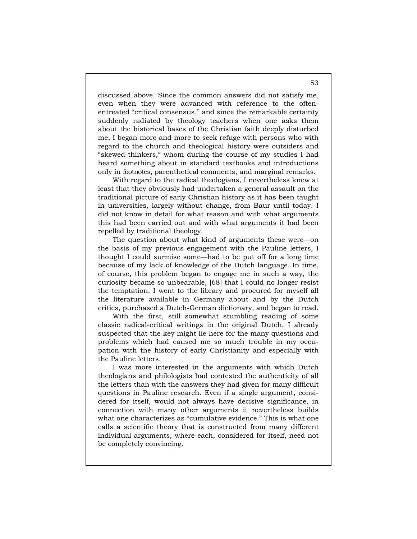discussed above. Since the common answers did not satisfy me, even when they were advanced with reference to the oftenentreated "critical consensus," and since the remarkable certainty suddenly radiated by theology teachers when one asks them about the historical bases of the Christian faith deeply disturbed me, I began more and more to seek refuge with persons who with regard to the church and theological history were outsiders and "skewed-thinkers," whom during the course of my studies I had heard something about in standard textbooks and introductions only in footnotes, parenthetical comments, and marginal remarks.

With regard to the radical theologians, I nevertheless knew at least that they obviously had undertaken a general assault on the traditional picture of early Christian history as it has been taught in universities, largely without change, from Baur until today. I did not know in detail for what reason and with what arguments this had been carried out and with what arguments it had been repelled by traditional theology.

The question about what kind of arguments these were—on the basis of my previous engagement with the Pauline letters, I thought I could surmise some—had to be put off for a long time because of my lack of knowledge of the Dutch language. In time, of course, this problem began to engage me in such a way, the curiosity became so unbearable, [68] that I could no longer resist the temptation. I went to the library and procured for myself all the literature available in Germany about and by the Dutch critics, purchased a Dutch-German dictionary, and began to read.

With the first, still somewhat stumbling reading of some classic radical-critical writings in the original Dutch, I already suspected that the key might lie here for the many questions and problems which had caused me so much trouble in my occupation with the history of early Christianity and especially with the Pauline letters.

I was more interested in the arguments with which Dutch theologians and philologists had contested the authenticity of all the letters than with the answers they had given for many difficult questions in Pauline research. Even if a single argument, considered for itself, would not always have decisive significance, in connection with many other arguments it nevertheless builds what one characterizes as "cumulative evidence." This is what one calls a scientific theory that is constructed from many different individual arguments, where each, considered for itself, need not be completely convincing.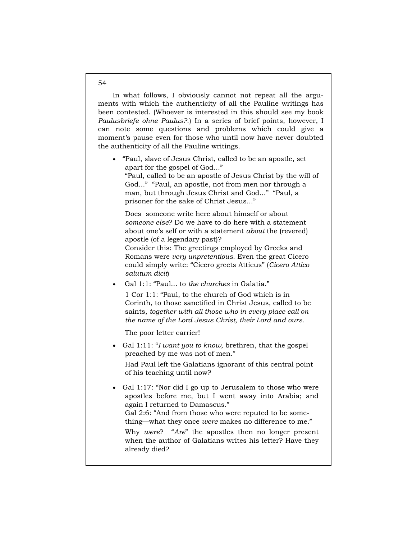In what follows, I obviously cannot not repeat all the arguments with which the authenticity of all the Pauline writings has been contested. (Whoever is interested in this should see my book *Paulusbriefe ohne Paulus?*.) In a series of brief points, however, I can note some questions and problems which could give a moment's pause even for those who until now have never doubted the authenticity of all the Pauline writings.

• "Paul, slave of Jesus Christ, called to be an apostle, set apart for the gospel of God..." "Paul, called to be an apostle of Jesus Christ by the will of God..." "Paul, an apostle, not from men nor through a man, but through Jesus Christ and God..." "Paul, a prisoner for the sake of Christ Jesus..."

Does someone write here about himself or about *someone else*? Do we have to do here with a statement about one's self or with a statement *about* the (revered) apostle (of a legendary past)? Consider this: The greetings employed by Greeks and

Romans were *very unpretentious*. Even the great Cicero could simply write: "Cicero greets Atticus" (*Cicero Attico salutum dicit*)

• Gal 1:1: "Paul... to *the churches* in Galatia."

1 Cor 1:1: "Paul, to the church of God which is in Corinth, to those sanctified in Christ Jesus, called to be saints, *together with all those who in every place call on the name of the Lord Jesus Christ, their Lord and ours.*

The poor letter carrier!

• Gal 1:11: "*I want you to know*, brethren, that the gospel preached by me was not of men."

Had Paul left the Galatians ignorant of this central point of his teaching until now?

• Gal 1:17: "Nor did I go up to Jerusalem to those who were apostles before me, but I went away into Arabia; and again I returned to Damascus."

Gal 2:6: "And from those who were reputed to be something—what they once *were* makes no difference to me."

Why *were*? "*Are*" the apostles then no longer present when the author of Galatians writes his letter? Have they already died?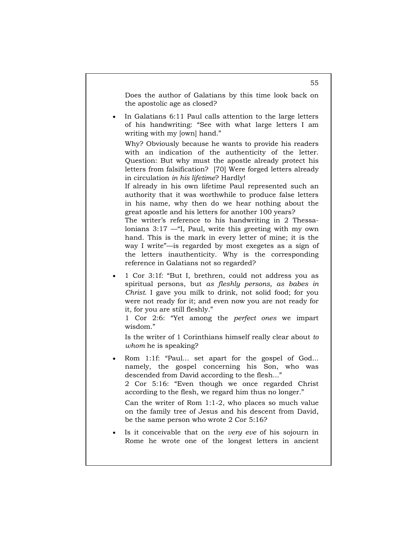Does the author of Galatians by this time look back on the apostolic age as closed?

• In Galatians 6:11 Paul calls attention to the large letters of his handwriting: "See with what large letters I am writing with my [own] hand."

Why? Obviously because he wants to provide his readers with an indication of the authenticity of the letter. Question: But why must the apostle already protect his letters from falsification? [70] Were forged letters already in circulation *in his lifetime*? Hardly!

If already in his own lifetime Paul represented such an authority that it was worthwhile to produce false letters in his name, why then do we hear nothing about the great apostle and his letters for another 100 years?

The writer's reference to his handwriting in 2 Thessalonians 3:17 —"I, Paul, write this greeting with my own hand. This is the mark in every letter of mine; it is the way I write"—is regarded by most exegetes as a sign of the letters inauthenticity. Why is the corresponding reference in Galatians not so regarded?

• 1 Cor 3:1f: "But I, brethren, could not address you as spiritual persons, but *as fleshly persons, as babes in Christ*. I gave you milk to drink, not solid food; for you were not ready for it; and even now you are not ready for it, for you are still fleshly."

1 Cor 2:6: "Yet among the *perfect ones* we impart wisdom."

Is the writer of 1 Corinthians himself really clear about *to whom* he is speaking?

Rom 1:1f: "Paul... set apart for the gospel of God... namely, the gospel concerning his Son, who was descended from David according to the flesh..."

2 Cor 5:16: "Even though we once regarded Christ according to the flesh, we regard him thus no longer."

Can the writer of Rom 1:1-2, who places so much value on the family tree of Jesus and his descent from David, be the same person who wrote 2 Cor 5:16?

• Is it conceivable that on the *very eve* of his sojourn in Rome he wrote one of the longest letters in ancient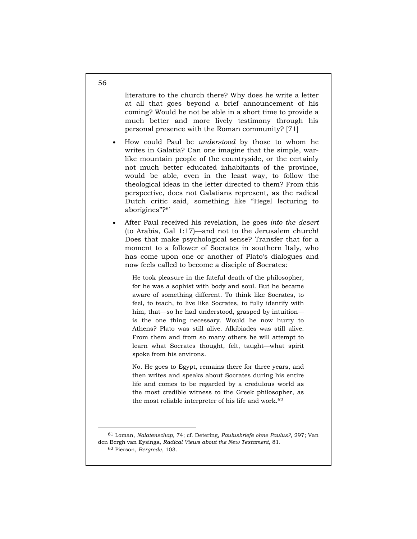literature to the church there? Why does he write a letter at all that goes beyond a brief announcement of his coming? Would he not be able in a short time to provide a much better and more lively testimony through his personal presence with the Roman community? [71]

- How could Paul be *understood* by those to whom he writes in Galatia? Can one imagine that the simple, warlike mountain people of the countryside, or the certainly not much better educated inhabitants of the province, would be able, even in the least way, to follow the theological ideas in the letter directed to them? From this perspective, does not Galatians represent, as the radical Dutch critic said, something like "Hegel lecturing to aborigines"[?61](#page-55-0)
- After Paul received his revelation, he goes *into the desert* (to Arabia, Gal 1:17)—and not to the Jerusalem church! Does that make psychological sense? Transfer that for a moment to a follower of Socrates in southern Italy, who has come upon one or another of Plato's dialogues and now feels called to become a disciple of Socrates:

He took pleasure in the fateful death of the philosopher, for he was a sophist with body and soul. But he became aware of something different. To think like Socrates, to feel, to teach, to live like Socrates, to fully identify with him, that—so he had understood, grasped by intuition is the one thing necessary. Would he now hurry to Athens? Plato was still alive. Alkibiades was still alive. From them and from so many others he will attempt to learn what Socrates thought, felt, taught—what spirit spoke from his environs.

No. He goes to Egypt, remains there for three years, and then writes and speaks about Socrates during his entire life and comes to be regarded by a credulous world as the most credible witness to the Greek philosopher, as the most reliable interpreter of his life and work. $62$ 

<span id="page-55-1"></span><span id="page-55-0"></span> 61 Loman, *Nalatenschap*, 74; cf. Detering, *Paulusbriefe ohne Paulus?*, 297; Van den Bergh van Eysinga, *Radical Views about the New Testament*, 81. 62 Pierson, *Bergrede*, 103.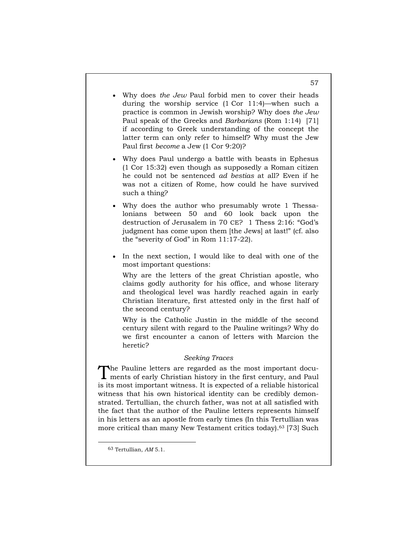- Why does *the Jew* Paul forbid men to cover their heads during the worship service (1 Cor 11:4)—when such a practice is common in Jewish worship? Why does *the Jew* Paul speak of the Greeks and *Barbarians* (Rom 1:14) [71] if according to Greek understanding of the concept the latter term can only refer to himself? Why must the Jew Paul first *become* a Jew (1 Cor 9:20)?
- Why does Paul undergo a battle with beasts in Ephesus (1 Cor 15:32) even though as supposedly a Roman citizen he could not be sentenced *ad bestias* at all? Even if he was not a citizen of Rome, how could he have survived such a thing?
- Why does the author who presumably wrote 1 Thessalonians between 50 and 60 look back upon the destruction of Jerusalem in 70 CE? 1 Thess 2:16: "God's judgment has come upon them [the Jews] at last!" (cf. also the "severity of God" in Rom 11:17-22).
- In the next section, I would like to deal with one of the most important questions:

Why are the letters of the great Christian apostle, who claims godly authority for his office, and whose literary and theological level was hardly reached again in early Christian literature, first attested only in the first half of the second century?

Why is the Catholic Justin in the middle of the second century silent with regard to the Pauline writings? Why do we first encounter a canon of letters with Marcion the heretic?

#### *Seeking Traces*

The Pauline letters are regarded as the most important documents of early Christian history in the first century, and Paul is its most important witness. It is expected of a reliable historical witness that his own historical identity can be credibly demonstrated. Tertullian, the church father, was not at all satisfied with the fact that the author of the Pauline letters represents himself in his letters as an apostle from early times (In this Tertullian was more critical than many New Testament critics today).[63](#page-56-0) [73] Such

<span id="page-56-0"></span> <sup>63</sup> Tertullian, *AM* 5.1.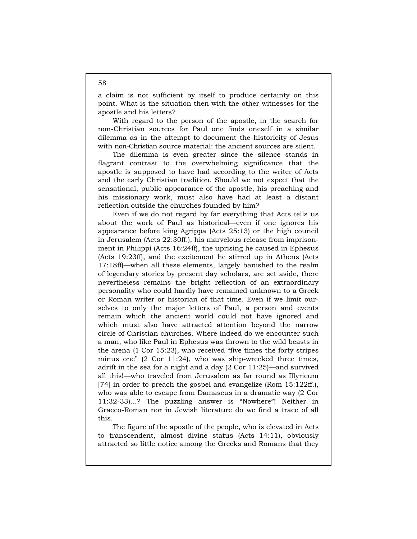a claim is not sufficient by itself to produce certainty on this point. What is the situation then with the other witnesses for the apostle and his letters?

With regard to the person of the apostle, in the search for non-Christian sources for Paul one finds oneself in a similar dilemma as in the attempt to document the historicity of Jesus with non-Christian source material: the ancient sources are silent.

The dilemma is even greater since the silence stands in flagrant contrast to the overwhelming significance that the apostle is supposed to have had according to the writer of Acts and the early Christian tradition. Should we not expect that the sensational, public appearance of the apostle, his preaching and his missionary work, must also have had at least a distant reflection outside the churches founded by him?

Even if we do not regard by far everything that Acts tells us about the work of Paul as historical—even if one ignores his appearance before king Agrippa (Acts 25:13) or the high council in Jerusalem (Acts 22:30ff.), his marvelous release from imprisonment in Philippi (Acts 16:24ff), the uprising he caused in Ephesus (Acts 19:23ff), and the excitement he stirred up in Athens (Acts 17:18ff)—when all these elements, largely banished to the realm of legendary stories by present day scholars, are set aside, there nevertheless remains the bright reflection of an extraordinary personality who could hardly have remained unknown to a Greek or Roman writer or historian of that time. Even if we limit ourselves to only the major letters of Paul, a person and events remain which the ancient world could not have ignored and which must also have attracted attention beyond the narrow circle of Christian churches. Where indeed do we encounter such a man, who like Paul in Ephesus was thrown to the wild beasts in the arena (1 Cor 15:23), who received "five times the forty stripes minus one" (2 Cor 11:24), who was ship-wrecked three times, adrift in the sea for a night and a day (2 Cor 11:25)—and survived all this!—who traveled from Jerusalem as far round as Illyricum [74] in order to preach the gospel and evangelize (Rom 15:122ff.), who was able to escape from Damascus in a dramatic way (2 Cor 11:32-33)...? The puzzling answer is "Nowhere"! Neither in Graeco-Roman nor in Jewish literature do we find a trace of all this.

The figure of the apostle of the people, who is elevated in Acts to transcendent, almost divine status (Acts 14:11), obviously attracted so little notice among the Greeks and Romans that they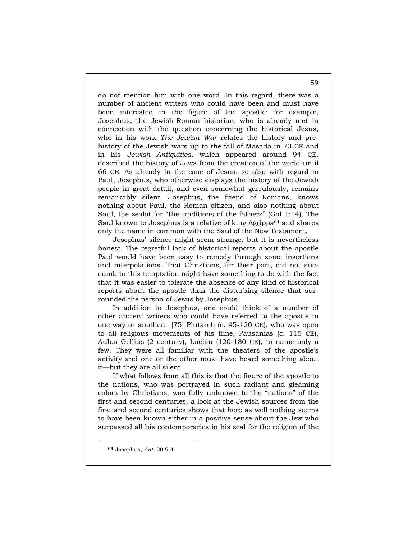do not mention him with one word. In this regard, there was a number of ancient writers who could have been and must have been interested in the figure of the apostle: for example, Josephus, the Jewish-Roman historian, who is already met in connection with the question concerning the historical Jesus, who in his work *The Jewish War* relates the history and prehistory of the Jewish wars up to the fall of Masada in 73 CE and in his *Jewish Antiquities*, which appeared around 94 CE, described the history of Jews from the creation of the world until 66 CE. As already in the case of Jesus, so also with regard to Paul, Josephus, who otherwise displays the history of the Jewish people in great detail, and even somewhat garrulously, remains remarkably silent. Josephus, the friend of Romans, knows nothing about Paul, the Roman citizen, and also nothing about Saul, the zealot for "the traditions of the fathers" (Gal 1:14). The Saul known to Josephus is a relative of king Agripp[a64](#page-58-0) and shares only the name in common with the Saul of the New Testament.

Josephus' silence might seem strange, but it is nevertheless honest. The regretful lack of historical reports about the apostle Paul would have been easy to remedy through some insertions and interpolations. That Christians, for their part, did not succumb to this temptation might have something to do with the fact that it was easier to tolerate the absence of any kind of historical reports about the apostle than the disturbing silence that surrounded the person of Jesus by Josephus.

In addition to Josephus, one could think of a number of other ancient writers who could have referred to the apostle in one way or another: [75] Plutarch (c. 45-120 CE), who was open to all religious movements of his time, Pausanias (c. 115 CE), Aulus Gellius (2 century), Lucian (120-180 CE), to name only a few. They were all familiar with the theaters of the apostle's activity and one or the other must have heard something about it—but they are all silent.

If what follows from all this is that the figure of the apostle to the nations, who was portrayed in such radiant and gleaming colors by Christians, was fully unknown to the "nations" of the first and second centuries, a look at the Jewish sources from the first and second centuries shows that here as well nothing seems to have been known either in a positive sense about the Jew who surpassed all his contemporaries in his zeal for the religion of the

<span id="page-58-0"></span> <sup>64</sup> Josephus, *Ant*. 20.9.4.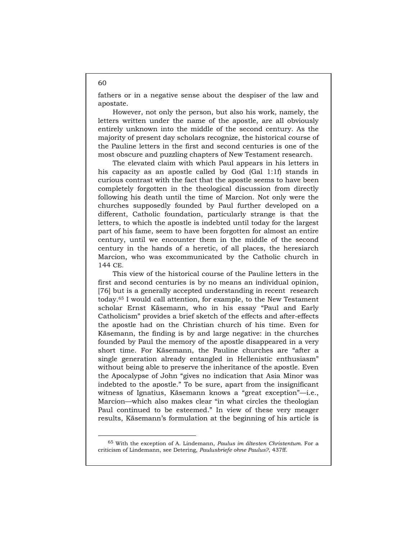fathers or in a negative sense about the despiser of the law and apostate.

However, not only the person, but also his work, namely, the letters written under the name of the apostle, are all obviously entirely unknown into the middle of the second century. As the majority of present day scholars recognize, the historical course of the Pauline letters in the first and second centuries is one of the most obscure and puzzling chapters of New Testament research.

The elevated claim with which Paul appears in his letters in his capacity as an apostle called by God (Gal 1:1f) stands in curious contrast with the fact that the apostle seems to have been completely forgotten in the theological discussion from directly following his death until the time of Marcion. Not only were the churches supposedly founded by Paul further developed on a different, Catholic foundation, particularly strange is that the letters, to which the apostle is indebted until today for the largest part of his fame, seem to have been forgotten for almost an entire century, until we encounter them in the middle of the second century in the hands of a heretic, of all places, the heresiarch Marcion, who was excommunicated by the Catholic church in 144 CE.

This view of the historical course of the Pauline letters in the first and second centuries is by no means an individual opinion, [76] but is a generally accepted understanding in recent research today[.65](#page-59-0) I would call attention, for example, to the New Testament scholar Ernst Käsemann, who in his essay "Paul and Early Catholicism" provides a brief sketch of the effects and after-effects the apostle had on the Christian church of his time. Even for Käsemann, the finding is by and large negative: in the churches founded by Paul the memory of the apostle disappeared in a very short time. For Käsemann, the Pauline churches are "after a single generation already entangled in Hellenistic enthusiasm" without being able to preserve the inheritance of the apostle. Even the Apocalypse of John "gives no indication that Asia Minor was indebted to the apostle." To be sure, apart from the insignificant witness of Ignatius, Käsemann knows a "great exception"—i.e., Marcion—which also makes clear "in what circles the theologian Paul continued to be esteemed." In view of these very meager results, Käsemann's formulation at the beginning of his article is

<span id="page-59-0"></span> <sup>65</sup> With the exception of A. Lindemann, *Paulus im ältesten Christentum.* For a criticism of Lindemann, see Detering, *Paulusbriefe ohne Paulus?*, 437ff.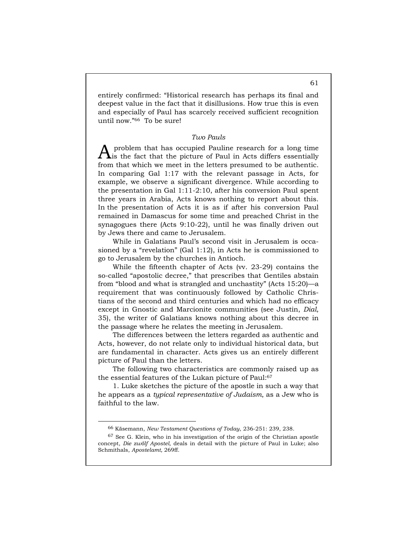entirely confirmed: "Historical research has perhaps its final and deepest value in the fact that it disillusions. How true this is even and especially of Paul has scarcely received sufficient recognition until now."[66](#page-60-0) To be sure!

### *Two Pauls*

Aproblem that has occupied Pauline research for a long time<br>is the fact that the picture of Paul in Acts differs essentially from that which we meet in the letters presumed to be authentic. In comparing Gal 1:17 with the relevant passage in Acts, for example, we observe a significant divergence. While according to the presentation in Gal 1:11-2:10, after his conversion Paul spent three years in Arabia, Acts knows nothing to report about this. In the presentation of Acts it is as if after his conversion Paul remained in Damascus for some time and preached Christ in the synagogues there (Acts 9:10-22), until he was finally driven out by Jews there and came to Jerusalem.

While in Galatians Paul's second visit in Jerusalem is occasioned by a "revelation" (Gal 1:12), in Acts he is commissioned to go to Jerusalem by the churches in Antioch.

While the fifteenth chapter of Acts (vv. 23-29) contains the so-called "apostolic decree," that prescribes that Gentiles abstain from "blood and what is strangled and unchastity" (Acts 15:20)—a requirement that was continuously followed by Catholic Christians of the second and third centuries and which had no efficacy except in Gnostic and Marcionite communities (see Justin, *Dial*, 35), the writer of Galatians knows nothing about this decree in the passage where he relates the meeting in Jerusalem.

The differences between the letters regarded as authentic and Acts, however, do not relate only to individual historical data, but are fundamental in character. Acts gives us an entirely different picture of Paul than the letters.

The following two characteristics are commonly raised up as the essential features of the Lukan picture of Paul[:67](#page-60-1)

1. Luke sketches the picture of the apostle in such a way that he appears as a *typical representative of Judaism*, as a Jew who is faithful to the law.

<span id="page-60-1"></span><span id="page-60-0"></span> <sup>66</sup> Käsemann, *New Testament Questions of Today*, 236-251: 239, 238.

<sup>67</sup> See G. Klein, who in his investigation of the origin of the Christian apostle concept, *Die zwölf Apostel*, deals in detail with the picture of Paul in Luke; also Schmithals, *Apostelamt,* 269ff.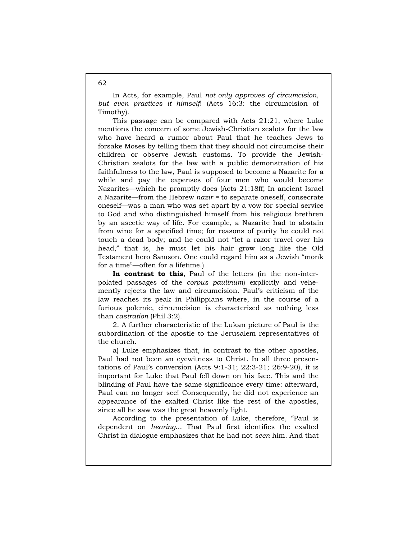In Acts, for example, Paul *not only approves of circumcision, but even practices it himself*! (Acts 16:3: the circumcision of Timothy).

This passage can be compared with Acts 21:21, where Luke mentions the concern of some Jewish-Christian zealots for the law who have heard a rumor about Paul that he teaches Jews to forsake Moses by telling them that they should not circumcise their children or observe Jewish customs. To provide the Jewish-Christian zealots for the law with a public demonstration of his faithfulness to the law, Paul is supposed to become a Nazarite for a while and pay the expenses of four men who would become Nazarites—which he promptly does (Acts 21:18ff; In ancient Israel a Nazarite—from the Hebrew *nazir =* to separate oneself, consecrate oneself—was a man who was set apart by a vow for special service to God and who distinguished himself from his religious brethren by an ascetic way of life. For example, a Nazarite had to abstain from wine for a specified time; for reasons of purity he could not touch a dead body; and he could not "let a razor travel over his head," that is, he must let his hair grow long like the Old Testament hero Samson. One could regard him as a Jewish "monk for a time"—often for a lifetime.)

**In contrast to this**, Paul of the letters (in the non-interpolated passages of the *corpus paulinum*) explicitly and vehemently rejects the law and circumcision. Paul's criticism of the law reaches its peak in Philippians where, in the course of a furious polemic, circumcision is characterized as nothing less than *castration* (Phil 3:2).

2. A further characteristic of the Lukan picture of Paul is the subordination of the apostle to the Jerusalem representatives of the church.

a) Luke emphasizes that, in contrast to the other apostles, Paul had not been an eyewitness to Christ. In all three presentations of Paul's conversion (Acts 9:1-31; 22:3-21; 26:9-20), it is important for Luke that Paul fell down on his face. This and the blinding of Paul have the same significance every time: afterward, Paul can no longer see! Consequently, he did not experience an appearance of the exalted Christ like the rest of the apostles, since all he saw was the great heavenly light.

According to the presentation of Luke, therefore, "Paul is dependent on *hearing*... That Paul first identifies the exalted Christ in dialogue emphasizes that he had not *seen* him. And that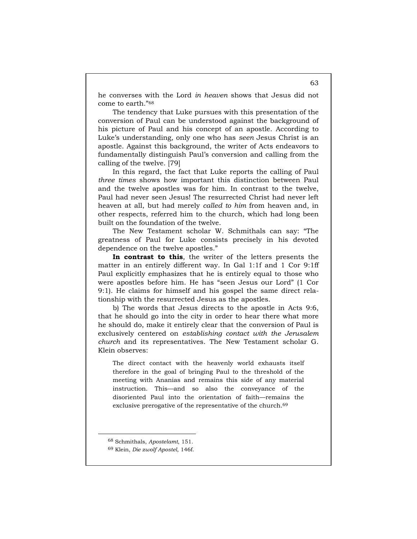he converses with the Lord *in heaven* shows that Jesus did not come to earth.["68](#page-62-0) 

The tendency that Luke pursues with this presentation of the conversion of Paul can be understood against the background of his picture of Paul and his concept of an apostle. According to Luke's understanding, only one who has *seen* Jesus Christ is an apostle. Against this background, the writer of Acts endeavors to fundamentally distinguish Paul's conversion and calling from the calling of the twelve. [79]

In this regard, the fact that Luke reports the calling of Paul *three times* shows how important this distinction between Paul and the twelve apostles was for him. In contrast to the twelve, Paul had never seen Jesus! The resurrected Christ had never left heaven at all, but had merely *called to him* from heaven and, in other respects, referred him to the church, which had long been built on the foundation of the twelve.

The New Testament scholar W. Schmithals can say: "The greatness of Paul for Luke consists precisely in his devoted dependence on the twelve apostles."

**In contrast to this**, the writer of the letters presents the matter in an entirely different way. In Gal 1:1f and 1 Cor 9:1ff Paul explicitly emphasizes that he is entirely equal to those who were apostles before him. He has "seen Jesus our Lord" (1 Cor 9:1). He claims for himself and his gospel the same direct relationship with the resurrected Jesus as the apostles.

b) The words that Jesus directs to the apostle in Acts 9:6, that he should go into the city in order to hear there what more he should do, make it entirely clear that the conversion of Paul is exclusively centered on *establishing contact with the Jerusalem church* and its representatives. The New Testament scholar G. Klein observes:

The direct contact with the heavenly world exhausts itself therefore in the goal of bringing Paul to the threshold of the meeting with Ananias and remains this side of any material instruction. This—and so also the conveyance of the disoriented Paul into the orientation of faith—remains the exclusive prerogative of the representative of the church.<sup>[69](#page-62-1)</sup>

<span id="page-62-0"></span> <sup>68</sup> Schmithals, *Apostelamt*, 151.

<span id="page-62-1"></span><sup>69</sup> Klein, *Die zwolf Apostel*, 146f.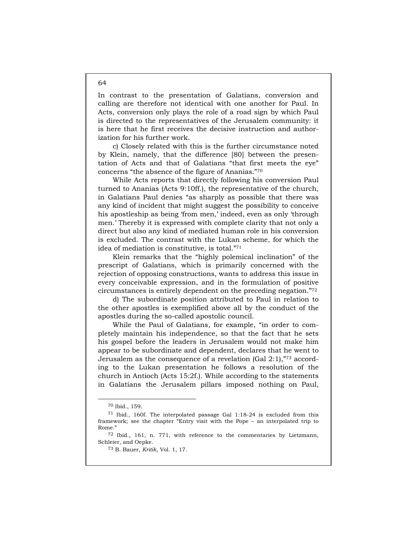In contrast to the presentation of Galatians, conversion and calling are therefore not identical with one another for Paul. In Acts, conversion only plays the role of a road sign by which Paul is directed to the representatives of the Jerusalem community: it is here that he first receives the decisive instruction and authorization for his further work.

c) Closely related with this is the further circumstance noted by Klein, namely, that the difference [80] between the presentation of Acts and that of Galatians "that first meets the eye" concerns "the absence of the figure of Ananias."[70](#page-63-0)

While Acts reports that directly following his conversion Paul turned to Ananias (Acts 9:10ff.), the representative of the church, in Galatians Paul denies "as sharply as possible that there was any kind of incident that might suggest the possibility to conceive his apostleship as being 'from men,' indeed, even as only 'through men.' Thereby it is expressed with complete clarity that not only a direct but also any kind of mediated human role in his conversion is excluded. The contrast with the Lukan scheme, for which the idea of mediation is constitutive, is total."[71](#page-63-1)

Klein remarks that the "highly polemical inclination" of the prescript of Galatians, which is primarily concerned with the rejection of opposing constructions, wants to address this issue in every conceivable expression, and in the formulation of positive circumstances is entirely dependent on the preceding negation."[72](#page-63-2)

d) The subordinate position attributed to Paul in relation to the other apostles is exemplified above all by the conduct of the apostles during the so-called apostolic council.

While the Paul of Galatians, for example, "in order to completely maintain his independence, so that the fact that he sets his gospel before the leaders in Jerusalem would not make him appear to be subordinate and dependent, declares that he went to Jerusalem as the consequence of a revelation (Gal 2:1),["73](#page-63-3) according to the Lukan presentation he follows a resolution of the church in Antioch (Acts 15:2f.). While according to the statements in Galatians the Jerusalem pillars imposed nothing on Paul,

<span id="page-63-1"></span><span id="page-63-0"></span> <sup>70</sup> Ibid., 159.

<sup>71</sup> Ibid., 160f. The interpolated passage Gal 1:18-24 is excluded from this framework; see the chapter "Entry visit with the Pope – an interpolated trip to Rome."

<span id="page-63-2"></span><sup>72</sup> Ibid., 161, n. 771, with reference to the commentaries by Lietzmann, Schleier, and Oepke.

<span id="page-63-3"></span><sup>73</sup> B. Bauer, *Kritik*, Vol. 1, 17.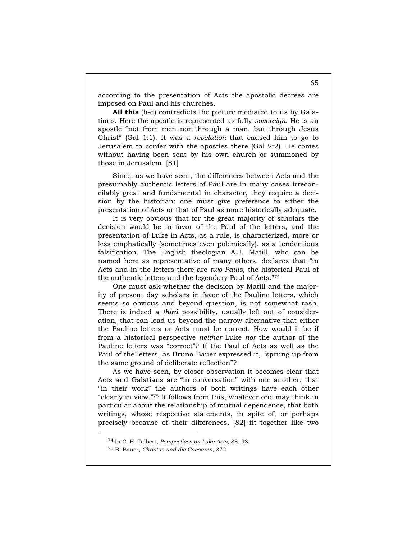according to the presentation of Acts the apostolic decrees are imposed on Paul and his churches.

**All this** (b-d) contradicts the picture mediated to us by Galatians. Here the apostle is represented as fully *sovereign*. He is an apostle "not from men nor through a man, but through Jesus Christ" (Gal 1:1). It was a *revelation* that caused him to go to Jerusalem to confer with the apostles there (Gal 2:2). He comes without having been sent by his own church or summoned by those in Jerusalem. [81]

Since, as we have seen, the differences between Acts and the presumably authentic letters of Paul are in many cases irreconcilably great and fundamental in character, they require a decision by the historian: one must give preference to either the presentation of Acts or that of Paul as more historically adequate.

It is very obvious that for the great majority of scholars the decision would be in favor of the Paul of the letters, and the presentation of Luke in Acts, as a rule, is characterized, more or less emphatically (sometimes even polemically), as a tendentious falsification. The English theologian A.J. Matill, who can be named here as representative of many others, declares that "in Acts and in the letters there are *two Pauls*, the historical Paul of the authentic letters and the legendary Paul of Acts."[74](#page-64-0)

One must ask whether the decision by Matill and the majority of present day scholars in favor of the Pauline letters, which seems so obvious and beyond question, is not somewhat rash. There is indeed a *third* possibility, usually left out of consideration, that can lead us beyond the narrow alternative that either the Pauline letters or Acts must be correct. How would it be if from a historical perspective *neither* Luke *nor* the author of the Pauline letters was "correct"? If the Paul of Acts as well as the Paul of the letters, as Bruno Bauer expressed it, "sprung up from the same ground of deliberate reflection"?

As we have seen, by closer observation it becomes clear that Acts and Galatians are "in conversation" with one another, that "in their work" the authors of both writings have each other "clearly in view.["75](#page-64-1) It follows from this, whatever one may think in particular about the relationship of mutual dependence, that both writings, whose respective statements, in spite of, or perhaps precisely because of their differences, [82] fit together like two

<span id="page-64-0"></span> <sup>74</sup> In C. H. Talbert, *Perspectives on Luke-Acts*, 88, 98.

<span id="page-64-1"></span><sup>75</sup> B. Bauer, *Christus und die Caesaren*, 372.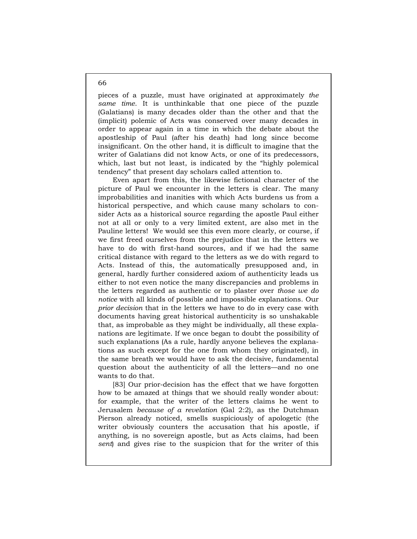pieces of a puzzle, must have originated at approximately *the same time*. It is unthinkable that one piece of the puzzle (Galatians) is many decades older than the other and that the (implicit) polemic of Acts was conserved over many decades in order to appear again in a time in which the debate about the apostleship of Paul (after his death) had long since become insignificant. On the other hand, it is difficult to imagine that the writer of Galatians did not know Acts, or one of its predecessors, which, last but not least, is indicated by the "highly polemical tendency" that present day scholars called attention to.

Even apart from this, the likewise fictional character of the picture of Paul we encounter in the letters is clear. The many improbabilities and inanities with which Acts burdens us from a historical perspective, and which cause many scholars to consider Acts as a historical source regarding the apostle Paul either not at all or only to a very limited extent, are also met in the Pauline letters! We would see this even more clearly, or course, if we first freed ourselves from the prejudice that in the letters we have to do with first-hand sources, and if we had the same critical distance with regard to the letters as we do with regard to Acts. Instead of this, the automatically presupposed and, in general, hardly further considered axiom of authenticity leads us either to not even notice the many discrepancies and problems in the letters regarded as authentic or to plaster over *those we do notice* with all kinds of possible and impossible explanations. Our *prior decision* that in the letters we have to do in every case with documents having great historical authenticity is so unshakable that, as improbable as they might be individually, all these explanations are legitimate. If we once began to doubt the possibility of such explanations (As a rule, hardly anyone believes the explanations as such except for the one from whom they originated), in the same breath we would have to ask the decisive, fundamental question about the authenticity of all the letters—and no one wants to do that.

[83] Our prior-decision has the effect that we have forgotten how to be amazed at things that we should really wonder about: for example, that the writer of the letters claims he went to Jerusalem *because of a revelation* (Gal 2:2), as the Dutchman Pierson already noticed, smells suspiciously of apologetic (the writer obviously counters the accusation that his apostle, if anything, is no sovereign apostle, but as Acts claims, had been *sent*) and gives rise to the suspicion that for the writer of this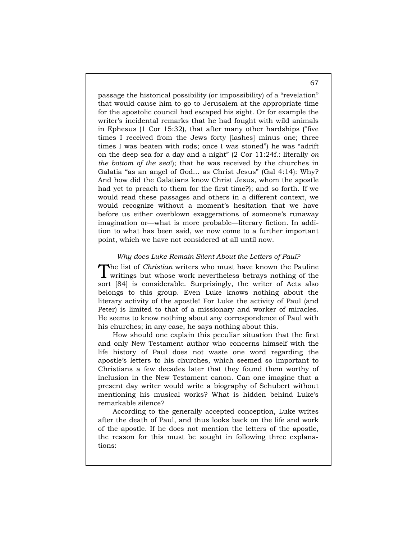passage the historical possibility (or impossibility) of a "revelation" that would cause him to go to Jerusalem at the appropriate time for the apostolic council had escaped his sight. Or for example the writer's incidental remarks that he had fought with wild animals in Ephesus (1 Cor 15:32), that after many other hardships ("five times I received from the Jews forty [lashes] minus one; three times I was beaten with rods; once I was stoned") he was "adrift on the deep sea for a day and a night" (2 Cor 11:24f.: literally *on the bottom of the sea*!); that he was received by the churches in Galatia "as an angel of God... as Christ Jesus" (Gal 4:14): Why? And how did the Galatians know Christ Jesus, whom the apostle had yet to preach to them for the first time?); and so forth. If we would read these passages and others in a different context, we would recognize without a moment's hesitation that we have before us either overblown exaggerations of someone's runaway imagination or—what is more probable—literary fiction. In addition to what has been said, we now come to a further important point, which we have not considered at all until now.

## *Why does Luke Remain Silent About the Letters of Paul?*

The list of *Christian* writers who must have known the Pauline writings but whose work nevertheless betrays nothing of the sort [84] is considerable. Surprisingly, the writer of Acts also belongs to this group. Even Luke knows nothing about the literary activity of the apostle! For Luke the activity of Paul (and Peter) is limited to that of a missionary and worker of miracles. He seems to know nothing about any correspondence of Paul with his churches; in any case, he says nothing about this.

How should one explain this peculiar situation that the first and only New Testament author who concerns himself with the life history of Paul does not waste one word regarding the apostle's letters to his churches, which seemed so important to Christians a few decades later that they found them worthy of inclusion in the New Testament canon. Can one imagine that a present day writer would write a biography of Schubert without mentioning his musical works? What is hidden behind Luke's remarkable silence?

According to the generally accepted conception, Luke writes after the death of Paul, and thus looks back on the life and work of the apostle. If he does not mention the letters of the apostle, the reason for this must be sought in following three explanations: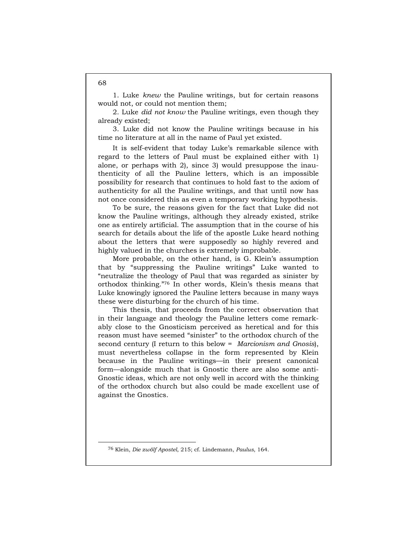1. Luke *knew* the Pauline writings, but for certain reasons would not, or could not mention them;

2. Luke *did not know* the Pauline writings, even though they already existed;

3. Luke did not know the Pauline writings because in his time no literature at all in the name of Paul yet existed.

It is self-evident that today Luke's remarkable silence with regard to the letters of Paul must be explained either with 1) alone, or perhaps with 2), since 3) would presuppose the inauthenticity of all the Pauline letters, which is an impossible possibility for research that continues to hold fast to the axiom of authenticity for all the Pauline writings, and that until now has not once considered this as even a temporary working hypothesis.

To be sure, the reasons given for the fact that Luke did not know the Pauline writings, although they already existed, strike one as entirely artificial. The assumption that in the course of his search for details about the life of the apostle Luke heard nothing about the letters that were supposedly so highly revered and highly valued in the churches is extremely improbable.

More probable, on the other hand, is G. Klein's assumption that by "suppressing the Pauline writings" Luke wanted to "neutralize the theology of Paul that was regarded as sinister by orthodox thinking.["76](#page-67-0) In other words, Klein's thesis means that Luke knowingly ignored the Pauline letters because in many ways these were disturbing for the church of his time.

This thesis, that proceeds from the correct observation that in their language and theology the Pauline letters come remarkably close to the Gnosticism perceived as heretical and for this reason must have seemed "sinister" to the orthodox church of the second century (I return to this below = *Marcionism and Gnosis*), must nevertheless collapse in the form represented by Klein because in the Pauline writings—in their present canonical form—alongside much that is Gnostic there are also some anti-Gnostic ideas, which are not only well in accord with the thinking of the orthodox church but also could be made excellent use of against the Gnostics.

<span id="page-67-0"></span> <sup>76</sup> Klein, *Die zwölf Apostel*, 215; cf. Lindemann, *Paulus*, 164.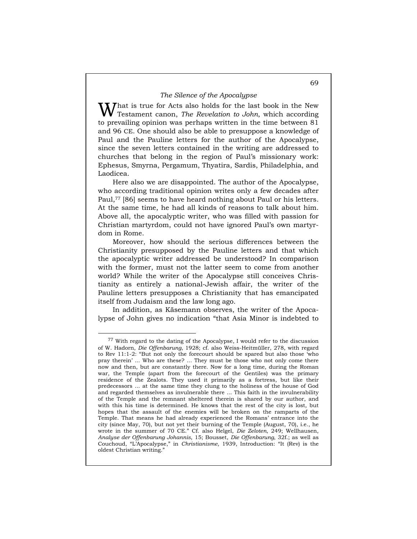#### *The Silence of the Apocalypse*

What is true for Acts also holds for the last book in the New Testament canon, *The Revelation to John*, which according to prevailing opinion was perhaps written in the time between 81 and 96 CE. One should also be able to presuppose a knowledge of Paul and the Pauline letters for the author of the Apocalypse, since the seven letters contained in the writing are addressed to churches that belong in the region of Paul's missionary work: Ephesus, Smyrna, Pergamum, Thyatira, Sardis, Philadelphia, and Laodicea.

Here also we are disappointed. The author of the Apocalypse, who according traditional opinion writes only a few decades after Paul[,77](#page-68-0) [86] seems to have heard nothing about Paul or his letters. At the same time, he had all kinds of reasons to talk about him. Above all, the apocalyptic writer, who was filled with passion for Christian martyrdom, could not have ignored Paul's own martyrdom in Rome.

Moreover, how should the serious differences between the Christianity presupposed by the Pauline letters and that which the apocalyptic writer addressed be understood? In comparison with the former, must not the latter seem to come from another world? While the writer of the Apocalypse still conceives Christianity as entirely a national-Jewish affair, the writer of the Pauline letters presupposes a Christianity that has emancipated itself from Judaism and the law long ago.

In addition, as Käsemann observes, the writer of the Apocalypse of John gives no indication "that Asia Minor is indebted to

<span id="page-68-0"></span> <sup>77</sup> With regard to the dating of the Apocalypse, I would refer to the discussion of W. Hadorn, *Die Offenbarung*, 1928; cf. also Weiss-Heitmüller, 278, with regard to Rev 11:1-2: "But not only the forecourt should be spared but also those 'who pray therein' ... Who are these? ... They must be those who not only come there now and then, but are constantly there. Now for a long time, during the Roman war, the Temple (apart from the forecourt of the Gentiles) was the primary residence of the Zealots. They used it primarily as a fortress, but like their predecessors ... at the same time they clung to the holiness of the house of God and regarded themselves as invulnerable there ... This faith in the invulnerability of the Temple and the remnant sheltered therein is shared by our author, and with this his time is determined. He knows that the rest of the city is lost, but hopes that the assault of the enemies will be broken on the ramparts of the Temple. That means he had already experienced the Romans' entrance into the city (since May, 70), but not yet their burning of the Temple (August, 70), i.e., he wrote in the summer of 70 CE." Cf. also Helgel, *Die Zeloten*, 249; Wellhausen, *Analyse der Offenbarung Johannis*, 15; Bousset, *Die Offenbarung*, 32f.; as well as Couchoud, "L'Apocalypse," in *Christianisme*, 1939, Introduction: "It (Rev) is the oldest Christian writing."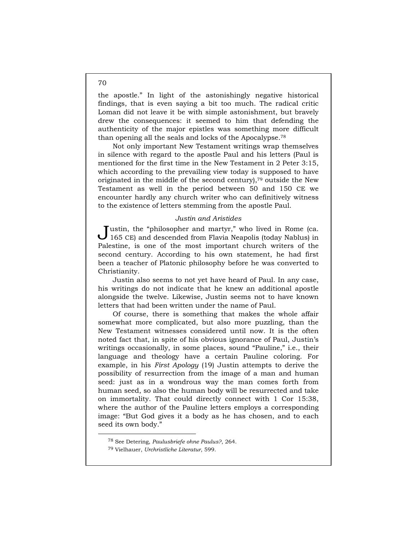the apostle." In light of the astonishingly negative historical findings, that is even saying a bit too much. The radical critic Loman did not leave it be with simple astonishment, but bravely drew the consequences: it seemed to him that defending the authenticity of the major epistles was something more difficult than opening all the seals and locks of the Apocalypse[.78](#page-69-0)

Not only important New Testament writings wrap themselves in silence with regard to the apostle Paul and his letters (Paul is mentioned for the first time in the New Testament in 2 Peter 3:15, which according to the prevailing view today is supposed to have originated in the middle of the second century), $79$  outside the New Testament as well in the period between 50 and 150 CE we encounter hardly any church writer who can definitively witness to the existence of letters stemming from the apostle Paul.

## *Justin and Aristides*

 ${\Large\bf J}$ ustin, the "philosopher and martyr," who lived in Rome (ca. 165 CE) and descended from Flavia Neapolis (today Nablus) in Palestine, is one of the most important church writers of the second century. According to his own statement, he had first been a teacher of Platonic philosophy before he was converted to Christianity.

Justin also seems to not yet have heard of Paul. In any case, his writings do not indicate that he knew an additional apostle alongside the twelve. Likewise, Justin seems not to have known letters that had been written under the name of Paul.

Of course, there is something that makes the whole affair somewhat more complicated, but also more puzzling, than the New Testament witnesses considered until now. It is the often noted fact that, in spite of his obvious ignorance of Paul, Justin's writings occasionally, in some places, sound "Pauline," i.e., their language and theology have a certain Pauline coloring. For example, in his *First Apology* (19) Justin attempts to derive the possibility of resurrection from the image of a man and human seed: just as in a wondrous way the man comes forth from human seed, so also the human body will be resurrected and take on immortality. That could directly connect with 1 Cor 15:38, where the author of the Pauline letters employs a corresponding image: "But God gives it a body as he has chosen, and to each seed its own body."

<span id="page-69-0"></span> <sup>78</sup> See Detering, *Paulusbriefe ohne Paulus?*, 264.

<span id="page-69-1"></span><sup>79</sup> Vielhauer, *Urchristliche Literatur*, 599.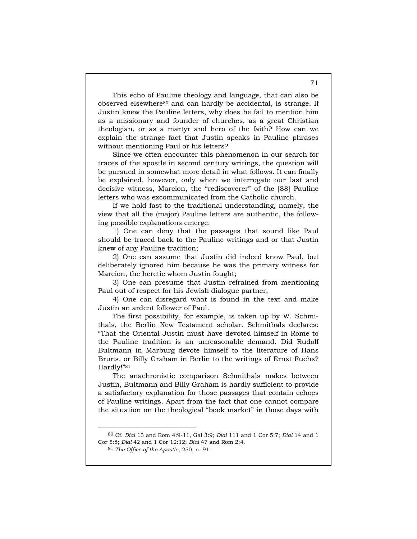This echo of Pauline theology and language, that can also be observed elsewher[e80](#page-70-0) and can hardly be accidental, is strange. If Justin knew the Pauline letters, why does he fail to mention him as a missionary and founder of churches, as a great Christian theologian, or as a martyr and hero of the faith? How can we explain the strange fact that Justin speaks in Pauline phrases without mentioning Paul or his letters?

Since we often encounter this phenomenon in our search for traces of the apostle in second century writings, the question will be pursued in somewhat more detail in what follows. It can finally be explained, however, only when we interrogate our last and decisive witness, Marcion, the "rediscoverer" of the [88] Pauline letters who was excommunicated from the Catholic church.

If we hold fast to the traditional understanding, namely, the view that all the (major) Pauline letters are authentic, the following possible explanations emerge:

1) One can deny that the passages that sound like Paul should be traced back to the Pauline writings and or that Justin knew of any Pauline tradition;

2) One can assume that Justin did indeed know Paul, but deliberately ignored him because he was the primary witness for Marcion, the heretic whom Justin fought;

3) One can presume that Justin refrained from mentioning Paul out of respect for his Jewish dialogue partner;

4) One can disregard what is found in the text and make Justin an ardent follower of Paul.

The first possibility, for example, is taken up by W. Schmithals, the Berlin New Testament scholar. Schmithals declares: "That the Oriental Justin must have devoted himself in Rome to the Pauline tradition is an unreasonable demand. Did Rudolf Bultmann in Marburg devote himself to the literature of Hans Bruns, or Billy Graham in Berlin to the writings of Ernst Fuchs? Hardly!"[81](#page-70-1)

The anachronistic comparison Schmithals makes between Justin, Bultmann and Billy Graham is hardly sufficient to provide a satisfactory explanation for those passages that contain echoes of Pauline writings. Apart from the fact that one cannot compare the situation on the theological "book market" in those days with

<span id="page-70-0"></span> <sup>80</sup> Cf. *Dial* 13 and Rom 4:9-11, Gal 3:9; *Dial* 111 and 1 Cor 5:7; *Dial* 14 and 1 Cor 5:8; *Dial* 42 and 1 Cor 12:12; *Dial* 47 and Rom 2:4.

<span id="page-70-1"></span><sup>81</sup> *The Office of the Apostle*, 250, n. 91.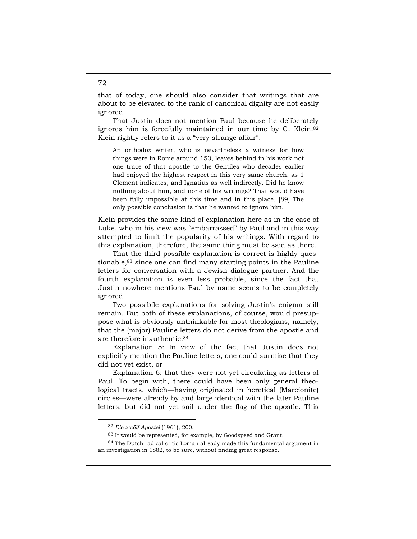that of today, one should also consider that writings that are about to be elevated to the rank of canonical dignity are not easily ignored.

That Justin does not mention Paul because he deliberately ignores him is forcefully maintained in our time by G. Klein.<sup>[82](#page-71-0)</sup> Klein rightly refers to it as a "very strange affair":

An orthodox writer, who is nevertheless a witness for how things were in Rome around 150, leaves behind in his work not one trace of that apostle to the Gentiles who decades earlier had enjoyed the highest respect in this very same church, as 1 Clement indicates, and Ignatius as well indirectly. Did he know nothing about him, and none of his writings? That would have been fully impossible at this time and in this place. [89] The only possible conclusion is that he wanted to ignore him.

Klein provides the same kind of explanation here as in the case of Luke, who in his view was "embarrassed" by Paul and in this way attempted to limit the popularity of his writings. With regard to this explanation, therefore, the same thing must be said as there.

That the third possible explanation is correct is highly questionable[,83](#page-71-1) since one can find many starting points in the Pauline letters for conversation with a Jewish dialogue partner. And the fourth explanation is even less probable, since the fact that Justin nowhere mentions Paul by name seems to be completely ignored.

Two possibile explanations for solving Justin's enigma still remain. But both of these explanations, of course, would presuppose what is obviously unthinkable for most theologians, namely, that the (major) Pauline letters do not derive from the apostle and are therefore inauthentic.[84](#page-71-2)

Explanation 5: In view of the fact that Justin does not explicitly mention the Pauline letters, one could surmise that they did not yet exist, or

Explanation 6: that they were not yet circulating as letters of Paul. To begin with, there could have been only general theological tracts, which—having originated in heretical (Marcionite) circles—were already by and large identical with the later Pauline letters, but did not yet sail under the flag of the apostle. This

<span id="page-71-0"></span> <sup>82</sup> *Die zwölf Apostel* (1961), 200.

<span id="page-71-2"></span><span id="page-71-1"></span><sup>83</sup> It would be represented, for example, by Goodspeed and Grant.

<sup>84</sup> The Dutch radical critic Loman already made this fundamental argument in an investigation in 1882, to be sure, without finding great response.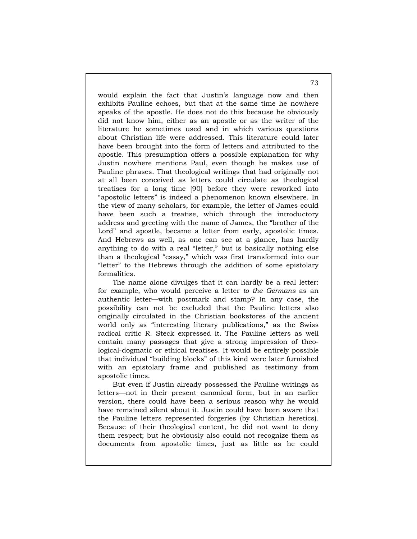would explain the fact that Justin's language now and then exhibits Pauline echoes, but that at the same time he nowhere speaks of the apostle. He does not do this because he obviously did not know him, either as an apostle or as the writer of the literature he sometimes used and in which various questions about Christian life were addressed. This literature could later have been brought into the form of letters and attributed to the apostle. This presumption offers a possible explanation for why Justin nowhere mentions Paul, even though he makes use of Pauline phrases. That theological writings that had originally not at all been conceived as letters could circulate as theological treatises for a long time [90] before they were reworked into "apostolic letters" is indeed a phenomenon known elsewhere. In the view of many scholars, for example, the letter of James could have been such a treatise, which through the introductory address and greeting with the name of James, the "brother of the Lord" and apostle, became a letter from early, apostolic times. And Hebrews as well, as one can see at a glance, has hardly anything to do with a real "letter," but is basically nothing else than a theological "essay," which was first transformed into our "letter" to the Hebrews through the addition of some epistolary formalities.

The name alone divulges that it can hardly be a real letter: for example, who would perceive a letter *to the Germans* as an authentic letter—with postmark and stamp? In any case, the possibility can not be excluded that the Pauline letters also originally circulated in the Christian bookstores of the ancient world only as "interesting literary publications," as the Swiss radical critic R. Steck expressed it. The Pauline letters as well contain many passages that give a strong impression of theological-dogmatic or ethical treatises. It would be entirely possible that individual "building blocks" of this kind were later furnished with an epistolary frame and published as testimony from apostolic times.

But even if Justin already possessed the Pauline writings as letters—not in their present canonical form, but in an earlier version, there could have been a serious reason why he would have remained silent about it. Justin could have been aware that the Pauline letters represented forgeries (by Christian heretics). Because of their theological content, he did not want to deny them respect; but he obviously also could not recognize them as documents from apostolic times, just as little as he could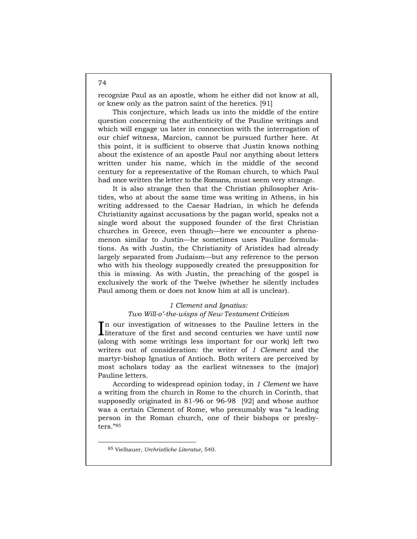recognize Paul as an apostle, whom he either did not know at all, or knew only as the patron saint of the heretics. [91]

This conjecture, which leads us into the middle of the entire question concerning the authenticity of the Pauline writings and which will engage us later in connection with the interrogation of our chief witness, Marcion, cannot be pursued further here. At this point, it is sufficient to observe that Justin knows nothing about the existence of an apostle Paul nor anything about letters written under his name, which in the middle of the second century for a representative of the Roman church, to which Paul had once written the letter to the Romans, must seem very strange.

It is also strange then that the Christian philosopher Aristides, who at about the same time was writing in Athens, in his writing addressed to the Caesar Hadrian, in which he defends Christianity against accusations by the pagan world, speaks not a single word about the supposed founder of the first Christian churches in Greece, even though—here we encounter a phenomenon similar to Justin—he sometimes uses Pauline formulations. As with Justin, the Christianity of Aristides had already largely separated from Judaism—but any reference to the person who with his theology supposedly created the presupposition for this is missing. As with Justin, the preaching of the gospel is exclusively the work of the Twelve (whether he silently includes Paul among them or does not know him at all is unclear).

## *1 Clement and Ignatius:*

## *Two Will-o'-the-wisps of New Testament Criticism*

In our investigation of witnesses to the Pauline letters in the literature of the first and second centuries we have until now n our investigation of witnesses to the Pauline letters in the (along with some writings less important for our work) left two writers out of consideration: the writer of *1 Clement* and the martyr-bishop Ignatius of Antioch. Both writers are perceived by most scholars today as the earliest witnesses to the (major) Pauline letters.

According to widespread opinion today, in *1 Clement* we have a writing from the church in Rome to the church in Corinth, that supposedly originated in 81-96 or 96-98 [92] and whose author was a certain Clement of Rome, who presumably was "a leading person in the Roman church, one of their bishops or presbyters."[85](#page-73-0)

<span id="page-73-0"></span> <sup>85</sup> Vielhauer, *Urchristliche Literatur*, 540.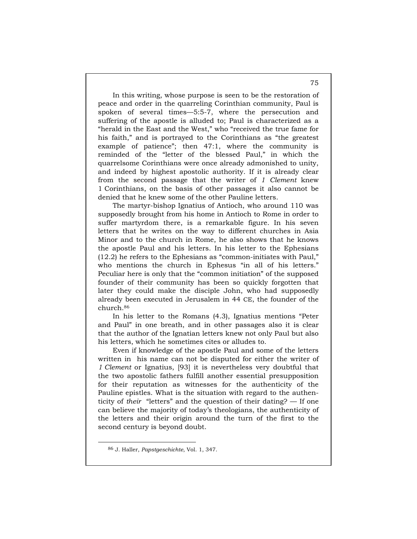In this writing, whose purpose is seen to be the restoration of peace and order in the quarreling Corinthian community, Paul is spoken of several times—5:5-7, where the persecution and suffering of the apostle is alluded to; Paul is characterized as a "herald in the East and the West," who "received the true fame for his faith," and is portrayed to the Corinthians as "the greatest example of patience"; then 47:1, where the community is reminded of the "letter of the blessed Paul," in which the quarrelsome Corinthians were once already admonished to unity, and indeed by highest apostolic authority. If it is already clear from the second passage that the writer of *1 Clement* knew 1 Corinthians, on the basis of other passages it also cannot be denied that he knew some of the other Pauline letters.

The martyr-bishop Ignatius of Antioch, who around 110 was supposedly brought from his home in Antioch to Rome in order to suffer martyrdom there, is a remarkable figure. In his seven letters that he writes on the way to different churches in Asia Minor and to the church in Rome, he also shows that he knows the apostle Paul and his letters. In his letter to the Ephesians (12.2) he refers to the Ephesians as "common-initiates with Paul," who mentions the church in Ephesus "in all of his letters." Peculiar here is only that the "common initiation" of the supposed founder of their community has been so quickly forgotten that later they could make the disciple John, who had supposedly already been executed in Jerusalem in 44 CE, the founder of the church[.86](#page-74-0) 

In his letter to the Romans (4.3), Ignatius mentions "Peter and Paul" in one breath, and in other passages also it is clear that the author of the Ignatian letters knew not only Paul but also his letters, which he sometimes cites or alludes to.

Even if knowledge of the apostle Paul and some of the letters written in his name can not be disputed for either the writer of *1 Clement* or Ignatius, [93] it is nevertheless very doubtful that the two apostolic fathers fulfill another essential presupposition for their reputation as witnesses for the authenticity of the Pauline epistles. What is the situation with regard to the authenticity of *their* "letters" and the question of their dating? — If one can believe the majority of today's theologians, the authenticity of the letters and their origin around the turn of the first to the second century is beyond doubt.

<span id="page-74-0"></span> <sup>86</sup> J. Haller, *Papstgeschichte*, Vol. 1, 347.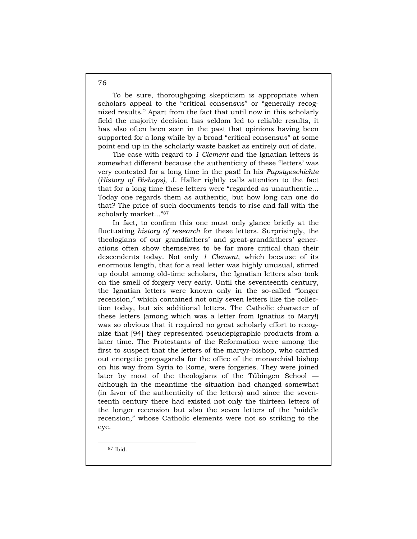To be sure, thoroughgoing skepticism is appropriate when scholars appeal to the "critical consensus" or "generally recognized results." Apart from the fact that until now in this scholarly field the majority decision has seldom led to reliable results, it has also often been seen in the past that opinions having been supported for a long while by a broad "critical consensus" at some point end up in the scholarly waste basket as entirely out of date.

The case with regard to *1 Clement* and the Ignatian letters is somewhat different because the authenticity of these "letters' was very contested for a long time in the past! In his *Papstgeschichte*  (*History of Bishops)*, J. Haller rightly calls attention to the fact that for a long time these letters were "regarded as unauthentic... Today one regards them as authentic, but how long can one do that? The price of such documents tends to rise and fall with the scholarly market..."[87](#page-75-0)

In fact, to confirm this one must only glance briefly at the fluctuating *history of research* for these letters. Surprisingly, the theologians of our grandfathers' and great-grandfathers' generations often show themselves to be far more critical than their descendents today. Not only *1 Clement*, which because of its enormous length, that for a real letter was highly unusual, stirred up doubt among old-time scholars, the Ignatian letters also took on the smell of forgery very early. Until the seventeenth century, the Ignatian letters were known only in the so-called "longer recension," which contained not only seven letters like the collection today, but six additional letters. The Catholic character of these letters (among which was a letter from Ignatius to Mary!) was so obvious that it required no great scholarly effort to recognize that [94] they represented pseudepigraphic products from a later time. The Protestants of the Reformation were among the first to suspect that the letters of the martyr-bishop, who carried out energetic propaganda for the office of the monarchial bishop on his way from Syria to Rome, were forgeries. They were joined later by most of the theologians of the Tübingen School although in the meantime the situation had changed somewhat (in favor of the authenticity of the letters) and since the seventeenth century there had existed not only the thirteen letters of the longer recension but also the seven letters of the "middle recension," whose Catholic elements were not so striking to the eye.

<span id="page-75-0"></span>87 Ibid.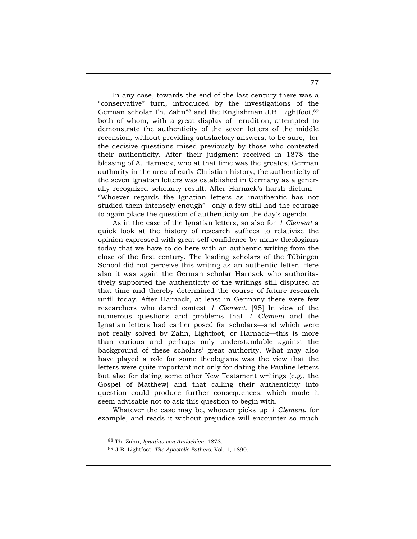In any case, towards the end of the last century there was a "conservative" turn, introduced by the investigations of the German scholar Th. Zahn<sup>88</sup> and the Englishman J.B. Lightfoot, 89 both of whom, with a great display of erudition, attempted to demonstrate the authenticity of the seven letters of the middle recension, without providing satisfactory answers, to be sure, for the decisive questions raised previously by those who contested their authenticity. After their judgment received in 1878 the blessing of A. Harnack, who at that time was the greatest German authority in the area of early Christian history, the authenticity of the seven Ignatian letters was established in Germany as a generally recognized scholarly result. After Harnack's harsh dictum— "Whoever regards the Ignatian letters as inauthentic has not studied them intensely enough"—only a few still had the courage to again place the question of authenticity on the day's agenda.

As in the case of the Ignatian letters, so also for *1 Clement* a quick look at the history of research suffices to relativize the opinion expressed with great self-confidence by many theologians today that we have to do here with an authentic writing from the close of the first century. The leading scholars of the Tübingen School did not perceive this writing as an authentic letter. Here also it was again the German scholar Harnack who authoritatively supported the authenticity of the writings still disputed at that time and thereby determined the course of future research until today. After Harnack, at least in Germany there were few researchers who dared contest *1 Clement*. [95] In view of the numerous questions and problems that *1 Clement* and the Ignatian letters had earlier posed for scholars—and which were not really solved by Zahn, Lightfoot, or Harnack—this is more than curious and perhaps only understandable against the background of these scholars' great authority. What may also have played a role for some theologians was the view that the letters were quite important not only for dating the Pauline letters but also for dating some other New Testament writings (e.g., the Gospel of Matthew) and that calling their authenticity into question could produce further consequences, which made it seem advisable not to ask this question to begin with.

Whatever the case may be, whoever picks up *1 Clement*, for example, and reads it without prejudice will encounter so much

<span id="page-76-0"></span> <sup>88</sup> Th. Zahn, *Ignatius von Antiochien*, 1873.

<span id="page-76-1"></span><sup>89</sup> J.B. Lightfoot, *The Apostolic Fathers*, Vol. 1, 1890.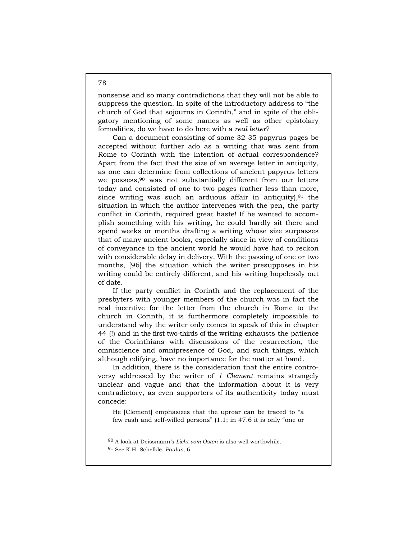nonsense and so many contradictions that they will not be able to suppress the question. In spite of the introductory address to "the church of God that sojourns in Corinth," and in spite of the obligatory mentioning of some names as well as other epistolary formalities, do we have to do here with a *real letter*?

Can a document consisting of some 32-35 papyrus pages be accepted without further ado as a writing that was sent from Rome to Corinth with the intention of actual correspondence? Apart from the fact that the size of an average letter in antiquity, as one can determine from collections of ancient papyrus letters we possess,<sup>90</sup> was not substantially different from our letters today and consisted of one to two pages (rather less than more, since writing was such an arduous affair in antiquity), $91$  the situation in which the author intervenes with the pen, the party conflict in Corinth, required great haste! If he wanted to accomplish something with his writing, he could hardly sit there and spend weeks or months drafting a writing whose size surpasses that of many ancient books, especially since in view of conditions of conveyance in the ancient world he would have had to reckon with considerable delay in delivery. With the passing of one or two months, [96] the situation which the writer presupposes in his writing could be entirely different, and his writing hopelessly out of date.

If the party conflict in Corinth and the replacement of the presbyters with younger members of the church was in fact the real incentive for the letter from the church in Rome to the church in Corinth, it is furthermore completely impossible to understand why the writer only comes to speak of this in chapter 44 (!) and in the first two-thirds of the writing exhausts the patience of the Corinthians with discussions of the resurrection, the omniscience and omnipresence of God, and such things, which although edifying, have no importance for the matter at hand.

In addition, there is the consideration that the entire controversy addressed by the writer of *1 Clement* remains strangely unclear and vague and that the information about it is very contradictory, as even supporters of its authenticity today must concede:

He [Clement] emphasizes that the uproar can be traced to "a few rash and self-willed persons" (1.1; in 47.6 it is only "one or

<span id="page-77-0"></span> <sup>90</sup> A look at Deissmann's *Licht vom Osten* is also well worthwhile.

<span id="page-77-1"></span><sup>91</sup> See K.H. Schelkle, *Paulus*, 6.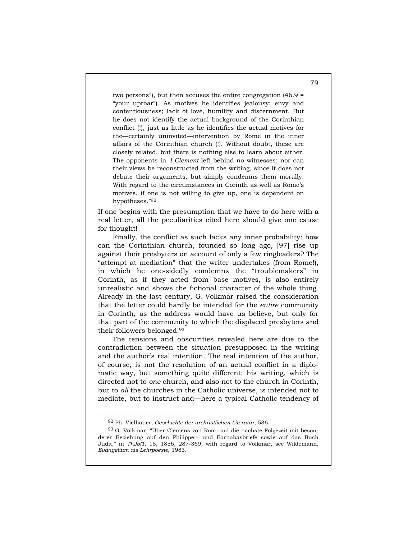two persons"), but then accuses the entire congregation (46.9 = "your uproar"). As motives he identifies jealousy; envy and contentiousness; lack of love, humility and discernment. But he does not identify the actual background of the Corinthian conflict (!), just as little as he identifies the actual motives for the—certainly uninvited—intervention by Rome in the inner affairs of the Corinthian church (!). Without doubt, these are closely related, but there is nothing else to learn about either. The opponents in *1 Clement* left behind no witnesses; nor can their views be reconstructed from the writing, since it does not debate their arguments, but simply condemns them morally. With regard to the circumstances in Corinth as well as Rome's motives, if one is not willing to give up, one is dependent on hypotheses.["92](#page-78-0) 

If one begins with the presumption that we have to do here with a real letter, all the peculiarities cited here should give one cause for thought!

Finally, the conflict as such lacks any inner probability: how can the Corinthian church, founded so long ago, [97] rise up against their presbyters on account of only a few ringleaders? The "attempt at mediation" that the writer undertakes (from Rome!), in which he one-sidedly condemns the "troublemakers" in Corinth, as if they acted from base motives, is also entirely unrealistic and shows the fictional character of the whole thing. Already in the last century, G. Volkmar raised the consideration that the letter could hardly be intended for the *entire* community in Corinth, as the address would have us believe, but only for that part of the community to which the displaced presbyters and their followers belonged[.93](#page-78-1) 

The tensions and obscurities revealed here are due to the contradiction between the situation presupposed in the writing and the author's real intention. The real intention of the author, of course, is not the resolution of an actual conflict in a diplomatic way, but something quite different: his writing, which is directed not to *one* church, and also not to the church in Corinth, but to *all* the churches in the Catholic universe, is intended not to mediate, but to instruct and—here a typical Catholic tendency of

<span id="page-78-1"></span><span id="page-78-0"></span> <sup>92</sup> Ph. Vielhauer, *Geschichte der urchristlichen Literatur*, 536.

<sup>93</sup> G. Volkmar, "Über Clemens von Rom und die nächste Folgezeit mit besonderer Beziehung auf den Philipper- und Barnabasbriefe sowie auf das Buch Judit," in *ThJb(T)* 15, 1856, 287-369; with regard to Volkmar, see Wildemann, *Evangelium als Lehrpoesie*, 1983.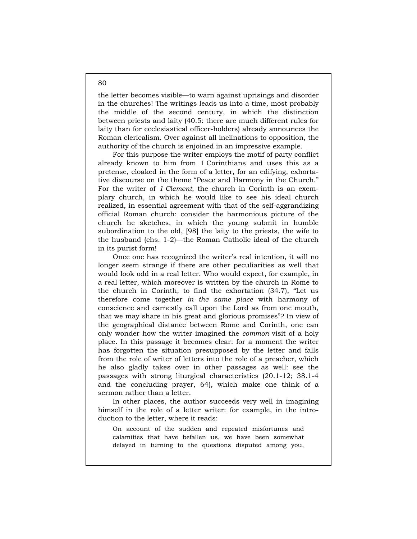the letter becomes visible—to warn against uprisings and disorder in the churches! The writings leads us into a time, most probably the middle of the second century, in which the distinction between priests and laity (40.5: there are much different rules for laity than for ecclesiastical officer-holders) already announces the Roman clericalism. Over against all inclinations to opposition, the authority of the church is enjoined in an impressive example.

For this purpose the writer employs the motif of party conflict already known to him from 1 Corinthians and uses this as a pretense, cloaked in the form of a letter, for an edifying, exhortative discourse on the theme "Peace and Harmony in the Church." For the writer of *1 Clement*, the church in Corinth is an exemplary church, in which he would like to see his ideal church realized, in essential agreement with that of the self-aggrandizing official Roman church: consider the harmonious picture of the church he sketches, in which the young submit in humble subordination to the old, [98] the laity to the priests, the wife to the husband (chs. 1-2)—the Roman Catholic ideal of the church in its purist form!

Once one has recognized the writer's real intention, it will no longer seem strange if there are other peculiarities as well that would look odd in a real letter. Who would expect, for example, in a real letter, which moreover is written by the church in Rome to the church in Corinth, to find the exhortation (34.7), "Let us therefore come together *in the same place* with harmony of conscience and earnestly call upon the Lord as from one mouth, that we may share in his great and glorious promises"? In view of the geographical distance between Rome and Corinth, one can only wonder how the writer imagined the *common* visit of a holy place. In this passage it becomes clear: for a moment the writer has forgotten the situation presupposed by the letter and falls from the role of writer of letters into the role of a preacher, which he also gladly takes over in other passages as well: see the passages with strong liturgical characteristics (20.1-12; 38.1-4 and the concluding prayer, 64), which make one think of a sermon rather than a letter.

In other places, the author succeeds very well in imagining himself in the role of a letter writer: for example, in the introduction to the letter, where it reads:

On account of the sudden and repeated misfortunes and calamities that have befallen us, we have been somewhat delayed in turning to the questions disputed among you,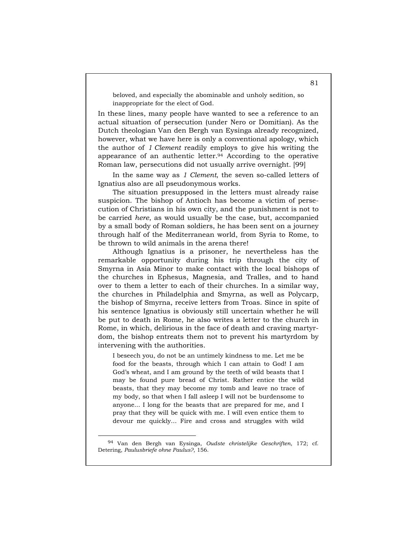beloved, and especially the abominable and unholy sedition, so inappropriate for the elect of God.

In these lines, many people have wanted to see a reference to an actual situation of persecution (under Nero or Domitian). As the Dutch theologian Van den Bergh van Eysinga already recognized, however, what we have here is only a conventional apology, which the author of *1 Clement* readily employs to give his writing the appearance of an authentic letter.[94](#page-80-0) According to the operative Roman law, persecutions did not usually arrive overnight. [99]

In the same way as *1 Clement*, the seven so-called letters of Ignatius also are all pseudonymous works.

The situation presupposed in the letters must already raise suspicion. The bishop of Antioch has become a victim of persecution of Christians in his own city, and the punishment is not to be carried *here*, as would usually be the case, but, accompanied by a small body of Roman soldiers, he has been sent on a journey through half of the Mediterranean world, from Syria to Rome, to be thrown to wild animals in the arena there!

Although Ignatius is a prisoner, he nevertheless has the remarkable opportunity during his trip through the city of Smyrna in Asia Minor to make contact with the local bishops of the churches in Ephesus, Magnesia, and Tralles, and to hand over to them a letter to each of their churches. In a similar way, the churches in Philadelphia and Smyrna, as well as Polycarp, the bishop of Smyrna, receive letters from Troas. Since in spite of his sentence Ignatius is obviously still uncertain whether he will be put to death in Rome, he also writes a letter to the church in Rome, in which, delirious in the face of death and craving martyrdom, the bishop entreats them not to prevent his martyrdom by intervening with the authorities.

I beseech you, do not be an untimely kindness to me. Let me be food for the beasts, through which I can attain to God! I am God's wheat, and I am ground by the teeth of wild beasts that I may be found pure bread of Christ. Rather entice the wild beasts, that they may become my tomb and leave no trace of my body, so that when I fall asleep I will not be burdensome to anyone... I long for the beasts that are prepared for me, and I pray that they will be quick with me. I will even entice them to devour me quickly... Fire and cross and struggles with wild

<span id="page-80-0"></span> <sup>94</sup> Van den Bergh van Eysinga, *Oudste christelijke Geschriften*, 172; cf. Detering, *Paulusbriefe ohne Paulus?*, 156.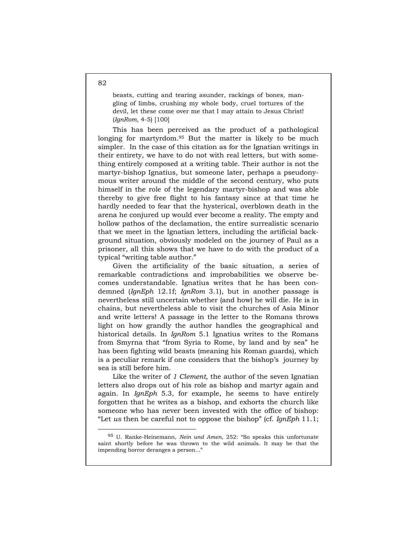beasts, cutting and tearing asunder, rackings of bones, mangling of limbs, crushing my whole body, cruel tortures of the devil, let these come over me that I may attain to Jesus Christ! (*IgnRom*, 4-5) [100]

This has been perceived as the product of a pathological longing for martyrdom.<sup>95</sup> But the matter is likely to be much simpler. In the case of this citation as for the Ignatian writings in their entirety, we have to do not with real letters, but with something entirely composed at a writing table. Their author is not the martyr-bishop Ignatius, but someone later, perhaps a pseudonymous writer around the middle of the second century, who puts himself in the role of the legendary martyr-bishop and was able thereby to give free flight to his fantasy since at that time he hardly needed to fear that the hysterical, overblown death in the arena he conjured up would ever become a reality. The empty and hollow pathos of the declamation, the entire surrealistic scenario that we meet in the Ignatian letters, including the artificial background situation, obviously modeled on the journey of Paul as a prisoner, all this shows that we have to do with the product of a typical "writing table author."

Given the artificiality of the basic situation, a series of remarkable contradictions and improbabilities we observe becomes understandable. Ignatius writes that he has been condemned (*IgnEph* 12.1f; *IgnRom* 3.1), but in another passage is nevertheless still uncertain whether (and how) he will die. He is in chains, but nevertheless able to visit the churches of Asia Minor and write letters! A passage in the letter to the Romans throws light on how grandly the author handles the geographical and historical details. In *IgnRom* 5.1 Ignatius writes to the Romans from Smyrna that "from Syria to Rome, by land and by sea" he has been fighting wild beasts (meaning his Roman guards), which is a peculiar remark if one considers that the bishop's journey by sea is still before him.

Like the writer of *1 Clement*, the author of the seven Ignatian letters also drops out of his role as bishop and martyr again and again. In *IgnEph* 5.3, for example, he seems to have entirely forgotten that he writes as a bishop, and exhorts the church like someone who has never been invested with the office of bishop: "Let *us* then be careful not to oppose the bishop" (cf. *IgnEph* 11.1;

<span id="page-81-0"></span> <sup>95</sup> U. Ranke-Heinemann, *Nein und Amen*, 252: "So speaks this unfortunate saint shortly before he was thrown to the wild animals. It may be that the impending horror deranges a person..."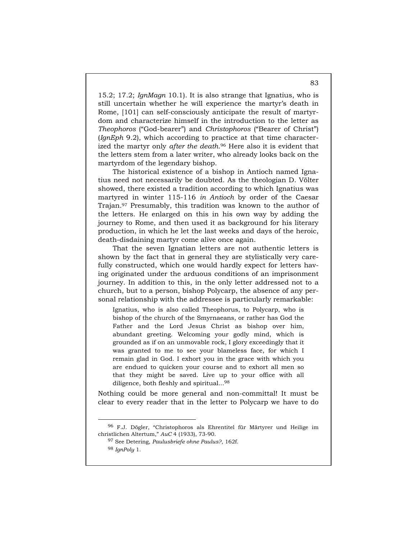15.2; 17.2; *IgnMagn* 10.1). It is also strange that Ignatius, who is still uncertain whether he will experience the martyr's death in Rome, [101] can self-consciously anticipate the result of martyrdom and characterize himself in the introduction to the letter as *Theophoros* ("God-bearer") and *Christophoros* ("Bearer of Christ") (*IgnEph* 9.2), which according to practice at that time characterized the martyr only *after the death*.[96](#page-82-0) Here also it is evident that the letters stem from a later writer, who already looks back on the martyrdom of the legendary bishop.

The historical existence of a bishop in Antioch named Ignatius need not necessarily be doubted. As the theologian D. Völter showed, there existed a tradition according to which Ignatius was martyred in winter 115-116 *in Antioch* by order of the Caesar Trajan[.97](#page-82-1) Presumably, this tradition was known to the author of the letters. He enlarged on this in his own way by adding the journey to Rome, and then used it as background for his literary production, in which he let the last weeks and days of the heroic, death-disdaining martyr come alive once again.

That the seven Ignatian letters are not authentic letters is shown by the fact that in general they are stylistically very carefully constructed, which one would hardly expect for letters having originated under the arduous conditions of an imprisonment journey. In addition to this, in the only letter addressed not to a church, but to a person, bishop Polycarp, the absence of any personal relationship with the addressee is particularly remarkable:

Ignatius, who is also called Theophorus, to Polycarp, who is bishop of the church of the Smyrnaeans, or rather has God the Father and the Lord Jesus Christ as bishop over him, abundant greeting. Welcoming your godly mind, which is grounded as if on an unmovable rock, I glory exceedingly that it was granted to me to see your blameless face, for which I remain glad in God. I exhort you in the grace with which you are endued to quicken your course and to exhort all men so that they might be saved. Live up to your office with all diligence, both fleshly and spiritual...<sup>98</sup>

Nothing could be more general and non-committal! It must be clear to every reader that in the letter to Polycarp we have to do

<sup>&</sup>lt;sup>96</sup> F.J. Dögler, "Christophoros als Ehrentitel für Märtyrer und Heilige im christlichen Altertum," *AuC* 4 (1933), 73-90.

<span id="page-82-1"></span><span id="page-82-0"></span><sup>97</sup> See Detering, *Paulusbriefe ohne Paulus?*, 162f.

<span id="page-82-2"></span><sup>98</sup> *IgnPoly* 1.